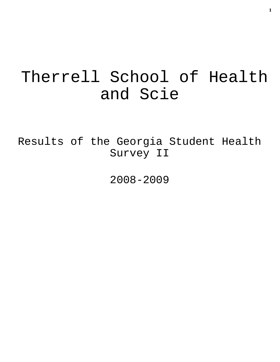# Therrell School of Health and Scie

Results of the Georgia Student Health Survey II

2008-2009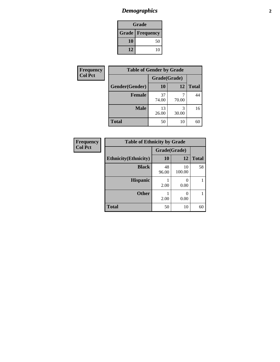# *Demographics* **2**

| Grade                    |    |  |  |  |
|--------------------------|----|--|--|--|
| <b>Grade   Frequency</b> |    |  |  |  |
| 10                       | 50 |  |  |  |
| 12                       | 10 |  |  |  |

| Frequency      | <b>Table of Gender by Grade</b> |              |       |              |  |  |
|----------------|---------------------------------|--------------|-------|--------------|--|--|
| <b>Col Pct</b> |                                 | Grade(Grade) |       |              |  |  |
|                | Gender(Gender)                  | 10           | 12    | <b>Total</b> |  |  |
|                | Female                          | 37<br>74.00  | 70.00 | 44           |  |  |
|                | <b>Male</b>                     | 13<br>26.00  | 30.00 | 16           |  |  |
|                | <b>Total</b>                    | 50           | 10    | 60           |  |  |

| <b>Frequency</b><br>Col Pct |
|-----------------------------|

| <b>Table of Ethnicity by Grade</b> |              |              |              |  |  |  |
|------------------------------------|--------------|--------------|--------------|--|--|--|
|                                    | Grade(Grade) |              |              |  |  |  |
| <b>Ethnicity</b> (Ethnicity)       | 10           | 12           | <b>Total</b> |  |  |  |
| <b>Black</b>                       | 48<br>96.00  | 10<br>100.00 | 58           |  |  |  |
| <b>Hispanic</b>                    | 2.00         | 0.00         |              |  |  |  |
| <b>Other</b>                       | 2.00         | 0<br>0.00    |              |  |  |  |
| <b>Total</b>                       | 50           | 10           |              |  |  |  |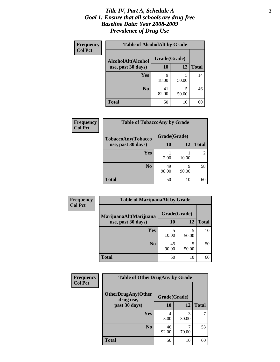### *Title IV, Part A, Schedule A* **3** *Goal 1: Ensure that all schools are drug-free Baseline Data: Year 2008-2009 Prevalence of Drug Use*

| Frequency<br><b>Col Pct</b> | <b>Table of AlcoholAlt by Grade</b> |              |            |              |  |  |
|-----------------------------|-------------------------------------|--------------|------------|--------------|--|--|
|                             | AlcoholAlt(Alcohol                  | Grade(Grade) |            |              |  |  |
|                             | use, past 30 days)                  | <b>10</b>    | 12         | <b>Total</b> |  |  |
|                             | Yes                                 | q<br>18.00   | 5<br>50.00 | 14           |  |  |
|                             | N <sub>0</sub>                      | 41<br>82.00  | 5<br>50.00 | 46           |  |  |
|                             | <b>Total</b>                        | 50           | 10         | 60           |  |  |

| Frequency<br><b>Col Pct</b> | <b>Table of TobaccoAny by Grade</b> |              |            |                |  |  |
|-----------------------------|-------------------------------------|--------------|------------|----------------|--|--|
|                             | TobaccoAny(Tobacco                  | Grade(Grade) |            |                |  |  |
|                             | use, past 30 days)                  | 10           | 12         | <b>Total</b>   |  |  |
|                             | Yes                                 | 2.00         | 10.00      | $\overline{c}$ |  |  |
|                             | N <sub>0</sub>                      | 49<br>98.00  | q<br>90.00 | 58             |  |  |
|                             | <b>Total</b>                        | 50           | 10         | 60             |  |  |

| Frequency      | <b>Table of MarijuanaAlt by Grade</b> |              |            |              |  |
|----------------|---------------------------------------|--------------|------------|--------------|--|
| <b>Col Pct</b> | MarijuanaAlt(Marijuana                | Grade(Grade) |            |              |  |
|                | use, past 30 days)                    | 10           | 12         | <b>Total</b> |  |
|                | <b>Yes</b>                            | 5<br>10.00   | 5<br>50.00 | 10           |  |
|                | N <sub>0</sub>                        | 45<br>90.00  | 5<br>50.00 | 50           |  |
|                | <b>Total</b>                          | 50           | 10         | 60           |  |

| Frequency      | <b>Table of OtherDrugAny by Grade</b>  |              |              |    |  |  |
|----------------|----------------------------------------|--------------|--------------|----|--|--|
| <b>Col Pct</b> | <b>OtherDrugAny(Other</b><br>drug use, | Grade(Grade) |              |    |  |  |
| past 30 days)  | 10                                     | 12           | <b>Total</b> |    |  |  |
|                | Yes                                    | 4<br>8.00    | 3<br>30.00   | 7  |  |  |
|                | N <sub>0</sub>                         | 46<br>92.00  | 70.00        | 53 |  |  |
|                | <b>Total</b>                           | 50           | 10           | 60 |  |  |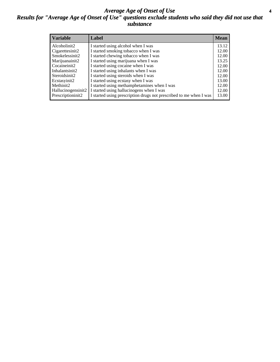### *Average Age of Onset of Use* **4** *Results for "Average Age of Onset of Use" questions exclude students who said they did not use that substance*

| <b>Variable</b>    | Label                                                              | <b>Mean</b> |
|--------------------|--------------------------------------------------------------------|-------------|
| Alcoholinit2       | I started using alcohol when I was                                 | 13.12       |
| Cigarettesinit2    | I started smoking tobacco when I was                               | 12.00       |
| Smokelessinit2     | I started chewing tobacco when I was                               | 12.00       |
| Marijuanainit2     | I started using marijuana when I was                               | 13.25       |
| Cocaineinit2       | I started using cocaine when I was                                 | 12.00       |
| Inhalantsinit2     | I started using inhalants when I was                               | 12.00       |
| Steroidsinit2      | I started using steroids when I was                                | 12.00       |
| Ecstasyinit2       | I started using ecstasy when I was                                 | 13.00       |
| Methinit2          | I started using methamphetamines when I was                        | 12.00       |
| Hallucinogensinit2 | I started using hallucinogens when I was                           | 12.00       |
| Prescriptioninit2  | I started using prescription drugs not prescribed to me when I was | 13.00       |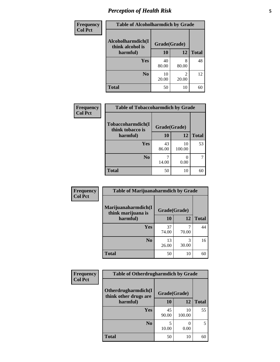# *Perception of Health Risk* **5**

| Frequency      | <b>Table of Alcoholharmdich by Grade</b> |              |            |              |
|----------------|------------------------------------------|--------------|------------|--------------|
| <b>Col Pct</b> | Alcoholharmdich(I<br>think alcohol is    | Grade(Grade) |            |              |
|                | harmful)                                 | 10           | 12         | <b>Total</b> |
|                | <b>Yes</b>                               | 40<br>80.00  | 8<br>80.00 | 48           |
|                | N <sub>0</sub>                           | 10<br>20.00  | 20.00      | 12           |
|                | <b>Total</b>                             | 50           | 10         | 60           |

| <b>Frequency</b> | <b>Table of Tobaccoharmdich by Grade</b> |              |                  |              |
|------------------|------------------------------------------|--------------|------------------|--------------|
| <b>Col Pct</b>   | Tobaccoharmdich(I<br>think tobacco is    | Grade(Grade) |                  |              |
|                  | harmful)                                 | 10           | 12               | <b>Total</b> |
|                  | Yes                                      | 43<br>86.00  | 10<br>100.00     | 53           |
|                  | N <sub>0</sub>                           | 14.00        | $\theta$<br>0.00 |              |
|                  | <b>Total</b>                             | 50           | 10               | 60           |

| Frequency      | <b>Table of Marijuanaharmdich by Grade</b> |              |            |              |  |  |
|----------------|--------------------------------------------|--------------|------------|--------------|--|--|
| <b>Col Pct</b> | Marijuanaharmdich(I<br>think marijuana is  | Grade(Grade) |            |              |  |  |
|                | harmful)                                   | <b>10</b>    | 12         | <b>Total</b> |  |  |
|                | <b>Yes</b>                                 | 37<br>74.00  | 70.00      | 44           |  |  |
|                | N <sub>0</sub>                             | 13<br>26.00  | 3<br>30.00 | 16           |  |  |
|                | <b>Total</b>                               | 50           | 10         | 60           |  |  |

| <b>Frequency</b> | <b>Table of Otherdrugharmdich by Grade</b>                   |             |              |              |
|------------------|--------------------------------------------------------------|-------------|--------------|--------------|
| <b>Col Pct</b>   | Otherdrugharmdich(I<br>Grade(Grade)<br>think other drugs are |             |              |              |
|                  | harmful)                                                     | <b>10</b>   | 12           | <b>Total</b> |
|                  | <b>Yes</b>                                                   | 45<br>90.00 | 10<br>100.00 | 55           |
|                  | N <sub>0</sub>                                               | 10.00       | 0.00         | 5            |
|                  | <b>Total</b>                                                 | 50          | 10           | 60           |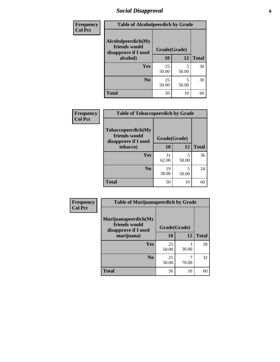## *Social Disapproval* **6**

| Frequency      | <b>Table of Alcoholpeerdich by Grade</b>                    |              |            |              |  |
|----------------|-------------------------------------------------------------|--------------|------------|--------------|--|
| <b>Col Pct</b> | Alcoholpeerdich(My<br>friends would<br>disapprove if I used | Grade(Grade) |            |              |  |
|                | alcohol)                                                    | 10           | 12         | <b>Total</b> |  |
|                | <b>Yes</b>                                                  | 25<br>50.00  | 5<br>50.00 | 30           |  |
|                | N <sub>0</sub>                                              | 25<br>50.00  | 5<br>50.00 | 30           |  |
|                | <b>Total</b>                                                | 50           | 10         | 60           |  |

| <b>Frequency</b> |
|------------------|
| <b>Col Pct</b>   |

| <b>Table of Tobaccopeerdich by Grade</b>                    |              |            |              |  |  |
|-------------------------------------------------------------|--------------|------------|--------------|--|--|
| Tobaccopeerdich(My<br>friends would<br>disapprove if I used | Grade(Grade) |            |              |  |  |
| tobacco)                                                    | 10           | 12         | <b>Total</b> |  |  |
| Yes                                                         | 31<br>62.00  | 5<br>50.00 | 36           |  |  |
| N <sub>0</sub>                                              | 19<br>38.00  | 5<br>50.00 | 24           |  |  |
| <b>Total</b>                                                | 50           | 10         |              |  |  |

| Frequency      | <b>Table of Marijuanapeerdich by Grade</b>                    |              |            |              |
|----------------|---------------------------------------------------------------|--------------|------------|--------------|
| <b>Col Pct</b> | Marijuanapeerdich(My<br>friends would<br>disapprove if I used | Grade(Grade) |            |              |
|                | marijuana)                                                    | 10           | 12         | <b>Total</b> |
|                | <b>Yes</b>                                                    | 25<br>50.00  | 3<br>30.00 | 28           |
|                | N <sub>0</sub>                                                | 25<br>50.00  | 70.00      | 32           |
|                | <b>Total</b>                                                  | 50           | 10         | 60           |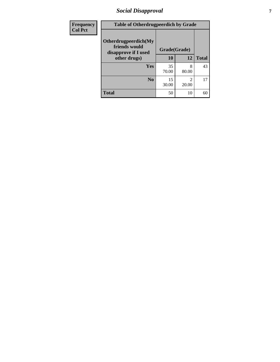## *Social Disapproval* **7**

| Frequency      | <b>Table of Otherdrugpeerdich by Grade</b>                    |              |            |              |  |
|----------------|---------------------------------------------------------------|--------------|------------|--------------|--|
| <b>Col Pct</b> | Otherdrugpeerdich(My<br>friends would<br>disapprove if I used | Grade(Grade) |            |              |  |
|                | other drugs)                                                  | 10           | 12         | <b>Total</b> |  |
|                | Yes                                                           | 35<br>70.00  | 8<br>80.00 | 43           |  |
|                | N <sub>0</sub>                                                | 15<br>30.00  | 2<br>20.00 | 17           |  |
|                | <b>Total</b>                                                  | 50           | 10         | 60           |  |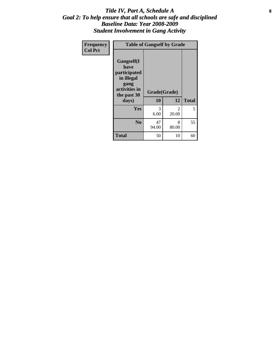### Title IV, Part A, Schedule A **8** *Goal 2: To help ensure that all schools are safe and disciplined Baseline Data: Year 2008-2009 Student Involvement in Gang Activity*

| Frequency      | <b>Table of Gangself by Grade</b>                                                                 |                    |            |              |  |
|----------------|---------------------------------------------------------------------------------------------------|--------------------|------------|--------------|--|
| <b>Col Pct</b> | Gangself(I<br>have<br>participated<br>in illegal<br>gang<br>activities in<br>the past 30<br>days) | Grade(Grade)<br>10 | 12         | <b>Total</b> |  |
|                | Yes                                                                                               | 3<br>6.00          | 2<br>20.00 | 5            |  |
|                | N <sub>0</sub>                                                                                    | 47<br>94.00        | 8<br>80.00 | 55           |  |
|                | <b>Total</b>                                                                                      | 50                 | 10         | 60           |  |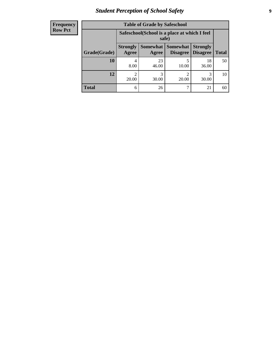# *Student Perception of School Safety* **9**

| <b>Frequency</b><br>Row Pct |
|-----------------------------|
|                             |

| <b>Table of Grade by Safeschool</b> |                          |                                                        |                             |                                    |              |
|-------------------------------------|--------------------------|--------------------------------------------------------|-----------------------------|------------------------------------|--------------|
|                                     |                          | Safeschool (School is a place at which I feel<br>safe) |                             |                                    |              |
| Grade(Grade)                        | <b>Strongly</b><br>Agree | Somewhat  <br>Agree                                    | <b>Somewhat</b><br>Disagree | <b>Strongly</b><br><b>Disagree</b> | <b>Total</b> |
| 10                                  | 8.00                     | 23<br>46.00                                            | 10.00                       | 18<br>36.00                        | 50           |
| 12                                  | 20.00                    | 3<br>30.00                                             | $\mathfrak{D}$<br>20.00     | 30.00                              | 10           |
| <b>Total</b>                        | 6                        | 26                                                     |                             | 21                                 | 60           |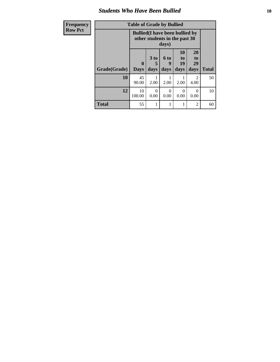### *Students Who Have Been Bullied* **10**

| Frequency      |              | <b>Table of Grade by Bullied</b>       |                               |                   |                               |                                     |              |
|----------------|--------------|----------------------------------------|-------------------------------|-------------------|-------------------------------|-------------------------------------|--------------|
| <b>Row Pct</b> |              | <b>Bullied</b> (I have been bullied by | other students in the past 30 | days)             |                               |                                     |              |
|                | Grade(Grade) | $\bf{0}$<br><b>Days</b>                | 3 to<br>days                  | 6 to<br>9<br>days | <b>10</b><br>to<br>19<br>days | 20<br>to<br>29<br>days              | <b>Total</b> |
|                | 10           | 45<br>90.00                            | 2.00                          | 2.00              | 2.00                          | $\mathcal{D}_{\mathcal{L}}$<br>4.00 | 50           |
|                | 12           | 10<br>100.00                           | 0<br>0.00                     | 0<br>0.00         | $\Omega$<br>0.00              | 0<br>0.00                           | 10           |
|                | <b>Total</b> | 55                                     |                               |                   |                               | $\mathfrak{D}$                      | 60           |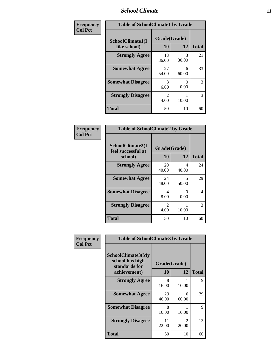### *School Climate* **11**

| <b>Frequency</b> | <b>Table of SchoolClimate1 by Grade</b> |                        |            |              |  |
|------------------|-----------------------------------------|------------------------|------------|--------------|--|
| <b>Col Pct</b>   | SchoolClimate1(I<br>like school)        | Grade(Grade)<br>10     | 12         | <b>Total</b> |  |
|                  | <b>Strongly Agree</b>                   | 18<br>36.00            | 3<br>30.00 | 21           |  |
|                  | <b>Somewhat Agree</b>                   | 27<br>54.00            | 6<br>60.00 | 33           |  |
|                  | <b>Somewhat Disagree</b>                | 3<br>6.00              | 0.00       | 3            |  |
|                  | <b>Strongly Disagree</b>                | $\mathfrak{D}$<br>4.00 | 10.00      | 3            |  |
|                  | <b>Total</b>                            | 50                     | 10         | 60           |  |

| Frequency<br>Col Pct |
|----------------------|

| <b>Table of SchoolClimate2 by Grade</b>           |                    |            |              |  |
|---------------------------------------------------|--------------------|------------|--------------|--|
| SchoolClimate2(I<br>feel successful at<br>school) | Grade(Grade)<br>10 | 12         | <b>Total</b> |  |
| <b>Strongly Agree</b>                             | 20<br>40.00        | 4<br>40.00 | 24           |  |
| <b>Somewhat Agree</b>                             | 24<br>48.00        | 5<br>50.00 | 29           |  |
| <b>Somewhat Disagree</b>                          | 4<br>8.00          | 0.00       | 4            |  |
| <b>Strongly Disagree</b>                          | 2<br>4.00          | 10.00      | 3            |  |
| <b>Total</b>                                      | 50                 | 10         | 60           |  |

| Frequency      | <b>Table of SchoolClimate3 by Grade</b>                                      |                    |                                   |              |
|----------------|------------------------------------------------------------------------------|--------------------|-----------------------------------|--------------|
| <b>Col Pct</b> | <b>SchoolClimate3(My</b><br>school has high<br>standards for<br>achievement) | Grade(Grade)<br>10 | 12                                | <b>Total</b> |
|                | <b>Strongly Agree</b>                                                        | 8<br>16.00         | 10.00                             | 9            |
|                | <b>Somewhat Agree</b>                                                        | 23<br>46.00        | 6<br>60.00                        | 29           |
|                | <b>Somewhat Disagree</b>                                                     | 8<br>16.00         | 10.00                             | 9            |
|                | <b>Strongly Disagree</b>                                                     | 11<br>22.00        | $\overline{\mathcal{L}}$<br>20.00 | 13           |
|                | Total                                                                        | 50                 | 10                                | 60           |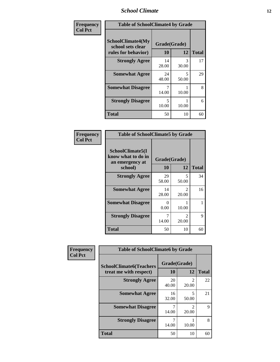### *School Climate* **12**

| Frequency      | <b>Table of SchoolClimate4 by Grade</b>                       |                    |            |              |
|----------------|---------------------------------------------------------------|--------------------|------------|--------------|
| <b>Col Pct</b> | SchoolClimate4(My<br>school sets clear<br>rules for behavior) | Grade(Grade)<br>10 | 12         | <b>Total</b> |
|                | <b>Strongly Agree</b>                                         | 14<br>28.00        | 3<br>30.00 | 17           |
|                | <b>Somewhat Agree</b>                                         | 24<br>48.00        | 5<br>50.00 | 29           |
|                | <b>Somewhat Disagree</b>                                      | 7<br>14.00         | 10.00      | 8            |
|                | <b>Strongly Disagree</b>                                      | 5<br>10.00         | 10.00      | 6            |
|                | <b>Total</b>                                                  | 50                 | 10         | 60           |

| <b>Table of SchoolClimate5 by Grade</b>                              |                           |                         |              |  |  |
|----------------------------------------------------------------------|---------------------------|-------------------------|--------------|--|--|
| SchoolClimate5(I<br>know what to do in<br>an emergency at<br>school) | Grade(Grade)<br>10        | 12                      | <b>Total</b> |  |  |
| <b>Strongly Agree</b>                                                | 29                        | 5                       | 34           |  |  |
|                                                                      | 58.00                     | 50.00                   |              |  |  |
| <b>Somewhat Agree</b>                                                | 14<br>28.00               | 2<br>20.00              | 16           |  |  |
| <b>Somewhat Disagree</b>                                             | $\mathbf{\Omega}$<br>0.00 | 10.00                   | 1            |  |  |
| <b>Strongly Disagree</b>                                             | 14.00                     | $\mathfrak{D}$<br>20.00 | 9            |  |  |
| Total                                                                | 50                        | 10                      | 60           |  |  |

| Frequency      | <b>Table of SchoolClimate6 by Grade</b>                  |             |                                      |              |
|----------------|----------------------------------------------------------|-------------|--------------------------------------|--------------|
| <b>Col Pct</b> | <b>SchoolClimate6(Teachers</b><br>treat me with respect) | 10          | Grade(Grade)<br>12                   | <b>Total</b> |
|                | <b>Strongly Agree</b>                                    | 20<br>40.00 | $\mathcal{D}_{\mathcal{A}}$<br>20.00 | 22           |
|                | <b>Somewhat Agree</b>                                    | 16<br>32.00 | 5<br>50.00                           | 21           |
|                | <b>Somewhat Disagree</b>                                 | 14.00       | $\mathcal{D}_{\mathcal{L}}$<br>20.00 | 9            |
|                | <b>Strongly Disagree</b>                                 | 14.00       | 10.00                                | 8            |
|                | <b>Total</b>                                             | 50          | 10                                   | 60           |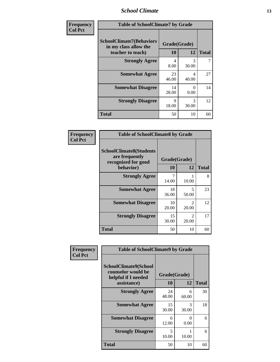### *School Climate* **13**

| Frequency      | <b>Table of SchoolClimate7 by Grade</b>                                       |                           |                        |              |
|----------------|-------------------------------------------------------------------------------|---------------------------|------------------------|--------------|
| <b>Col Pct</b> | <b>SchoolClimate7(Behaviors</b><br>in my class allow the<br>teacher to teach) | Grade(Grade)<br><b>10</b> | 12                     | <b>Total</b> |
|                | <b>Strongly Agree</b>                                                         | 4<br>8.00                 | 3<br>30.00             |              |
|                | <b>Somewhat Agree</b>                                                         | 23<br>46.00               | 4<br>40.00             | 27           |
|                | <b>Somewhat Disagree</b>                                                      | 14<br>28.00               | 0<br>0.00              | 14           |
|                | <b>Strongly Disagree</b>                                                      | $\mathbf Q$<br>18.00      | $\mathcal{R}$<br>30.00 | 12           |
|                | <b>Total</b>                                                                  | 50                        | 10                     | 60           |

| Frequency      | <b>Table of SchoolClimate8 by Grade</b>                                 |              |                         |              |
|----------------|-------------------------------------------------------------------------|--------------|-------------------------|--------------|
| <b>Col Pct</b> | <b>SchoolClimate8(Students</b><br>are frequently<br>recognized for good | Grade(Grade) |                         |              |
|                | behavior)                                                               | 10           | 12                      | <b>Total</b> |
|                | <b>Strongly Agree</b>                                                   | 14.00        | 10.00                   | 8            |
|                | <b>Somewhat Agree</b>                                                   | 18<br>36.00  | 5<br>50.00              | 23           |
|                | <b>Somewhat Disagree</b>                                                | 10<br>20.00  | $\mathfrak{D}$<br>20.00 | 12           |
|                | <b>Strongly Disagree</b>                                                | 15<br>30.00  | $\mathfrak{D}$<br>20.00 | 17           |
|                | <b>Total</b>                                                            | 50           | 10                      | 60           |

| <b>Frequency</b> | <b>Table of SchoolClimate9 by Grade</b>                                           |                    |            |              |
|------------------|-----------------------------------------------------------------------------------|--------------------|------------|--------------|
| <b>Col Pct</b>   | SchoolClimate9(School<br>counselor would be<br>helpful if I needed<br>assistance) | Grade(Grade)<br>10 | 12         | <b>Total</b> |
|                  | <b>Strongly Agree</b>                                                             | 24<br>48.00        | 6<br>60.00 | 30           |
|                  | <b>Somewhat Agree</b>                                                             | 15<br>30.00        | 3<br>30.00 | 18           |
|                  | <b>Somewhat Disagree</b>                                                          | 6<br>12.00         | ∩<br>0.00  | 6            |
|                  | <b>Strongly Disagree</b>                                                          | 5<br>10.00         | 10.00      | 6            |
|                  | <b>Total</b>                                                                      | 50                 | 10         | 60           |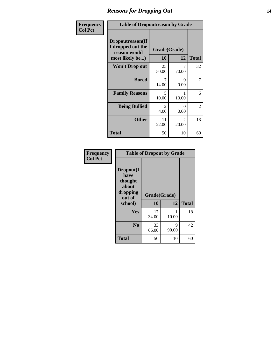### *Reasons for Dropping Out* **14**

| Frequency      | <b>Table of Dropoutreason by Grade</b>                                   |             |                         |              |
|----------------|--------------------------------------------------------------------------|-------------|-------------------------|--------------|
| <b>Col Pct</b> | Dropoutreason(If<br>I dropped out the<br>reason would<br>most likely be) | 10          | Grade(Grade)<br>12      | <b>Total</b> |
|                | Won't Drop out                                                           | 25<br>50.00 | 7<br>70.00              | 32           |
|                | <b>Bored</b>                                                             | 7<br>14.00  | 0<br>0.00               | 7            |
|                | <b>Family Reasons</b>                                                    | 5<br>10.00  | 10.00                   | 6            |
|                | <b>Being Bullied</b>                                                     | 2<br>4.00   | $\Omega$<br>0.00        | 2            |
|                | <b>Other</b>                                                             | 11<br>22.00 | $\mathfrak{D}$<br>20.00 | 13           |
|                | <b>Total</b>                                                             | 50          | 10                      | 60           |

| Frequency<br><b>Col Pct</b> | <b>Table of Dropout by Grade</b>                                       |                    |            |              |  |
|-----------------------------|------------------------------------------------------------------------|--------------------|------------|--------------|--|
|                             | Dropout(I<br>have<br>thought<br>about<br>dropping<br>out of<br>school) | Grade(Grade)<br>10 | 12         | <b>Total</b> |  |
|                             |                                                                        |                    |            |              |  |
|                             | Yes                                                                    | 17<br>34.00        | 10.00      | 18           |  |
|                             | N <sub>0</sub>                                                         | 33<br>66.00        | 9<br>90.00 | 42           |  |
|                             | <b>Total</b>                                                           | 50                 | 10         | 60           |  |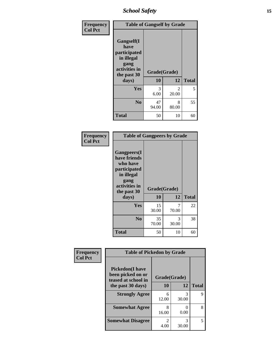*School Safety* **15**

| Frequency      | <b>Table of Gangself by Grade</b>                                                                 |                    |                        |              |
|----------------|---------------------------------------------------------------------------------------------------|--------------------|------------------------|--------------|
| <b>Col Pct</b> | Gangself(I<br>have<br>participated<br>in illegal<br>gang<br>activities in<br>the past 30<br>days) | Grade(Grade)<br>10 | 12                     | <b>Total</b> |
|                | Yes                                                                                               | 3<br>6.00          | $\mathcal{L}$<br>20.00 | 5            |
|                | N <sub>0</sub>                                                                                    | 47<br>94.00        | 8<br>80.00             | 55           |
|                | <b>Total</b>                                                                                      | 50                 | 10                     | 60           |

| Frequency<br><b>Col Pct</b> | <b>Table of Gangpeers by Grade</b>                                                                                             |                    |            |              |
|-----------------------------|--------------------------------------------------------------------------------------------------------------------------------|--------------------|------------|--------------|
|                             | <b>Gangpeers</b> (I<br>have friends<br>who have<br>participated<br>in illegal<br>gang<br>activities in<br>the past 30<br>days) | Grade(Grade)<br>10 | 12         | <b>Total</b> |
|                             | Yes                                                                                                                            | 15<br>30.00        | 7<br>70.00 | 22           |
|                             | N <sub>0</sub>                                                                                                                 | 35<br>70.00        | 3<br>30.00 | 38           |
|                             | <b>Total</b>                                                                                                                   | 50                 | 10         | 60           |

| Frequency      | <b>Table of Pickedon by Grade</b>                                  |                                     |                           |              |
|----------------|--------------------------------------------------------------------|-------------------------------------|---------------------------|--------------|
| <b>Col Pct</b> | <b>Pickedon(I have</b><br>been picked on or<br>teased at school in | Grade(Grade)                        |                           |              |
|                | the past 30 days)                                                  | 10                                  | 12                        | <b>Total</b> |
|                | <b>Strongly Agree</b>                                              | 6<br>12.00                          | 3<br>30.00                | 9            |
|                | <b>Somewhat Agree</b>                                              | 8<br>16.00                          | $\mathbf{\Omega}$<br>0.00 | 8            |
|                | <b>Somewhat Disagree</b>                                           | $\mathcal{D}_{\mathcal{L}}$<br>4.00 | 3<br>30.00                | 5            |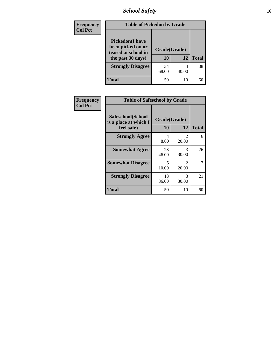# *School Safety* **16**

| <b>Frequency</b> | <b>Table of Pickedon by Grade</b>                                                        |                    |       |              |  |  |  |  |
|------------------|------------------------------------------------------------------------------------------|--------------------|-------|--------------|--|--|--|--|
| <b>Col Pct</b>   | <b>Pickedon</b> (I have<br>been picked on or<br>teased at school in<br>the past 30 days) | Grade(Grade)<br>10 | 12    | <b>Total</b> |  |  |  |  |
|                  | <b>Strongly Disagree</b>                                                                 | 34<br>68.00        | 40.00 | 38           |  |  |  |  |
|                  | Total                                                                                    | 50                 | 10    |              |  |  |  |  |

| Frequency      | <b>Table of Safeschool by Grade</b>                      |                    |              |    |  |  |  |  |  |
|----------------|----------------------------------------------------------|--------------------|--------------|----|--|--|--|--|--|
| <b>Col Pct</b> | Safeschool(School<br>is a place at which I<br>feel safe) | Grade(Grade)<br>10 | <b>Total</b> |    |  |  |  |  |  |
|                | <b>Strongly Agree</b>                                    | 4<br>8.00          | 2<br>20.00   | 6  |  |  |  |  |  |
|                | <b>Somewhat Agree</b>                                    | 23<br>46.00        | 3<br>30.00   | 26 |  |  |  |  |  |
|                | <b>Somewhat Disagree</b>                                 | 5<br>10.00         | 2<br>20.00   | 7  |  |  |  |  |  |
|                | <b>Strongly Disagree</b>                                 | 18<br>36.00        | 3<br>30.00   | 21 |  |  |  |  |  |
|                | <b>Total</b>                                             | 50                 | 10           | 60 |  |  |  |  |  |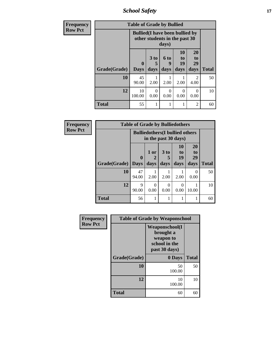*School Safety* **17**

| <b>Frequency</b> | <b>Table of Grade by Bullied</b> |                                                                                  |                              |                   |                                           |                        |              |  |  |
|------------------|----------------------------------|----------------------------------------------------------------------------------|------------------------------|-------------------|-------------------------------------------|------------------------|--------------|--|--|
| <b>Row Pct</b>   |                                  | <b>Bullied</b> (I have been bullied by<br>other students in the past 30<br>days) |                              |                   |                                           |                        |              |  |  |
|                  | Grade(Grade)                     | $\mathbf{0}$<br><b>Days</b>                                                      | 3 <sub>to</sub><br>5<br>days | 6 to<br>9<br>days | <b>10</b><br>t <sub>0</sub><br>19<br>days | 20<br>to<br>29<br>days | <b>Total</b> |  |  |
|                  | 10                               | 45<br>90.00                                                                      | 2.00                         | 2.00              | 2.00                                      | $\mathfrak{D}$<br>4.00 | 50           |  |  |
|                  | 12                               | 10<br>100.00                                                                     | $\Omega$<br>0.00             | $\Omega$<br>0.00  | 0<br>0.00                                 | $\Omega$<br>0.00       | 10           |  |  |
|                  | <b>Total</b>                     | 55                                                                               |                              | 1                 |                                           | $\overline{2}$         | 60           |  |  |

| Frequency      | <b>Table of Grade by Bulliedothers</b> |                             |                   |                                                                |                               |                               |              |  |
|----------------|----------------------------------------|-----------------------------|-------------------|----------------------------------------------------------------|-------------------------------|-------------------------------|--------------|--|
| <b>Row Pct</b> |                                        |                             |                   | <b>Bulliedothers</b> (I bullied others<br>in the past 30 days) |                               |                               |              |  |
|                | Grade(Grade)                           | $\mathbf{0}$<br><b>Days</b> | 1 or<br>2<br>days | 3 to<br>days                                                   | <b>10</b><br>to<br>19<br>days | <b>20</b><br>to<br>29<br>days | <b>Total</b> |  |
|                | 10                                     | 47<br>94.00                 | 2.00              | 2.00                                                           | 2.00                          | $\mathbf{\Omega}$<br>0.00     | 50           |  |
|                | 12                                     | 9<br>90.00                  | $\Omega$<br>0.00  | 0<br>0.00                                                      | ∩<br>0.00                     | 10.00                         | 10           |  |
|                | <b>Total</b>                           | 56                          | 1                 |                                                                | 1                             |                               | 60           |  |

| Frequency      | <b>Table of Grade by Weaponschool</b> |                                                                                    |              |  |  |  |
|----------------|---------------------------------------|------------------------------------------------------------------------------------|--------------|--|--|--|
| <b>Row Pct</b> |                                       | <b>Weaponschool</b> (I<br>brought a<br>weapon to<br>school in the<br>past 30 days) |              |  |  |  |
|                | Grade(Grade)                          | 0 Days                                                                             | <b>Total</b> |  |  |  |
|                | 10                                    | 50<br>100.00                                                                       | 50           |  |  |  |
|                | 12                                    | 10<br>100.00                                                                       | 10           |  |  |  |
|                | <b>Total</b>                          | 60                                                                                 | 60           |  |  |  |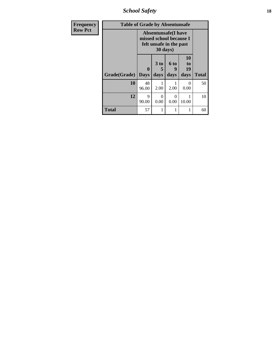*School Safety* **18**

| <b>Frequency</b> | <b>Table of Grade by Absentunsafe</b>                                                                 |                         |                              |                   |                                    |              |  |  |
|------------------|-------------------------------------------------------------------------------------------------------|-------------------------|------------------------------|-------------------|------------------------------------|--------------|--|--|
| <b>Row Pct</b>   | <b>Absentunsafe(I have</b><br>missed school because I<br>felt unsafe in the past<br>$30 \text{ days}$ |                         |                              |                   |                                    |              |  |  |
|                  | Grade(Grade)                                                                                          | $\bf{0}$<br><b>Days</b> | 3 <sub>to</sub><br>5<br>days | 6 to<br>9<br>days | 10<br>t <sub>0</sub><br>19<br>days | <b>Total</b> |  |  |
|                  | 10                                                                                                    | 48<br>96.00             | 2.00                         | 2.00              | 0<br>0.00                          | 50           |  |  |
|                  | 12                                                                                                    | 9<br>90.00              | 0<br>0.00                    | $\Omega$<br>0.00  | 1<br>10.00                         | 10           |  |  |
|                  | <b>Total</b>                                                                                          | 57                      | 1                            | 1                 | 1                                  | 60           |  |  |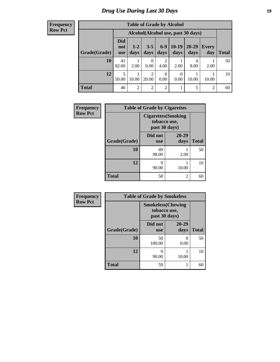#### **Frequency Row Pct**

| <b>Table of Grade by Alcohol</b> |                                 |                                    |                 |                        |                 |                   |              |       |  |
|----------------------------------|---------------------------------|------------------------------------|-----------------|------------------------|-----------------|-------------------|--------------|-------|--|
|                                  |                                 | Alcohol(Alcohol use, past 30 days) |                 |                        |                 |                   |              |       |  |
| Grade(Grade)                     | <b>Did</b><br>not<br><b>use</b> | $1 - 2$<br>days                    | $3 - 5$<br>days | $6-9$<br>days          | $10-19$<br>days | $20 - 29$<br>days | Every<br>day | Total |  |
| 10                               | 41<br>82.00                     | 2.00                               | 0<br>0.00       | $\overline{2}$<br>4.00 | 2.00            | 4<br>8.00         | 2.00         | 50    |  |
| 12                               | 5<br>50.00                      | 10.00                              | 2<br>20.00      | $\theta$<br>0.00       | 0<br>0.00       | 10.00             | 10.00        | 10    |  |
| <b>Total</b>                     | 46                              | 2                                  | 2               | $\overline{2}$         |                 | 5                 | 2            | 60    |  |

| Frequency      | <b>Table of Grade by Cigarettes</b> |                               |                            |              |  |  |  |  |  |  |
|----------------|-------------------------------------|-------------------------------|----------------------------|--------------|--|--|--|--|--|--|
| <b>Row Pct</b> |                                     | tobacco use,<br>past 30 days) | <b>Cigarettes</b> (Smoking |              |  |  |  |  |  |  |
|                | Grade(Grade)                        | Did not<br><b>use</b>         | 20-29<br>days              | <b>Total</b> |  |  |  |  |  |  |
|                | 10                                  | 49<br>98.00                   | 2.00                       | 50           |  |  |  |  |  |  |
|                | 12                                  | 9<br>90.00                    | 10.00                      | 10           |  |  |  |  |  |  |
|                | <b>Total</b>                        | 58                            | 2                          | 60           |  |  |  |  |  |  |

| Frequency      | <b>Table of Grade by Smokeless</b> |                                                            |               |              |  |  |  |  |
|----------------|------------------------------------|------------------------------------------------------------|---------------|--------------|--|--|--|--|
| <b>Row Pct</b> |                                    | <b>Smokeless</b> (Chewing<br>tobacco use,<br>past 30 days) |               |              |  |  |  |  |
|                | Grade(Grade)                       | Did not<br><b>use</b>                                      | 20-29<br>days | <b>Total</b> |  |  |  |  |
|                | 10                                 | 50<br>100.00                                               | 0.00          | 50           |  |  |  |  |
|                | 12                                 | Q<br>90.00                                                 | 10.00         | 10           |  |  |  |  |
|                | <b>Total</b>                       | 59                                                         |               | 60           |  |  |  |  |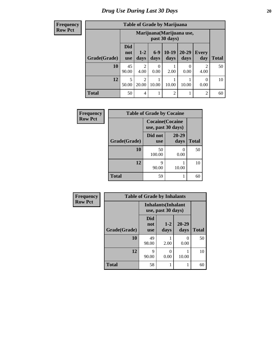**Frequency Row Pct**

| <b>Table of Grade by Marijuana</b> |             |                                                                                                                                                                                       |           |                |           |                        |    |  |  |  |
|------------------------------------|-------------|---------------------------------------------------------------------------------------------------------------------------------------------------------------------------------------|-----------|----------------|-----------|------------------------|----|--|--|--|
|                                    |             | Marijuana (Marijuana use,<br>past 30 days)<br><b>Did</b><br>$10-19$<br>20-29<br>$6-9$<br>$1 - 2$<br>Every<br>not<br>days<br>days<br><b>Total</b><br>days<br>days<br>day<br><b>use</b> |           |                |           |                        |    |  |  |  |
| Grade(Grade)                       |             |                                                                                                                                                                                       |           |                |           |                        |    |  |  |  |
| 10                                 | 45<br>90.00 | 2<br>4.00                                                                                                                                                                             | 0<br>0.00 | 2.00           | 0<br>0.00 | $\overline{2}$<br>4.00 | 50 |  |  |  |
| 12                                 | 5<br>50.00  | 2<br>$\Omega$<br>20.00<br>10.00<br>10.00<br>10.00<br>0.00                                                                                                                             |           |                |           |                        |    |  |  |  |
| <b>Total</b>                       | 50          | 4                                                                                                                                                                                     |           | $\overline{2}$ | 1         | $\overline{2}$         | 60 |  |  |  |

| Frequency      | <b>Table of Grade by Cocaine</b> |                                               |               |              |  |  |  |
|----------------|----------------------------------|-----------------------------------------------|---------------|--------------|--|--|--|
| <b>Row Pct</b> |                                  | <b>Cocaine</b> (Cocaine<br>use, past 30 days) |               |              |  |  |  |
|                | Grade(Grade)                     | Did not<br><b>use</b>                         | 20-29<br>days | <b>Total</b> |  |  |  |
|                | 10                               | 50<br>100.00                                  | 0.00          | 50           |  |  |  |
|                | 12                               | 9<br>90.00                                    | 10.00         | 10           |  |  |  |
|                | <b>Total</b>                     | 59                                            |               | 60           |  |  |  |

| Frequency      | <b>Table of Grade by Inhalants</b> |                                                  |                 |                   |              |
|----------------|------------------------------------|--------------------------------------------------|-----------------|-------------------|--------------|
| <b>Row Pct</b> |                                    | <b>Inhalants</b> (Inhalant<br>use, past 30 days) |                 |                   |              |
|                | Grade(Grade)                       | <b>Did</b><br>not<br><b>use</b>                  | $1 - 2$<br>days | $20 - 29$<br>days | <b>Total</b> |
|                | 10                                 | 49<br>98.00                                      | 2.00            | 0<br>0.00         | 50           |
|                | 12                                 | 9<br>90.00                                       | 0<br>0.00       | 10.00             | 10           |
|                | <b>Total</b>                       | 58                                               |                 |                   | 60           |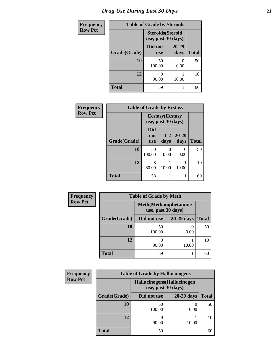| <b>Frequency</b> | <b>Table of Grade by Steroids</b> |                                                |                           |              |
|------------------|-----------------------------------|------------------------------------------------|---------------------------|--------------|
| <b>Row Pct</b>   |                                   | <b>Steroids</b> (Steroid<br>use, past 30 days) |                           |              |
|                  | Grade(Grade)                      | Did not<br><b>use</b>                          | $20 - 29$<br>days         | <b>Total</b> |
|                  | 10                                | 50<br>100.00                                   | $\mathbf{\Omega}$<br>0.00 | 50           |
|                  | 12                                | 9<br>90.00                                     | 10.00                     | 10           |
|                  | <b>Total</b>                      | 59                                             |                           | 60           |

| Frequency      | <b>Table of Grade by Ecstasy</b> |                                 |                                               |                   |              |
|----------------|----------------------------------|---------------------------------|-----------------------------------------------|-------------------|--------------|
| <b>Row Pct</b> |                                  |                                 | <b>Ecstasy</b> (Ecstasy<br>use, past 30 days) |                   |              |
|                | Grade(Grade)                     | <b>Did</b><br>not<br><b>use</b> | $1 - 2$<br>days                               | $20 - 29$<br>days | <b>Total</b> |
|                | 10                               | 50<br>100.00                    | 0<br>0.00                                     | 0<br>0.00         | 50           |
|                | 12                               | 8<br>80.00                      | 10.00                                         | 10.00             | 10           |
|                | <b>Total</b>                     | 58                              |                                               |                   | 60           |

| <b>Frequency</b> | <b>Table of Grade by Meth</b>                      |              |              |              |  |
|------------------|----------------------------------------------------|--------------|--------------|--------------|--|
| <b>Row Pct</b>   | <b>Meth</b> (Methamphetamine<br>use, past 30 days) |              |              |              |  |
|                  | Grade(Grade)                                       | Did not use  | $20-29$ days | <b>Total</b> |  |
|                  | 10                                                 | 50<br>100.00 | 0.00         | 50           |  |
|                  | 12                                                 | q<br>90.00   | 10.00        | 10           |  |
|                  | <b>Total</b>                                       | 59           |              | 60           |  |

| <b>Frequency</b> | <b>Table of Grade by Hallucinogens</b> |                                                   |                   |              |  |
|------------------|----------------------------------------|---------------------------------------------------|-------------------|--------------|--|
| <b>Row Pct</b>   |                                        | Hallucinogens (Hallucinogen<br>use, past 30 days) |                   |              |  |
|                  | Grade(Grade)                           | Did not use                                       | <b>20-29 days</b> | <b>Total</b> |  |
|                  | 10                                     | 50<br>100.00                                      | 0<br>0.00         | 50           |  |
|                  | 12                                     | 9<br>90.00                                        | 10.00             | 10           |  |
|                  | <b>Total</b>                           | 59                                                |                   | 60           |  |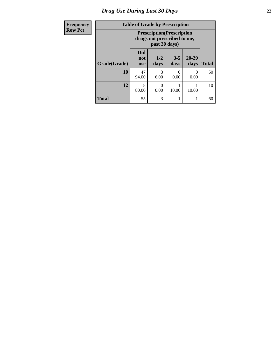# *Drug Use During Last 30 Days* **22**

| Frequency      | <b>Table of Grade by Prescription</b> |                                                                                   |                 |                      |                   |              |
|----------------|---------------------------------------|-----------------------------------------------------------------------------------|-----------------|----------------------|-------------------|--------------|
| <b>Row Pct</b> |                                       | <b>Prescription</b> (Prescription<br>drugs not prescribed to me,<br>past 30 days) |                 |                      |                   |              |
|                | Grade(Grade)                          | <b>Did</b><br>not<br><b>use</b>                                                   | $1 - 2$<br>days | $3 - 5$<br>days      | $20 - 29$<br>days | <b>Total</b> |
|                | 10                                    | 47<br>94.00                                                                       | 3<br>6.00       | $\mathbf{0}$<br>0.00 | $\left($<br>0.00  | 50           |
|                | 12                                    | 8<br>80.00                                                                        | 0.00            | 10.00                | 10.00             | 10           |
|                | <b>Total</b>                          | 55                                                                                | 3               | 1                    |                   | 60           |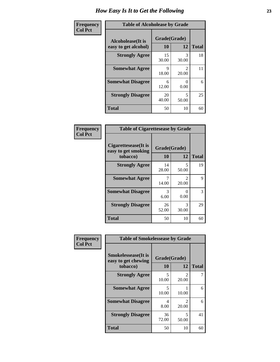| Frequency      | <b>Table of Alcoholease by Grade</b>              |                    |                         |              |  |
|----------------|---------------------------------------------------|--------------------|-------------------------|--------------|--|
| <b>Col Pct</b> | <b>Alcoholease</b> (It is<br>easy to get alcohol) | Grade(Grade)<br>10 | 12                      | <b>Total</b> |  |
|                | <b>Strongly Agree</b>                             | 15<br>30.00        | 3<br>30.00              | 18           |  |
|                | <b>Somewhat Agree</b>                             | 9<br>18.00         | $\mathfrak{D}$<br>20.00 | 11           |  |
|                | <b>Somewhat Disagree</b>                          | 6<br>12.00         | $\Omega$<br>0.00        | 6            |  |
|                | <b>Strongly Disagree</b>                          | 20<br>40.00        | 5<br>50.00              | 25           |  |
|                | <b>Total</b>                                      | 50                 | 10                      | 60           |  |

| Frequency      | <b>Table of Cigarettesease by Grade</b>                 |                    |                         |              |  |
|----------------|---------------------------------------------------------|--------------------|-------------------------|--------------|--|
| <b>Col Pct</b> | Cigarettesease(It is<br>easy to get smoking<br>tobacco) | Grade(Grade)<br>10 | 12                      | <b>Total</b> |  |
|                | <b>Strongly Agree</b>                                   | 14<br>28.00        | 5<br>50.00              | 19           |  |
|                | <b>Somewhat Agree</b>                                   | 14.00              | $\mathfrak{D}$<br>20.00 | 9            |  |
|                | <b>Somewhat Disagree</b>                                | 3<br>6.00          | 0<br>0.00               | 3            |  |
|                | <b>Strongly Disagree</b>                                | 26<br>52.00        | 3<br>30.00              | 29           |  |
|                | Total                                                   | 50                 | 10                      | 60           |  |

| Frequency      | <b>Table of Smokelessease by Grade</b>                         |                           |                         |              |
|----------------|----------------------------------------------------------------|---------------------------|-------------------------|--------------|
| <b>Col Pct</b> | <b>Smokelessease</b> (It is<br>easy to get chewing<br>tobacco) | Grade(Grade)<br><b>10</b> | 12                      | <b>Total</b> |
|                | <b>Strongly Agree</b>                                          | 5<br>10.00                | $\mathfrak{D}$<br>20.00 |              |
|                | <b>Somewhat Agree</b>                                          | 5<br>10.00                | 10.00                   | 6            |
|                | <b>Somewhat Disagree</b>                                       | 4<br>8.00                 | $\mathfrak{D}$<br>20.00 | 6            |
|                | <b>Strongly Disagree</b>                                       | 36<br>72.00               | 5<br>50.00              | 41           |
|                | <b>Total</b>                                                   | 50                        | 10                      | 60           |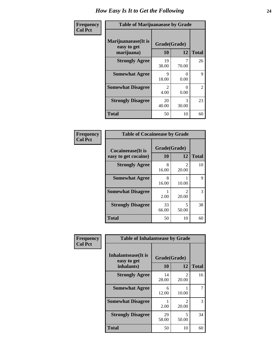| Frequency      | <b>Table of Marijuanaease by Grade</b>           |                                     |                           |                |  |
|----------------|--------------------------------------------------|-------------------------------------|---------------------------|----------------|--|
| <b>Col Pct</b> | Marijuanaease(It is<br>easy to get<br>marijuana) | Grade(Grade)<br>10                  | 12                        | <b>Total</b>   |  |
|                | <b>Strongly Agree</b>                            | 19<br>38.00                         | 70.00                     | 26             |  |
|                | <b>Somewhat Agree</b>                            | 9<br>18.00                          | $\Omega$<br>0.00          | 9              |  |
|                | <b>Somewhat Disagree</b>                         | $\mathcal{D}_{\mathcal{L}}$<br>4.00 | $\mathbf{\Omega}$<br>0.00 | $\overline{2}$ |  |
|                | <b>Strongly Disagree</b>                         | 20<br>40.00                         | 3<br>30.00                | 23             |  |
|                | <b>Total</b>                                     | 50                                  | 10                        | 60             |  |

|                                           | <b>Table of Cocaineease by Grade</b> |                         |    |  |  |  |
|-------------------------------------------|--------------------------------------|-------------------------|----|--|--|--|
| Cocaineease(It is<br>easy to get cocaine) | Grade(Grade)<br>10                   | <b>Total</b>            |    |  |  |  |
| <b>Strongly Agree</b>                     | 8<br>16.00                           | $\mathfrak{D}$<br>20.00 | 10 |  |  |  |
| <b>Somewhat Agree</b>                     | 8<br>16.00                           | 10.00                   | 9  |  |  |  |
| <b>Somewhat Disagree</b>                  | 2.00                                 | 2<br>20.00              | 3  |  |  |  |
| <b>Strongly Disagree</b>                  | 33<br>66.00                          | 5<br>50.00              | 38 |  |  |  |
| <b>Total</b>                              | 50                                   | 10                      |    |  |  |  |

| Frequency      | <b>Table of Inhalantsease by Grade</b>     |              |                         |              |  |
|----------------|--------------------------------------------|--------------|-------------------------|--------------|--|
| <b>Col Pct</b> | <b>Inhalantsease</b> (It is<br>easy to get | Grade(Grade) |                         |              |  |
|                | inhalants)                                 | 10           | 12                      | <b>Total</b> |  |
|                | <b>Strongly Agree</b>                      | 14<br>28.00  | 2<br>20.00              | 16           |  |
|                | <b>Somewhat Agree</b>                      | 6<br>12.00   | 10.00                   |              |  |
|                | <b>Somewhat Disagree</b>                   | 2.00         | $\mathfrak{D}$<br>20.00 | 3            |  |
|                | <b>Strongly Disagree</b>                   | 29<br>58.00  | 5<br>50.00              | 34           |  |
|                | <b>Total</b>                               | 50           | 10                      | 60           |  |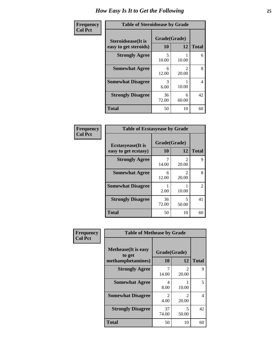| Frequency      | <b>Table of Steroidsease by Grade</b>               |                    |                         |              |  |  |
|----------------|-----------------------------------------------------|--------------------|-------------------------|--------------|--|--|
| <b>Col Pct</b> | <b>Steroidsease</b> (It is<br>easy to get steroids) | Grade(Grade)<br>10 | 12                      | <b>Total</b> |  |  |
|                | <b>Strongly Agree</b>                               | 5<br>10.00         | 10.00                   | 6            |  |  |
|                | <b>Somewhat Agree</b>                               | 6<br>12.00         | $\mathfrak{D}$<br>20.00 | 8            |  |  |
|                | <b>Somewhat Disagree</b>                            | 3<br>6.00          | 10.00                   | 4            |  |  |
|                | <b>Strongly Disagree</b>                            | 36<br>72.00        | 6<br>60.00              | 42           |  |  |
|                | <b>Total</b>                                        | 50                 | 10                      | 60           |  |  |

| Frequency      | <b>Table of Ecstasyease by Grade</b>              |                           |                                |                |  |
|----------------|---------------------------------------------------|---------------------------|--------------------------------|----------------|--|
| <b>Col Pct</b> | <b>Ecstasyease</b> (It is<br>easy to get ecstasy) | Grade(Grade)<br><b>10</b> | 12                             | <b>Total</b>   |  |
|                | <b>Strongly Agree</b>                             | 14.00                     | $\mathcal{D}_{\cdot}$<br>20.00 | 9              |  |
|                | <b>Somewhat Agree</b>                             | 6<br>12.00                | 20.00                          | 8              |  |
|                | <b>Somewhat Disagree</b>                          | 2.00                      | 10.00                          | $\overline{2}$ |  |
|                | <b>Strongly Disagree</b>                          | 36<br>72.00               | 5<br>50.00                     | 41             |  |
|                | <b>Total</b>                                      | 50                        | 10                             | 60             |  |

| Frequency      | <b>Table of Methease by Grade</b>                          |                        |                         |              |  |
|----------------|------------------------------------------------------------|------------------------|-------------------------|--------------|--|
| <b>Col Pct</b> | <b>Methease</b> (It is easy<br>to get<br>methamphetamines) | Grade(Grade)<br>10     | 12                      | <b>Total</b> |  |
|                | <b>Strongly Agree</b>                                      | 14.00                  | 2<br>20.00              | 9            |  |
|                | <b>Somewhat Agree</b>                                      | 4<br>8.00              | 10.00                   | 5            |  |
|                | <b>Somewhat Disagree</b>                                   | $\mathfrak{D}$<br>4.00 | $\overline{2}$<br>20.00 | 4            |  |
|                | <b>Strongly Disagree</b>                                   | 37<br>74.00            | 5<br>50.00              | 42           |  |
|                | Total                                                      | 50                     | 10                      | 60           |  |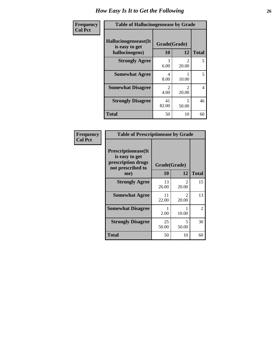| <b>Frequency</b> | <b>Table of Hallucinogensease by Grade</b>               |                                     |                                |                |  |
|------------------|----------------------------------------------------------|-------------------------------------|--------------------------------|----------------|--|
| <b>Col Pct</b>   | Hallucinogensease(It<br>is easy to get<br>hallucinogens) | Grade(Grade)<br>10                  | 12                             | <b>Total</b>   |  |
|                  | <b>Strongly Agree</b>                                    | 3<br>6.00                           | $\mathcal{D}_{\cdot}$<br>20.00 | 5              |  |
|                  | <b>Somewhat Agree</b>                                    | 4<br>8.00                           | 10.00                          | 5              |  |
|                  | <b>Somewhat Disagree</b>                                 | $\mathcal{D}_{\mathcal{L}}$<br>4.00 | 2<br>20.00                     | $\overline{4}$ |  |
|                  | <b>Strongly Disagree</b>                                 | 41<br>82.00                         | 5<br>50.00                     | 46             |  |
|                  | <b>Total</b>                                             | 50                                  | 10                             | 60             |  |

| Frequency<br>  Col Pct |
|------------------------|

| <b>Table of Prescriptionease by Grade</b>                                                |              |                                      |              |  |  |  |
|------------------------------------------------------------------------------------------|--------------|--------------------------------------|--------------|--|--|--|
| <b>Prescriptionease</b> (It<br>is easy to get<br>prescription drugs<br>not prescribed to | Grade(Grade) |                                      |              |  |  |  |
| me)                                                                                      | 10           | 12                                   | <b>Total</b> |  |  |  |
| <b>Strongly Agree</b>                                                                    | 13<br>26.00  | $\mathcal{L}$<br>20.00               | 15           |  |  |  |
| <b>Somewhat Agree</b>                                                                    | 11<br>22.00  | $\mathcal{D}_{\mathcal{L}}$<br>20.00 | 13           |  |  |  |
| <b>Somewhat Disagree</b>                                                                 | 2.00         | 10.00                                | 2            |  |  |  |
| <b>Strongly Disagree</b>                                                                 | 25<br>50.00  | 5<br>50.00                           | 30           |  |  |  |
| Total                                                                                    | 50           | 10                                   | 60           |  |  |  |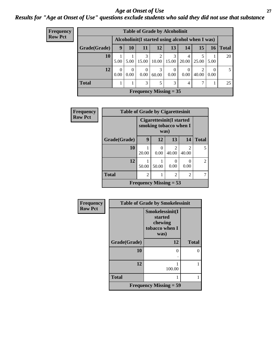### *Age at Onset of Use* **27** *Results for "Age at Onset of Use" questions exclude students who said they did not use that substance*

| <b>Frequency</b> | <b>Table of Grade by Alcoholinit</b> |                  |                  |                  |                                                  |           |            |                         |                  |              |
|------------------|--------------------------------------|------------------|------------------|------------------|--------------------------------------------------|-----------|------------|-------------------------|------------------|--------------|
| <b>Row Pct</b>   |                                      |                  |                  |                  | Alcoholinit (I started using alcohol when I was) |           |            |                         |                  |              |
|                  | Grade(Grade)                         | 9                | <b>10</b>        | 11               | 12                                               | 13        | 14         | 15                      | 16               | <b>Total</b> |
|                  | 10                                   | 5.00             | 5.00             | 3<br>15.00       | 10.00                                            | 15.00     | 4<br>20.00 | 25.00                   | 5.00             | 20           |
|                  | 12                                   | $\theta$<br>0.00 | $\Omega$<br>0.00 | $\Omega$<br>0.00 | 3<br>60.00                                       | 0<br>0.00 | 0.00       | $\overline{2}$<br>40.00 | $\Omega$<br>0.00 | 5            |
|                  | <b>Total</b>                         |                  |                  | 3                | 5                                                | 3         | 4          |                         |                  | 25           |
|                  |                                      |                  |                  |                  | Frequency Missing $= 35$                         |           |            |                         |                  |              |

| <b>Frequency</b> | <b>Table of Grade by Cigarettesinit</b> |                                                     |                          |                           |                         |                |  |
|------------------|-----------------------------------------|-----------------------------------------------------|--------------------------|---------------------------|-------------------------|----------------|--|
| <b>Row Pct</b>   |                                         | Cigarettesinit (I started<br>smoking tobacco when I |                          |                           |                         |                |  |
|                  | Grade(Grade)                            | 9                                                   | 12                       | 13                        | 14                      | <b>Total</b>   |  |
|                  | 10                                      | 20.00                                               | 0.00                     | $\mathfrak{D}$<br>40.00   | $\mathfrak{D}$<br>40.00 | 5              |  |
|                  | 12                                      | 50.00                                               | 50.00                    | $\mathbf{\Omega}$<br>0.00 | 0<br>0.00               | $\overline{2}$ |  |
|                  | <b>Total</b>                            | $\overline{2}$                                      |                          | 2                         | $\overline{2}$          |                |  |
|                  |                                         |                                                     | Frequency Missing $= 53$ |                           |                         |                |  |

| Frequency      | <b>Table of Grade by Smokelessinit</b> |                                                                 |              |  |  |
|----------------|----------------------------------------|-----------------------------------------------------------------|--------------|--|--|
| <b>Row Pct</b> |                                        | Smokelessinit(I<br>started<br>chewing<br>tobacco when I<br>was) |              |  |  |
|                | Grade(Grade)                           | 12                                                              | <b>Total</b> |  |  |
|                | 10                                     | $\Omega$                                                        | 0            |  |  |
|                | 12                                     | 100.00                                                          |              |  |  |
|                | <b>Total</b>                           |                                                                 |              |  |  |
|                |                                        | <b>Frequency Missing = 59</b>                                   |              |  |  |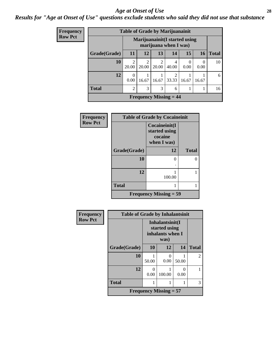#### *Age at Onset of Use* **28**

*Results for "Age at Onset of Use" questions exclude students who said they did not use that substance*

| Frequency                                                                 | <b>Table of Grade by Marijuanainit</b> |                         |                         |                         |                                            |       |                  |              |
|---------------------------------------------------------------------------|----------------------------------------|-------------------------|-------------------------|-------------------------|--------------------------------------------|-------|------------------|--------------|
| <b>Row Pct</b><br>Marijuanainit (I started using<br>marijuana when I was) |                                        |                         |                         |                         |                                            |       |                  |              |
|                                                                           | Grade(Grade)                           | <b>11</b>               | 12                      | 13                      | 14                                         | 15    | <b>16</b>        | <b>Total</b> |
|                                                                           | 10                                     | $\mathfrak{D}$<br>20.00 | $\overline{c}$<br>20.00 | $\mathfrak{D}$<br>20.00 | 4<br>40.00                                 | 0.00  | $\theta$<br>0.00 | 10           |
|                                                                           | 12                                     | $\theta$<br>0.00        | 16.67                   | 16.67                   | ◠<br>33.33                                 | 16.67 | 16.67            | 6            |
|                                                                           | <b>Total</b>                           | $\overline{c}$          | 3                       | 3                       | 6                                          |       |                  | 16           |
|                                                                           |                                        |                         |                         |                         | <b>Frequency Missing <math>= 44</math></b> |       |                  |              |

| Frequency      | <b>Table of Grade by Cocaineinit</b> |                                                          |              |  |  |
|----------------|--------------------------------------|----------------------------------------------------------|--------------|--|--|
| <b>Row Pct</b> |                                      | Cocaineinit(I<br>started using<br>cocaine<br>when I was) |              |  |  |
|                | Grade(Grade)                         | 12                                                       | <b>Total</b> |  |  |
|                | 10                                   | $\Omega$                                                 | 0            |  |  |
|                | 12                                   | 100.00                                                   |              |  |  |
|                | <b>Total</b>                         |                                                          |              |  |  |
|                |                                      | <b>Frequency Missing = 59</b>                            |              |  |  |

| Frequency      | <b>Table of Grade by Inhalantsinit</b> |                                                      |                          |           |                |  |  |
|----------------|----------------------------------------|------------------------------------------------------|--------------------------|-----------|----------------|--|--|
| <b>Row Pct</b> |                                        | Inhalantsinit(I<br>started using<br>inhalants when I |                          |           |                |  |  |
|                | Grade(Grade)                           | 10                                                   | 12                       | 14        | <b>Total</b>   |  |  |
|                | 10                                     | 50.00                                                | 0<br>0.00                | 50.00     | $\overline{2}$ |  |  |
|                | 12                                     | 0<br>0.00                                            | 100.00                   | 0<br>0.00 |                |  |  |
|                | <b>Total</b>                           | 1                                                    | 1                        |           | 3              |  |  |
|                |                                        |                                                      | Frequency Missing $= 57$ |           |                |  |  |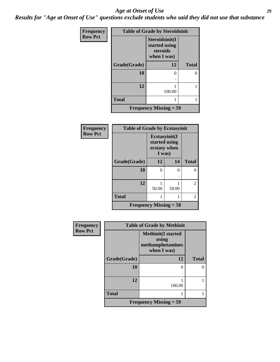#### *Age at Onset of Use* **29**

*Results for "Age at Onset of Use" questions exclude students who said they did not use that substance*

| Frequency      | <b>Table of Grade by Steroidsinit</b> |                                                            |              |  |  |
|----------------|---------------------------------------|------------------------------------------------------------|--------------|--|--|
| <b>Row Pct</b> |                                       | Steroidsinit(I<br>started using<br>steroids<br>when I was) |              |  |  |
|                | Grade(Grade)                          | 12                                                         | <b>Total</b> |  |  |
|                | 10                                    | 0                                                          | 0            |  |  |
|                | 12                                    | 100.00                                                     |              |  |  |
|                | <b>Total</b>                          |                                                            |              |  |  |
|                |                                       | <b>Frequency Missing = 59</b>                              |              |  |  |

| <b>Frequency</b> | <b>Table of Grade by Ecstasyinit</b> |                                                          |       |                |
|------------------|--------------------------------------|----------------------------------------------------------|-------|----------------|
| <b>Row Pct</b>   |                                      | Ecstasyinit(I<br>started using<br>ecstasy when<br>I was) |       |                |
|                  | Grade(Grade)                         | 12                                                       | 14    | <b>Total</b>   |
|                  | 10                                   | ∩                                                        | 0     | 0              |
|                  |                                      |                                                          |       |                |
|                  | 12                                   | 50.00                                                    | 50.00 | $\mathfrak{D}$ |
|                  |                                      |                                                          |       |                |
|                  | <b>Total</b>                         |                                                          |       | 2              |
|                  | <b>Frequency Missing = 58</b>        |                                                          |       |                |

| <b>Frequency</b> | <b>Table of Grade by Methinit</b> |                                                                       |              |  |
|------------------|-----------------------------------|-----------------------------------------------------------------------|--------------|--|
| <b>Row Pct</b>   |                                   | <b>Methinit(I started</b><br>using<br>methamphetamines<br>when I was) |              |  |
|                  | Grade(Grade)                      | 12                                                                    | <b>Total</b> |  |
|                  | 10                                |                                                                       |              |  |
|                  | 12                                | 100.00                                                                |              |  |
|                  | <b>Total</b>                      |                                                                       |              |  |
|                  |                                   | Frequency Missing $=$ 59                                              |              |  |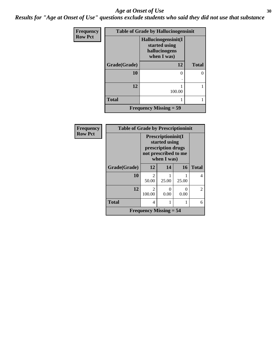#### Age at Onset of Use **30**

*Results for "Age at Onset of Use" questions exclude students who said they did not use that substance*

| Frequency      | <b>Table of Grade by Hallucinogensinit</b> |                                                                      |              |  |  |
|----------------|--------------------------------------------|----------------------------------------------------------------------|--------------|--|--|
| <b>Row Pct</b> |                                            | Hallucinogensinit(I<br>started using<br>hallucinogens<br>when I was) |              |  |  |
|                | Grade(Grade)                               | 12                                                                   | <b>Total</b> |  |  |
|                | 10                                         | 0                                                                    | 0            |  |  |
|                | 12                                         | 100.00                                                               |              |  |  |
|                | <b>Total</b>                               |                                                                      |              |  |  |
|                |                                            | <b>Frequency Missing = 59</b>                                        |              |  |  |

| <b>Frequency</b> | <b>Table of Grade by Prescriptioninit</b> |                                                                                                  |                  |           |              |
|------------------|-------------------------------------------|--------------------------------------------------------------------------------------------------|------------------|-----------|--------------|
| <b>Row Pct</b>   |                                           | Prescriptioninit(I<br>started using<br>prescription drugs<br>not prescribed to me<br>when I was) |                  |           |              |
|                  | Grade(Grade)                              | 12                                                                                               | 14               | 16        | <b>Total</b> |
|                  | 10                                        | $\mathcal{D}_{\mathcal{L}}$<br>50.00                                                             | 25.00            | 25.00     |              |
|                  | 12                                        | $\mathcal{D}_{\mathcal{L}}$<br>100.00                                                            | $\Omega$<br>0.00 | 0<br>0.00 | 2            |
|                  | <b>Total</b>                              | 4                                                                                                |                  |           | 6            |
|                  |                                           | <b>Frequency Missing = 54</b>                                                                    |                  |           |              |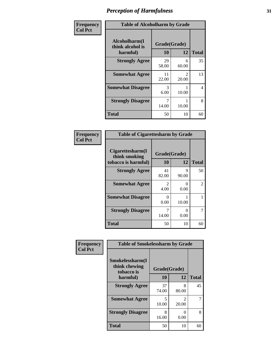| Frequency      | <b>Table of Alcoholharm by Grade</b>          |                    |                         |              |
|----------------|-----------------------------------------------|--------------------|-------------------------|--------------|
| <b>Col Pct</b> | Alcoholharm(I<br>think alcohol is<br>harmful) | Grade(Grade)<br>10 | 12                      | <b>Total</b> |
|                | <b>Strongly Agree</b>                         | 29<br>58.00        | 6<br>60.00              | 35           |
|                | <b>Somewhat Agree</b>                         | 11<br>22.00        | $\mathfrak{D}$<br>20.00 | 13           |
|                | <b>Somewhat Disagree</b>                      | 3<br>6.00          | 10.00                   | 4            |
|                | <b>Strongly Disagree</b>                      | 14.00              | 10.00                   | 8            |
|                | <b>Total</b>                                  | 50                 | 10                      | 60           |

| <b>Table of Cigarettesharm by Grade</b>                  |                    |                           |              |  |  |
|----------------------------------------------------------|--------------------|---------------------------|--------------|--|--|
| Cigarettesharm(I<br>think smoking<br>tobacco is harmful) | Grade(Grade)<br>10 | 12                        | <b>Total</b> |  |  |
| <b>Strongly Agree</b>                                    | 41<br>82.00        | 9<br>90.00                | 50           |  |  |
| <b>Somewhat Agree</b>                                    | 2<br>4.00          | $\mathbf{\Omega}$<br>0.00 | 2            |  |  |
| <b>Somewhat Disagree</b>                                 | 0<br>0.00          | 10.00                     |              |  |  |
| <b>Strongly Disagree</b>                                 | 7<br>14.00         | 0.00                      | 7            |  |  |
| <b>Total</b>                                             | 50                 | 10                        | 60           |  |  |

| Frequency      |                                                | <b>Table of Smokelessharm by Grade</b> |                         |              |  |
|----------------|------------------------------------------------|----------------------------------------|-------------------------|--------------|--|
| <b>Col Pct</b> | Smokelessharm(I<br>think chewing<br>tobacco is | Grade(Grade)                           |                         |              |  |
|                | harmful)                                       | 10                                     | 12                      | <b>Total</b> |  |
|                | <b>Strongly Agree</b>                          | 37<br>74.00                            | 8<br>80.00              | 45           |  |
|                | <b>Somewhat Agree</b>                          | 5<br>10.00                             | $\mathfrak{D}$<br>20.00 |              |  |
|                | <b>Strongly Disagree</b>                       | 8<br>16.00                             | 0<br>0.00               | 8            |  |
|                | <b>Total</b>                                   | 50                                     | 10                      | 60           |  |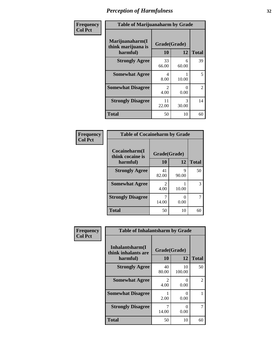| Frequency      | <b>Table of Marijuanaharm by Grade</b>            |                                     |                           |                |
|----------------|---------------------------------------------------|-------------------------------------|---------------------------|----------------|
| <b>Col Pct</b> | Marijuanaharm(I<br>think marijuana is<br>harmful) | Grade(Grade)<br>10                  | 12                        | <b>Total</b>   |
|                | <b>Strongly Agree</b>                             | 33<br>66.00                         | 6<br>60.00                | 39             |
|                | <b>Somewhat Agree</b>                             | 4<br>8.00                           | 10.00                     | 5              |
|                | <b>Somewhat Disagree</b>                          | $\mathcal{D}_{\mathcal{L}}$<br>4.00 | $\mathbf{\Omega}$<br>0.00 | $\overline{2}$ |
|                | <b>Strongly Disagree</b>                          | 11<br>22.00                         | 3<br>30.00                | 14             |
|                | <b>Total</b>                                      | 50                                  | 10                        | 60             |

| <b>Table of Cocaineharm by Grade</b> |                        |            |              |  |
|--------------------------------------|------------------------|------------|--------------|--|
| Cocaineharm(I<br>think cocaine is    | Grade(Grade)           |            |              |  |
| harmful)                             | 10                     | 12         | <b>Total</b> |  |
| <b>Strongly Agree</b>                | 41<br>82.00            | 9<br>90.00 | 50           |  |
| <b>Somewhat Agree</b>                | $\mathfrak{D}$<br>4.00 | 10.00      | 3            |  |
| <b>Strongly Disagree</b>             | 14.00                  | 0<br>0.00  |              |  |
| <b>Total</b>                         | 50                     | 10         |              |  |

| Frequency      | <b>Table of Inhalantsharm by Grade</b>              |                        |              |                |
|----------------|-----------------------------------------------------|------------------------|--------------|----------------|
| <b>Col Pct</b> | Inhalantsharm(I)<br>think inhalants are<br>harmful) | Grade(Grade)<br>10     | 12           | <b>Total</b>   |
|                | <b>Strongly Agree</b>                               | 40<br>80.00            | 10<br>100.00 | 50             |
|                | <b>Somewhat Agree</b>                               | $\mathfrak{D}$<br>4.00 | 0<br>0.00    | $\overline{2}$ |
|                | <b>Somewhat Disagree</b>                            | 2.00                   | 0<br>0.00    |                |
|                | <b>Strongly Disagree</b>                            | 7<br>14.00             | ∩<br>0.00    | 7              |
|                | <b>Total</b>                                        | 50                     | 10           | 60             |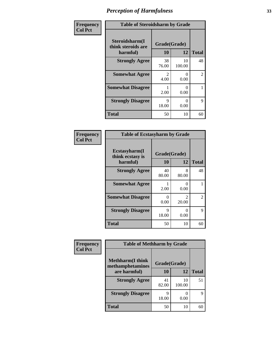| Frequency      | <b>Table of Steroidsharm by Grade</b>            |                                     |              |                |
|----------------|--------------------------------------------------|-------------------------------------|--------------|----------------|
| <b>Col Pct</b> | Steroidsharm(I<br>think steroids are<br>harmful) | Grade(Grade)<br>10                  | 12           | <b>Total</b>   |
|                | <b>Strongly Agree</b>                            | 38<br>76.00                         | 10<br>100.00 | 48             |
|                | <b>Somewhat Agree</b>                            | $\mathcal{D}_{\mathcal{L}}$<br>4.00 | 0<br>0.00    | $\mathfrak{D}$ |
|                | <b>Somewhat Disagree</b>                         | 2.00                                | 0<br>0.00    |                |
|                | <b>Strongly Disagree</b>                         | 9<br>18.00                          | 0<br>0.00    | Q              |
|                | <b>Total</b>                                     | 50                                  | 10           | 60             |

| <b>Table of Ecstasyharm by Grade</b>          |                    |                                      |    |  |  |
|-----------------------------------------------|--------------------|--------------------------------------|----|--|--|
| Ecstasyharm(I<br>think ecstasy is<br>harmful) | Grade(Grade)<br>10 | <b>Total</b>                         |    |  |  |
| <b>Strongly Agree</b>                         | 40<br>80.00        | 8<br>80.00                           | 48 |  |  |
| <b>Somewhat Agree</b>                         | 2.00               | $\mathbf{\Omega}$<br>0.00            |    |  |  |
| <b>Somewhat Disagree</b>                      | 0<br>0.00          | $\mathcal{D}_{\mathcal{L}}$<br>20.00 | 2  |  |  |
| <b>Strongly Disagree</b>                      | 9<br>18.00         | 0<br>0.00                            | 9  |  |  |
| <b>Total</b>                                  | 50                 | 10                                   | 60 |  |  |

| Frequency      | <b>Table of Methharm by Grade</b>            |              |              |              |
|----------------|----------------------------------------------|--------------|--------------|--------------|
| <b>Col Pct</b> |                                              |              |              |              |
|                | <b>Methharm</b> (I think<br>methamphetamines | Grade(Grade) |              |              |
|                | are harmful)                                 | 10           | 12           | <b>Total</b> |
|                | <b>Strongly Agree</b>                        | 41<br>82.00  | 10<br>100.00 | 51           |
|                | <b>Strongly Disagree</b>                     | Q<br>18.00   | 0.00         | 9            |
|                | <b>Total</b>                                 | 50           | 10           | 60           |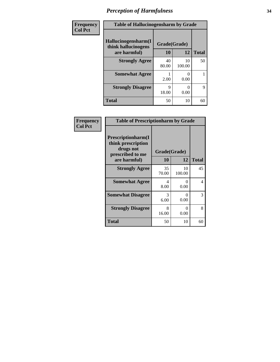| Frequency      | <b>Table of Hallucinogensharm by Grade</b> |              |              |              |
|----------------|--------------------------------------------|--------------|--------------|--------------|
| <b>Col Pct</b> | Hallucinogensharm(I<br>think hallucinogens | Grade(Grade) |              |              |
|                | are harmful)                               | 10           | 12           | <b>Total</b> |
|                | <b>Strongly Agree</b>                      | 40<br>80.00  | 10<br>100.00 | 50           |
|                | <b>Somewhat Agree</b>                      | 2.00         | 0<br>0.00    |              |
|                | <b>Strongly Disagree</b>                   | 9<br>18.00   | 0<br>0.00    | 9            |
|                | <b>Total</b>                               | 50           | 10           | 60           |

| Frequency      | <b>Table of Prescriptionharm by Grade</b>                                 |              |              |              |
|----------------|---------------------------------------------------------------------------|--------------|--------------|--------------|
| <b>Col Pct</b> | Prescriptionharm(I<br>think prescription<br>drugs not<br>prescribed to me | Grade(Grade) |              |              |
|                | are harmful)                                                              | <b>10</b>    | 12           | <b>Total</b> |
|                | <b>Strongly Agree</b>                                                     | 35<br>70.00  | 10<br>100.00 | 45           |
|                | <b>Somewhat Agree</b>                                                     | 4<br>8.00    | 0<br>0.00    | 4            |
|                | <b>Somewhat Disagree</b>                                                  | 3<br>6.00    | 0<br>0.00    | 3            |
|                | <b>Strongly Disagree</b>                                                  | 8<br>16.00   | 0<br>0.00    | 8            |
|                | Total                                                                     | 50           | 10           | 60           |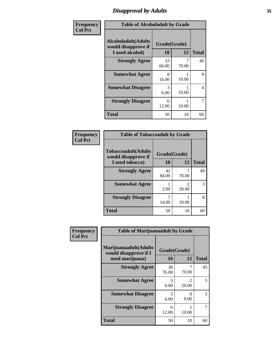## *Disapproval by Adults* **35**

| Frequency      | <b>Table of Alcoholadult by Grade</b>                                 |                    |       |              |
|----------------|-----------------------------------------------------------------------|--------------------|-------|--------------|
| <b>Col Pct</b> | <b>Alcoholadult</b> (Adults<br>would disapprove if<br>I used alcohol) | Grade(Grade)<br>10 | 12    | <b>Total</b> |
|                | <b>Strongly Agree</b>                                                 | 33<br>66.00        | 70.00 | 40           |
|                | <b>Somewhat Agree</b>                                                 | 8<br>16.00         | 10.00 | 9            |
|                | <b>Somewhat Disagree</b>                                              | 3<br>6.00          | 10.00 | 4            |
|                | <b>Strongly Disagree</b>                                              | 6<br>12.00         | 10.00 | 7            |
|                | <b>Total</b>                                                          | 50                 | 10    | 60           |

| <b>Table of Tobaccoadult by Grade</b>             |              |            |              |  |  |
|---------------------------------------------------|--------------|------------|--------------|--|--|
| <b>Tobaccoadult(Adults</b><br>would disapprove if | Grade(Grade) |            |              |  |  |
| I used tobacco)                                   | 10           | 12         | <b>Total</b> |  |  |
| <b>Strongly Agree</b>                             | 42<br>84.00  | 70.00      | 49           |  |  |
| <b>Somewhat Agree</b>                             | 2.00         | 2<br>20.00 | 3            |  |  |
| <b>Strongly Disagree</b>                          | 14.00        | 10.00      | 8            |  |  |
| <b>Total</b>                                      | 50           | 10         |              |  |  |

| <b>Frequency</b> | <b>Table of Marijuanaadult by Grade</b>                           |                    |                         |              |
|------------------|-------------------------------------------------------------------|--------------------|-------------------------|--------------|
| <b>Col Pct</b>   | Marijuanaadult(Adults<br>would disapprove if I<br>used marijuana) | Grade(Grade)<br>10 | 12                      | <b>Total</b> |
|                  | <b>Strongly Agree</b>                                             | 38<br>76.00        | 7<br>70.00              | 45           |
|                  | <b>Somewhat Agree</b>                                             | 3<br>6.00          | $\mathfrak{D}$<br>20.00 | 5            |
|                  | <b>Somewhat Disagree</b>                                          | 3<br>6.00          | $\Omega$<br>0.00        | 3            |
|                  | <b>Strongly Disagree</b>                                          | 6<br>12.00         | 10.00                   |              |
|                  | <b>Total</b>                                                      | 50                 | 10                      | 60           |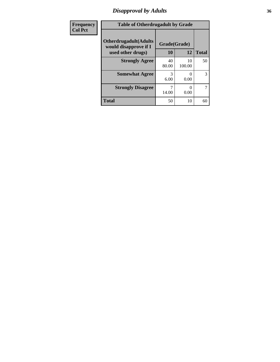## *Disapproval by Adults* **36**

| Frequency      | <b>Table of Otherdrugadult by Grade</b>                                     |                    |              |              |
|----------------|-----------------------------------------------------------------------------|--------------------|--------------|--------------|
| <b>Col Pct</b> | <b>Otherdrugadult</b> (Adults<br>would disapprove if I<br>used other drugs) | Grade(Grade)<br>10 | 12           | <b>Total</b> |
|                | <b>Strongly Agree</b>                                                       | 40<br>80.00        | 10<br>100.00 | 50           |
|                | <b>Somewhat Agree</b>                                                       | 3<br>6.00          | 0.00         | 3            |
|                | <b>Strongly Disagree</b>                                                    | 14.00              | 0.00         | 7            |
|                | <b>Total</b>                                                                | 50                 | 10           | 60           |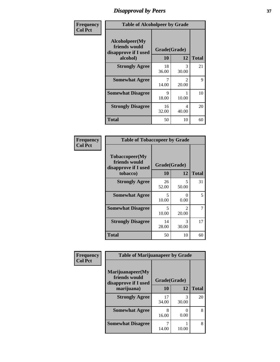## *Disapproval by Peers* **37**

| Frequency      | <b>Table of Alcoholpeer by Grade</b>                    |              |                         |              |  |
|----------------|---------------------------------------------------------|--------------|-------------------------|--------------|--|
| <b>Col Pct</b> | Alcoholpeer(My<br>friends would<br>disapprove if I used | Grade(Grade) |                         |              |  |
|                | alcohol)                                                | 10           | 12                      | <b>Total</b> |  |
|                | <b>Strongly Agree</b>                                   | 18<br>36.00  | 3<br>30.00              | 21           |  |
|                | <b>Somewhat Agree</b>                                   | 7<br>14.00   | $\mathfrak{D}$<br>20.00 | 9            |  |
|                | <b>Somewhat Disagree</b>                                | 9<br>18.00   | 10.00                   | 10           |  |
|                | <b>Strongly Disagree</b>                                | 16<br>32.00  | 4<br>40.00              | 20           |  |
|                | Total                                                   | 50           | 10                      | 60           |  |

| Frequency      | <b>Table of Tobaccopeer by Grade</b>                                |                    |                        |              |
|----------------|---------------------------------------------------------------------|--------------------|------------------------|--------------|
| <b>Col Pct</b> | Tobaccopeer(My<br>friends would<br>disapprove if I used<br>tobacco) | Grade(Grade)<br>10 | 12                     | <b>Total</b> |
|                | <b>Strongly Agree</b>                                               | 26<br>52.00        | 5<br>50.00             | 31           |
|                | <b>Somewhat Agree</b>                                               | 5<br>10.00         | 0<br>0.00              | 5            |
|                | <b>Somewhat Disagree</b>                                            | 5<br>10.00         | $\mathcal{L}$<br>20.00 | 7            |
|                | <b>Strongly Disagree</b>                                            | 14<br>28.00        | 3<br>30.00             | 17           |
|                | Total                                                               | 50                 | 10                     | 60           |

| Frequency      | <b>Table of Marijuanapeer by Grade</b>                    |              |            |              |
|----------------|-----------------------------------------------------------|--------------|------------|--------------|
| <b>Col Pct</b> | Marijuanapeer(My<br>friends would<br>disapprove if I used | Grade(Grade) |            |              |
|                | marijuana)                                                | 10           | 12         | <b>Total</b> |
|                | <b>Strongly Agree</b>                                     | 17<br>34.00  | 3<br>30.00 | 20           |
|                | <b>Somewhat Agree</b>                                     | 8<br>16.00   | 0<br>0.00  | 8            |
|                | <b>Somewhat Disagree</b>                                  | 14.00        | 10.00      | 8            |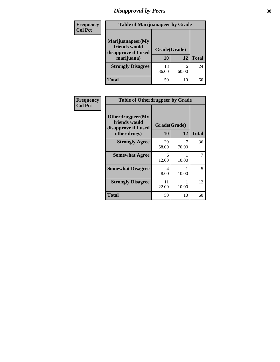# *Disapproval by Peers* **38**

| <b>Frequency</b> | <b>Table of Marijuanapeer by Grade</b>                                  |                    |            |              |  |
|------------------|-------------------------------------------------------------------------|--------------------|------------|--------------|--|
| <b>Col Pct</b>   | Marijuanapeer(My<br>friends would<br>disapprove if I used<br>marijuana) | Grade(Grade)<br>10 | 12         | <b>Total</b> |  |
|                  | <b>Strongly Disagree</b>                                                | 18<br>36.00        | 6<br>60.00 | 24           |  |
|                  | <b>Total</b>                                                            | 50                 | 10         | 60           |  |

| Frequency      | <b>Table of Otherdrugpeer by Grade</b>                                    |                    |            |              |
|----------------|---------------------------------------------------------------------------|--------------------|------------|--------------|
| <b>Col Pct</b> | Otherdrugpeer(My<br>friends would<br>disapprove if I used<br>other drugs) | Grade(Grade)<br>10 | 12         | <b>Total</b> |
|                | <b>Strongly Agree</b>                                                     | 29<br>58.00        | 7<br>70.00 | 36           |
|                | <b>Somewhat Agree</b>                                                     | 6<br>12.00         | 10.00      |              |
|                | <b>Somewhat Disagree</b>                                                  | 4<br>8.00          | 10.00      | 5            |
|                | <b>Strongly Disagree</b>                                                  | 11<br>22.00        | 10.00      | 12           |
|                | <b>Total</b>                                                              | 50                 | 10         | 60           |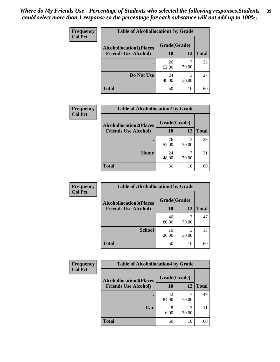| Frequency      | <b>Table of Alcohollocation1 by Grade</b> |              |            |              |
|----------------|-------------------------------------------|--------------|------------|--------------|
| <b>Col Pct</b> | <b>Alcohollocation1(Places</b>            | Grade(Grade) |            |              |
|                | <b>Friends Use Alcohol)</b>               | 10           | 12         | <b>Total</b> |
|                |                                           | 26<br>52.00  | 70.00      | 33           |
|                | Do Not Use                                | 24<br>48.00  | 3<br>30.00 | 27           |
|                | <b>Total</b>                              | 50           | 10         | 60           |

| Frequency      | <b>Table of Alcohollocation2 by Grade</b>                     |              |            |              |
|----------------|---------------------------------------------------------------|--------------|------------|--------------|
| <b>Col Pct</b> | <b>Alcohollocation2(Places</b><br><b>Friends Use Alcohol)</b> | Grade(Grade) |            |              |
|                |                                                               | 10           | 12         | <b>Total</b> |
|                |                                                               | 26<br>52.00  | 3<br>30.00 | 29           |
|                | Home                                                          | 24<br>48.00  | 70.00      | 31           |
|                | <b>Total</b>                                                  | 50           | 10         | 60           |

| Frequency<br><b>Col Pct</b> | <b>Table of Alcohollocation 3 by Grade</b> |                    |            |              |
|-----------------------------|--------------------------------------------|--------------------|------------|--------------|
|                             | <b>Alcohollocation3(Places</b>             | Grade(Grade)<br>10 | 12         |              |
|                             | <b>Friends Use Alcohol)</b>                |                    |            | <b>Total</b> |
|                             |                                            | 40<br>80.00        | 70.00      | 47           |
|                             | <b>School</b>                              | 10<br>20.00        | 3<br>30.00 | 13           |
|                             | <b>Total</b>                               | 50                 | 10         | 60           |

| <b>Frequency</b> | <b>Table of Alcohollocation4 by Grade</b> |              |            |              |  |
|------------------|-------------------------------------------|--------------|------------|--------------|--|
| <b>Col Pct</b>   | <b>Alcohollocation4(Places</b>            | Grade(Grade) |            |              |  |
|                  | <b>Friends Use Alcohol)</b>               | 10           | 12         | <b>Total</b> |  |
|                  |                                           | 42<br>84.00  | 70.00      | 49           |  |
|                  | Car                                       | 8<br>16.00   | 3<br>30.00 |              |  |
|                  | Total                                     | 50           | 10         | 60           |  |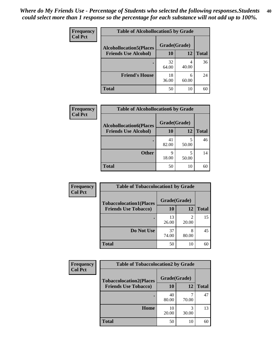| Frequency<br><b>Col Pct</b> | <b>Table of Alcohollocation5 by Grade</b> |              |            |              |  |
|-----------------------------|-------------------------------------------|--------------|------------|--------------|--|
|                             | <b>Alcohollocation5(Places</b>            | Grade(Grade) |            |              |  |
|                             | <b>Friends Use Alcohol)</b>               | 10           | 12         | <b>Total</b> |  |
|                             |                                           | 32<br>64.00  | 40.00      | 36           |  |
|                             | <b>Friend's House</b>                     | 18<br>36.00  | 6<br>60.00 | 24           |  |
|                             | <b>Total</b>                              | 50           | 10         | 60           |  |

| Frequency      | <b>Table of Alcohollocation6 by Grade</b>                     |                    |            |              |
|----------------|---------------------------------------------------------------|--------------------|------------|--------------|
| <b>Col Pct</b> | <b>Alcohollocation6(Places</b><br><b>Friends Use Alcohol)</b> | Grade(Grade)<br>10 | 12         | <b>Total</b> |
|                |                                                               | 41<br>82.00        | 5<br>50.00 | 46           |
|                | <b>Other</b>                                                  | q<br>18.00         | 50.00      | 14           |
|                | <b>Total</b>                                                  | 50                 | 10         | 60           |

| Frequency      | <b>Table of Tobaccolocation1 by Grade</b> |              |            |              |
|----------------|-------------------------------------------|--------------|------------|--------------|
| <b>Col Pct</b> | <b>Tobaccolocation1(Places</b>            | Grade(Grade) |            |              |
|                | <b>Friends Use Tobacco)</b>               | 10           | 12         | <b>Total</b> |
|                |                                           | 13<br>26.00  | 2<br>20.00 | 15           |
|                | Do Not Use                                | 37<br>74.00  | 8<br>80.00 | 45           |
|                | <b>Total</b>                              | 50           | 10         | 60           |

| <b>Frequency</b> | <b>Table of Tobaccolocation2 by Grade</b> |              |            |              |  |
|------------------|-------------------------------------------|--------------|------------|--------------|--|
| <b>Col Pct</b>   | <b>Tobaccolocation2(Places</b>            | Grade(Grade) |            |              |  |
|                  | <b>Friends Use Tobacco)</b>               | 10           | 12         | <b>Total</b> |  |
|                  |                                           | 40<br>80.00  | 70.00      | 47           |  |
|                  | Home                                      | 10<br>20.00  | 3<br>30.00 | 13           |  |
|                  | <b>Total</b>                              | 50           | 10         | 60           |  |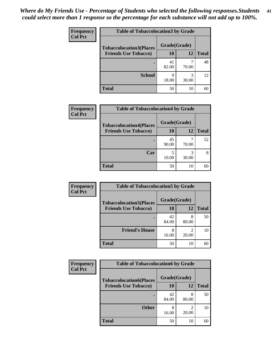| Frequency      | <b>Table of Tobaccolocation 3 by Grade</b> |              |            |              |  |
|----------------|--------------------------------------------|--------------|------------|--------------|--|
| <b>Col Pct</b> | <b>Tobaccolocation3(Places</b>             | Grade(Grade) |            |              |  |
|                | <b>Friends Use Tobacco)</b>                | 10           | 12         | <b>Total</b> |  |
|                |                                            | 41<br>82.00  | 70.00      | 48           |  |
|                | <b>School</b>                              | q<br>18.00   | 3<br>30.00 | 12           |  |
|                | <b>Total</b>                               | 50           | 10         | 60           |  |

| Frequency<br><b>Col Pct</b> | <b>Table of Tobaccolocation4 by Grade</b> |              |            |              |
|-----------------------------|-------------------------------------------|--------------|------------|--------------|
|                             | <b>Tobaccolocation4(Places</b>            | Grade(Grade) |            |              |
|                             | <b>Friends Use Tobacco)</b>               | 10           | <b>12</b>  | <b>Total</b> |
|                             |                                           | 45<br>90.00  | 70.00      | 52           |
|                             | Car                                       | 10.00        | 3<br>30.00 | 8            |
|                             | <b>Total</b>                              | 50           | 10         | 60           |

| Frequency      | <b>Table of Tobaccolocation5 by Grade</b> |              |            |              |
|----------------|-------------------------------------------|--------------|------------|--------------|
| <b>Col Pct</b> | <b>Tobaccolocation5(Places</b>            | Grade(Grade) |            |              |
|                | <b>Friends Use Tobacco)</b>               | 10           | 12         | <b>Total</b> |
|                |                                           | 42<br>84.00  | 8<br>80.00 | 50           |
|                | <b>Friend's House</b>                     | 8<br>16.00   | 20.00      | 10           |
|                | <b>Total</b>                              | 50           | 10         | 60           |

| Frequency      | <b>Table of Tobaccolocation6 by Grade</b>                     |                    |            |              |  |
|----------------|---------------------------------------------------------------|--------------------|------------|--------------|--|
| <b>Col Pct</b> | <b>Tobaccolocation6(Places</b><br><b>Friends Use Tobacco)</b> | Grade(Grade)<br>10 | 12         | <b>Total</b> |  |
|                |                                                               |                    |            |              |  |
|                |                                                               | 42<br>84.00        | 8<br>80.00 | 50           |  |
|                | <b>Other</b>                                                  | 8<br>16.00         | ി<br>20.00 | 10           |  |
|                | <b>Total</b>                                                  | 50                 | 10         | 60           |  |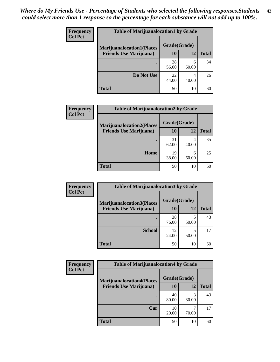| <b>Frequency</b> | <b>Table of Marijuanalocation1 by Grade</b> |              |            |              |
|------------------|---------------------------------------------|--------------|------------|--------------|
| <b>Col Pct</b>   | <b>Marijuanalocation1(Places</b>            | Grade(Grade) |            |              |
|                  | <b>Friends Use Marijuana</b> )              | <b>10</b>    | 12         | <b>Total</b> |
|                  |                                             | 28<br>56.00  | 6<br>60.00 | 34           |
|                  | Do Not Use                                  | 22<br>44.00  | 4<br>40.00 | 26           |
|                  | <b>Total</b>                                | 50           | 10         | 60           |

| <b>Frequency</b> | <b>Table of Marijuanalocation2 by Grade</b> |                    |            |              |
|------------------|---------------------------------------------|--------------------|------------|--------------|
| <b>Col Pct</b>   | <b>Marijuanalocation2(Places</b>            | Grade(Grade)<br>10 | 12         |              |
|                  | <b>Friends Use Marijuana</b> )              |                    |            | <b>Total</b> |
|                  |                                             | 31<br>62.00        | 4<br>40.00 | 35           |
|                  | Home                                        | 19<br>38.00        | 6<br>60.00 | 25           |
|                  | <b>Total</b>                                | 50                 | 10         | 60           |

| Frequency      | <b>Table of Marijuanalocation3 by Grade</b> |              |       |       |
|----------------|---------------------------------------------|--------------|-------|-------|
| <b>Col Pct</b> | <b>Marijuanalocation3(Places</b>            | Grade(Grade) |       |       |
|                | <b>Friends Use Marijuana</b> )              | 10           | 12    | Total |
|                |                                             | 38           | 5     | 43    |
|                |                                             | 76.00        | 50.00 |       |
|                | <b>School</b>                               | 12<br>24.00  | 50.00 | 17    |
|                | <b>Total</b>                                | 50           | 10    | 60    |

| <b>Frequency</b> | <b>Table of Marijuanalocation4 by Grade</b> |              |       |              |  |
|------------------|---------------------------------------------|--------------|-------|--------------|--|
| <b>Col Pct</b>   | <b>Marijuanalocation4(Places</b>            | Grade(Grade) |       |              |  |
|                  | <b>Friends Use Marijuana</b> )              | <b>10</b>    | 12    | <b>Total</b> |  |
|                  |                                             | 40<br>80.00  | 30.00 | 43           |  |
|                  | Car                                         | 10<br>20.00  | 70.00 | 17           |  |
|                  | <b>Total</b>                                | 50           | 10    | 60           |  |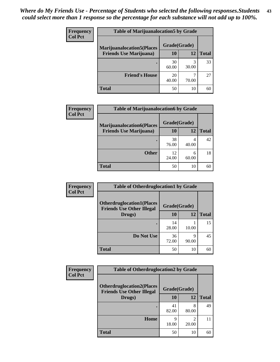| <b>Frequency</b> | <b>Table of Marijuanalocation5 by Grade</b> |              |       |              |
|------------------|---------------------------------------------|--------------|-------|--------------|
| <b>Col Pct</b>   | <b>Marijuanalocation5</b> (Places           | Grade(Grade) |       |              |
|                  | <b>Friends Use Marijuana</b> )              | 10           | 12    | <b>Total</b> |
|                  |                                             | 30<br>60.00  | 30.00 | 33           |
|                  | <b>Friend's House</b>                       | 20<br>40.00  | 70.00 | 27           |
|                  | <b>Total</b>                                | 50           | 10    | 60           |

| <b>Frequency</b> | <b>Table of Marijuanalocation6 by Grade</b>                        |                    |            |              |
|------------------|--------------------------------------------------------------------|--------------------|------------|--------------|
| <b>Col Pct</b>   | <b>Marijuanalocation6(Places</b><br><b>Friends Use Marijuana</b> ) | Grade(Grade)<br>10 | 12         | <b>Total</b> |
|                  |                                                                    | 38<br>76.00        | 4<br>40.00 | 42           |
|                  | <b>Other</b>                                                       | 12<br>24.00        | 6<br>60.00 | 18           |
|                  | <b>Total</b>                                                       | 50                 | 10         | 60           |

| Frequency      | <b>Table of Otherdruglocation1 by Grade</b>                          |              |            |              |
|----------------|----------------------------------------------------------------------|--------------|------------|--------------|
| <b>Col Pct</b> | <b>Otherdruglocation1(Places</b><br><b>Friends Use Other Illegal</b> | Grade(Grade) |            |              |
|                | Drugs)                                                               | 10           | 12         | <b>Total</b> |
|                |                                                                      | 14<br>28.00  | 10.00      | 15           |
|                | Do Not Use                                                           | 36<br>72.00  | Q<br>90.00 | 45           |
|                | <b>Total</b>                                                         | 50           | 10         | 60           |

| Frequency      | <b>Table of Otherdruglocation2 by Grade</b>                          |              |                         |              |
|----------------|----------------------------------------------------------------------|--------------|-------------------------|--------------|
| <b>Col Pct</b> | <b>Otherdruglocation2(Places</b><br><b>Friends Use Other Illegal</b> | Grade(Grade) |                         |              |
|                | Drugs)                                                               | 10           | 12                      | <b>Total</b> |
|                |                                                                      | 41<br>82.00  | 8<br>80.00              | 49           |
|                | Home                                                                 | 9<br>18.00   | $\mathfrak{D}$<br>20.00 | 11           |
|                | <b>Total</b>                                                         | 50           | 10                      | 60           |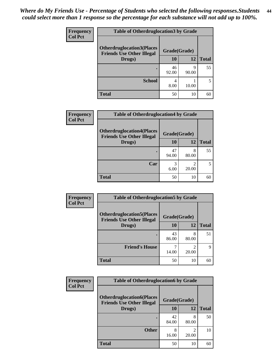| <b>Frequency</b> | <b>Table of Otherdruglocation3 by Grade</b>                          |              |            |              |
|------------------|----------------------------------------------------------------------|--------------|------------|--------------|
| <b>Col Pct</b>   | <b>Otherdruglocation3(Places</b><br><b>Friends Use Other Illegal</b> | Grade(Grade) |            |              |
|                  | Drugs)                                                               | <b>10</b>    | 12         | <b>Total</b> |
|                  |                                                                      | 46<br>92.00  | Q<br>90.00 | 55           |
|                  | <b>School</b>                                                        | 4<br>8.00    | 10.00      |              |
|                  | <b>Total</b>                                                         | 50           | 10         | 60           |

| <b>Frequency</b> | <b>Table of Otherdruglocation4 by Grade</b>                          |              |       |              |
|------------------|----------------------------------------------------------------------|--------------|-------|--------------|
| <b>Col Pct</b>   | <b>Otherdruglocation4(Places</b><br><b>Friends Use Other Illegal</b> | Grade(Grade) |       |              |
|                  | Drugs)                                                               | 10           | 12    | <b>Total</b> |
|                  |                                                                      | 47<br>94.00  | 80.00 | 55           |
|                  | Car                                                                  | 6.00         | 20.00 |              |
|                  | <b>Total</b>                                                         | 50           | 10    |              |

| Frequency      | <b>Table of Otherdruglocation5 by Grade</b>                          |              |            |              |
|----------------|----------------------------------------------------------------------|--------------|------------|--------------|
| <b>Col Pct</b> | <b>Otherdruglocation5(Places</b><br><b>Friends Use Other Illegal</b> | Grade(Grade) |            |              |
|                | Drugs)                                                               | 10           | 12         | <b>Total</b> |
|                |                                                                      | 43<br>86.00  | 8<br>80.00 | 51           |
|                | <b>Friend's House</b>                                                | 14.00        | っ<br>20.00 | 9            |
|                | <b>Total</b>                                                         | 50           | 10         | 60           |

| <b>Frequency</b> | <b>Table of Otherdruglocation6 by Grade</b>                          |              |                         |              |
|------------------|----------------------------------------------------------------------|--------------|-------------------------|--------------|
| <b>Col Pct</b>   | <b>Otherdruglocation6(Places</b><br><b>Friends Use Other Illegal</b> | Grade(Grade) |                         |              |
|                  | Drugs)                                                               | <b>10</b>    | 12                      | <b>Total</b> |
|                  |                                                                      | 42<br>84.00  | 8<br>80.00              | 50           |
|                  | <b>Other</b>                                                         | 8<br>16.00   | $\mathfrak{D}$<br>20.00 | 10           |
|                  | <b>Total</b>                                                         | 50           | 10                      | 60           |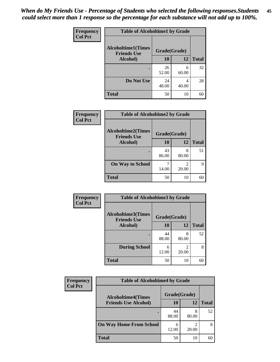| Frequency      | <b>Table of Alcoholtime1 by Grade</b>           |              |            |              |
|----------------|-------------------------------------------------|--------------|------------|--------------|
| <b>Col Pct</b> | <b>Alcoholtime1(Times</b><br><b>Friends Use</b> | Grade(Grade) |            |              |
|                | Alcohol)                                        | 10           | <b>12</b>  | <b>Total</b> |
|                |                                                 | 26<br>52.00  | 6<br>60.00 | 32           |
|                | Do Not Use                                      | 24<br>48.00  | 4<br>40.00 | 28           |
|                | <b>Total</b>                                    | 50           | 10         | 60           |

| Frequency      | <b>Table of Alcoholtime2 by Grade</b>           |              |                         |              |
|----------------|-------------------------------------------------|--------------|-------------------------|--------------|
| <b>Col Pct</b> | <b>Alcoholtime2(Times</b><br><b>Friends Use</b> | Grade(Grade) |                         |              |
|                | Alcohol)                                        | 10           | 12                      | <b>Total</b> |
|                |                                                 | 43<br>86.00  | 8<br>80.00              | 51           |
|                | <b>On Way to School</b>                         | 14.00        | $\mathfrak{D}$<br>20.00 | 9            |
|                | <b>Total</b>                                    | 50           | 10                      | 60           |

| Frequency<br><b>Col Pct</b> | <b>Table of Alcoholtime3 by Grade</b>                           |             |            |              |
|-----------------------------|-----------------------------------------------------------------|-------------|------------|--------------|
|                             | <b>Alcoholtime3(Times</b><br>Grade(Grade)<br><b>Friends Use</b> |             |            |              |
|                             | <b>Alcohol</b> )                                                | 10          | 12         | <b>Total</b> |
|                             |                                                                 | 44<br>88.00 | 8<br>80.00 | 52           |
|                             | <b>During School</b>                                            | 6<br>12.00  | 2<br>20.00 | 8            |
|                             | <b>Total</b>                                                    | 50          | 10         | 60           |

| <b>Frequency</b> | <b>Table of Alcoholtime4 by Grade</b> |                                           |            |              |  |
|------------------|---------------------------------------|-------------------------------------------|------------|--------------|--|
| <b>Col Pct</b>   |                                       | Grade(Grade)<br><b>Alcoholtime4(Times</b> |            |              |  |
|                  | <b>Friends Use Alcohol)</b>           | 10                                        | 12         | <b>Total</b> |  |
|                  |                                       | 44<br>88.00                               | 8<br>80.00 | 52           |  |
|                  | <b>On Way Home From School</b>        | 6<br>12.00                                | ∍<br>20.00 | 8            |  |
|                  | <b>Total</b>                          | 50                                        | 10         | 60           |  |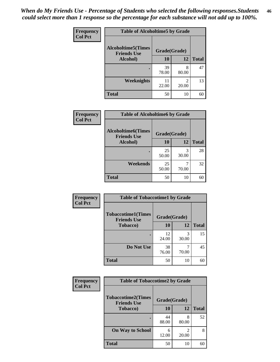*When do My Friends Use - Percentage of Students who selected the following responses.Students could select more than 1 response so the percentage for each substance will not add up to 100%.* **46**

| <b>Frequency</b> | <b>Table of Alcoholtime5 by Grade</b>           |              |            |              |
|------------------|-------------------------------------------------|--------------|------------|--------------|
| <b>Col Pct</b>   | <b>Alcoholtime5(Times</b><br><b>Friends Use</b> | Grade(Grade) |            |              |
|                  | Alcohol)                                        | 10           | <b>12</b>  | <b>Total</b> |
|                  |                                                 | 39<br>78.00  | 8<br>80.00 | 47           |
|                  | Weeknights                                      | 11<br>22.00  | 2<br>20.00 | 13           |
|                  | <b>Total</b>                                    | 50           | 10         | 60           |

| Frequency      |                                                 | <b>Table of Alcoholtime6 by Grade</b> |            |              |  |
|----------------|-------------------------------------------------|---------------------------------------|------------|--------------|--|
| <b>Col Pct</b> | <b>Alcoholtime6(Times</b><br><b>Friends Use</b> | Grade(Grade)                          |            |              |  |
|                | Alcohol)                                        | 10                                    | 12         | <b>Total</b> |  |
|                | ٠                                               | 25<br>50.00                           | 3<br>30.00 | 28           |  |
|                | Weekends                                        | 25<br>50.00                           | 7<br>70.00 | 32           |  |
|                | <b>Total</b>                                    | 50                                    | 10         | 60           |  |

| Frequency      | <b>Table of Tobaccotime1 by Grade</b>                           |             |            |              |
|----------------|-----------------------------------------------------------------|-------------|------------|--------------|
| <b>Col Pct</b> | <b>Tobaccotime1(Times</b><br>Grade(Grade)<br><b>Friends Use</b> |             |            |              |
|                | <b>Tobacco</b> )                                                | 10          | 12         | <b>Total</b> |
|                |                                                                 | 12<br>24.00 | 3<br>30.00 | 15           |
|                | Do Not Use                                                      | 38<br>76.00 | 70.00      | 45           |
|                | <b>Total</b>                                                    | 50          | 10         | 60           |

| Frequency      | <b>Table of Tobaccotime2 by Grade</b>           |              |            |              |
|----------------|-------------------------------------------------|--------------|------------|--------------|
| <b>Col Pct</b> | <b>Tobaccotime2(Times</b><br><b>Friends Use</b> | Grade(Grade) |            |              |
|                | <b>Tobacco</b> )                                | 10           | 12         | <b>Total</b> |
|                |                                                 | 44<br>88.00  | 8<br>80.00 | 52           |
|                | <b>On Way to School</b>                         | 6<br>12.00   | 20.00      | 8            |
|                | <b>Total</b>                                    | 50           | 10         | 60           |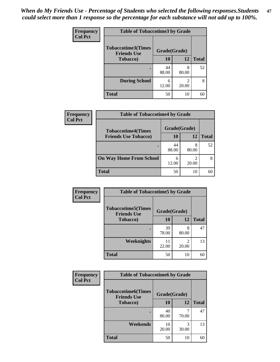*When do My Friends Use - Percentage of Students who selected the following responses.Students could select more than 1 response so the percentage for each substance will not add up to 100%.* **47**

| <b>Frequency</b> | <b>Table of Tobaccotime3 by Grade</b>           |              |            |              |  |
|------------------|-------------------------------------------------|--------------|------------|--------------|--|
| <b>Col Pct</b>   | <b>Tobaccotime3(Times</b><br><b>Friends Use</b> | Grade(Grade) |            |              |  |
|                  | <b>Tobacco</b> )                                | 10           | 12         | <b>Total</b> |  |
|                  |                                                 | 44<br>88.00  | 8<br>80.00 | 52           |  |
|                  | <b>During School</b>                            | 6<br>12.00   | 2<br>20.00 | 8            |  |
|                  | <b>Total</b>                                    | 50           | 10         | 60           |  |

| <b>Frequency</b><br><b>Col Pct</b> | <b>Table of Tobaccotime4 by Grade</b> |              |       |              |
|------------------------------------|---------------------------------------|--------------|-------|--------------|
|                                    | <b>Tobaccotime4(Times</b>             | Grade(Grade) |       |              |
|                                    | <b>Friends Use Tobacco)</b>           | 10           | 12    | <b>Total</b> |
|                                    |                                       | 44<br>88.00  | 80.00 | 52           |
|                                    | <b>On Way Home From School</b>        | 6<br>12.00   | 20.00 |              |
|                                    | <b>Total</b>                          | 50           | 10    | 60           |

| <b>Frequency</b> | <b>Table of Tobaccotime5 by Grade</b>           |              |            |              |
|------------------|-------------------------------------------------|--------------|------------|--------------|
| <b>Col Pct</b>   | <b>Tobaccotime5(Times</b><br><b>Friends Use</b> | Grade(Grade) |            |              |
|                  | <b>Tobacco</b> )                                | 10           | <b>12</b>  | <b>Total</b> |
|                  | ٠                                               | 39<br>78.00  | 8<br>80.00 | 47           |
|                  | Weeknights                                      | 11<br>22.00  | 2<br>20.00 | 13           |
|                  | <b>Total</b>                                    | 50           | 10         | 60           |

| Frequency<br><b>Col Pct</b> | <b>Table of Tobaccotime6 by Grade</b>           |              |            |              |  |
|-----------------------------|-------------------------------------------------|--------------|------------|--------------|--|
|                             | <b>Tobaccotime6(Times</b><br><b>Friends Use</b> | Grade(Grade) |            |              |  |
|                             | <b>Tobacco</b> )                                | 10           | 12         | <b>Total</b> |  |
|                             |                                                 | 40<br>80.00  | 70.00      | 47           |  |
|                             | Weekends                                        | 10<br>20.00  | 3<br>30.00 | 13           |  |
|                             | <b>Total</b>                                    | 50           | 10         | 60           |  |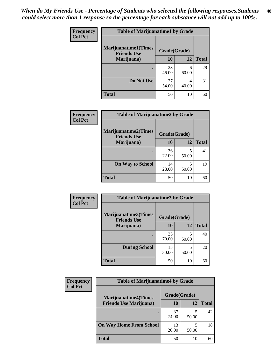| Frequency      | <b>Table of Marijuanatime1 by Grade</b>           |              |            |              |
|----------------|---------------------------------------------------|--------------|------------|--------------|
| <b>Col Pct</b> | <b>Marijuanatime1(Times</b><br><b>Friends Use</b> | Grade(Grade) |            |              |
|                | Marijuana)                                        | 10           | 12         | <b>Total</b> |
|                |                                                   | 23<br>46.00  | 6<br>60.00 | 29           |
|                | Do Not Use                                        | 27<br>54.00  | 4<br>40.00 | 31           |
|                | <b>Total</b>                                      | 50           | 10         | 60           |

| Frequency      | <b>Table of Marijuanatime2 by Grade</b>           |              |            |              |
|----------------|---------------------------------------------------|--------------|------------|--------------|
| <b>Col Pct</b> | <b>Marijuanatime2(Times</b><br><b>Friends Use</b> | Grade(Grade) |            |              |
|                | Marijuana)                                        | 10           | 12         | <b>Total</b> |
|                |                                                   | 36<br>72.00  | 5<br>50.00 | 41           |
|                | <b>On Way to School</b>                           | 14<br>28.00  | 5<br>50.00 | 19           |
|                | <b>Total</b>                                      | 50           | 10         | 60           |

| <b>Frequency</b> | <b>Table of Marijuanatime3 by Grade</b>    |              |            |              |
|------------------|--------------------------------------------|--------------|------------|--------------|
| <b>Col Pct</b>   | Marijuanatime3(Times<br><b>Friends Use</b> | Grade(Grade) |            |              |
|                  | Marijuana)                                 | 10           | 12         | <b>Total</b> |
|                  |                                            | 35<br>70.00  | 5<br>50.00 | 40           |
|                  | <b>During School</b>                       | 15<br>30.00  | 5<br>50.00 | 20           |
|                  | Total                                      | 50           | 10         | 60           |

| <b>Frequency</b><br><b>Col Pct</b> | <b>Table of Marijuanatime4 by Grade</b> |              |       |              |
|------------------------------------|-----------------------------------------|--------------|-------|--------------|
|                                    | <b>Marijuanatime4(Times</b>             | Grade(Grade) |       |              |
|                                    | <b>Friends Use Marijuana</b> )          | 10           | 12    | <b>Total</b> |
|                                    |                                         | 37<br>74.00  | 50.00 | 42           |
|                                    | <b>On Way Home From School</b>          | 13<br>26.00  | 50.00 | 18           |
|                                    | <b>Total</b>                            | 50           | 10    | 60           |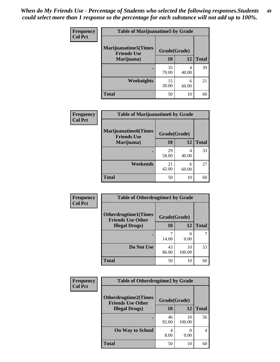| Frequency<br><b>Col Pct</b> | <b>Table of Marijuanatime5 by Grade</b>            |              |            |              |
|-----------------------------|----------------------------------------------------|--------------|------------|--------------|
|                             | <b>Marijuanatime5</b> (Times<br><b>Friends Use</b> | Grade(Grade) |            |              |
|                             | Marijuana)                                         | 10           | 12         | <b>Total</b> |
|                             |                                                    | 35<br>70.00  | 4<br>40.00 | 39           |
|                             | Weeknights                                         | 15<br>30.00  | 6<br>60.00 | 21           |
|                             | <b>Total</b>                                       | 50           | 10         | 60           |

| Frequency      | <b>Table of Marijuanatime6 by Grade</b>            |              |            |              |
|----------------|----------------------------------------------------|--------------|------------|--------------|
| <b>Col Pct</b> | <b>Marijuanatime6</b> (Times<br><b>Friends Use</b> | Grade(Grade) |            |              |
|                | Marijuana)                                         | 10           | 12         | <b>Total</b> |
|                |                                                    | 29<br>58.00  | 4<br>40.00 | 33           |
|                | Weekends                                           | 21<br>42.00  | 6<br>60.00 | 27           |
|                | <b>Total</b>                                       | 50           | 10         | 60           |

| <b>Frequency</b> | <b>Table of Otherdrugtime1 by Grade</b>                 |              |              |              |  |
|------------------|---------------------------------------------------------|--------------|--------------|--------------|--|
| <b>Col Pct</b>   | <b>Otherdrugtime1(Times</b><br><b>Friends Use Other</b> | Grade(Grade) |              |              |  |
|                  | <b>Illegal Drugs</b> )                                  | 10           | 12           | <b>Total</b> |  |
|                  |                                                         | 14.00        | 0<br>0.00    |              |  |
|                  | Do Not Use                                              | 43<br>86.00  | 10<br>100.00 | 53           |  |
|                  | Total                                                   | 50           | 10           | 60           |  |

| Frequency      | <b>Table of Otherdrugtime2 by Grade</b>                 |              |              |              |  |
|----------------|---------------------------------------------------------|--------------|--------------|--------------|--|
| <b>Col Pct</b> | <b>Otherdrugtime2(Times</b><br><b>Friends Use Other</b> | Grade(Grade) |              |              |  |
|                | <b>Illegal Drugs</b> )                                  | 10           | 12           | <b>Total</b> |  |
|                |                                                         | 46<br>92.00  | 10<br>100.00 | 56           |  |
|                | <b>On Way to School</b>                                 | 4<br>8.00    | 0.00         | 4            |  |
|                | Total                                                   | 50           | 10           | 60           |  |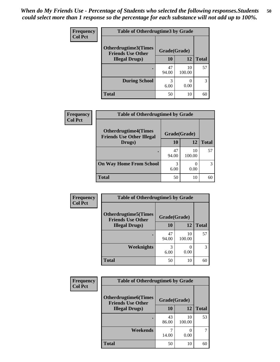| <b>Frequency</b> | <b>Table of Otherdrugtime3 by Grade</b>          |              |              |              |  |
|------------------|--------------------------------------------------|--------------|--------------|--------------|--|
| <b>Col Pct</b>   | Otherdrugtime3(Times<br><b>Friends Use Other</b> | Grade(Grade) |              |              |  |
|                  | <b>Illegal Drugs</b> )                           | 10           | 12           | <b>Total</b> |  |
|                  |                                                  | 47<br>94.00  | 10<br>100.00 | 57           |  |
|                  | <b>During School</b>                             | 3<br>6.00    | 0<br>0.00    | 3            |  |
|                  | Total                                            | 50           | 10           | 60           |  |

| Frequency      | <b>Table of Otherdrugtime4 by Grade</b>                         |              |              |              |  |
|----------------|-----------------------------------------------------------------|--------------|--------------|--------------|--|
| <b>Col Pct</b> | <b>Otherdrugtime4(Times</b><br><b>Friends Use Other Illegal</b> | Grade(Grade) |              |              |  |
|                | Drugs)                                                          | 10           | 12           | <b>Total</b> |  |
|                | ٠                                                               | 47<br>94.00  | 10<br>100.00 | 57           |  |
|                | <b>On Way Home From School</b>                                  | 3<br>6.00    | 0.00         | 3            |  |
|                | <b>Total</b>                                                    | 50           | 10           |              |  |

| <b>Frequency</b> | <b>Table of Otherdrugtime5 by Grade</b>                  |              |              |              |  |
|------------------|----------------------------------------------------------|--------------|--------------|--------------|--|
| <b>Col Pct</b>   | <b>Otherdrugtime5</b> (Times<br><b>Friends Use Other</b> | Grade(Grade) |              |              |  |
|                  | <b>Illegal Drugs</b> )                                   | 10           | 12           | <b>Total</b> |  |
|                  |                                                          | 47<br>94.00  | 10<br>100.00 | 57           |  |
|                  | Weeknights                                               | 3<br>6.00    | 0.00         | 3            |  |
|                  | <b>Total</b>                                             | 50           | 10           | 60           |  |

| <b>Frequency</b> | <b>Table of Otherdrugtime6 by Grade</b>                 |              |              |              |  |
|------------------|---------------------------------------------------------|--------------|--------------|--------------|--|
| <b>Col Pct</b>   | <b>Otherdrugtime6(Times</b><br><b>Friends Use Other</b> | Grade(Grade) |              |              |  |
|                  | <b>Illegal Drugs</b> )                                  | 10           | 12           | <b>Total</b> |  |
|                  |                                                         | 43<br>86.00  | 10<br>100.00 | 53           |  |
|                  | Weekends                                                | 14.00        | 0.00         | 7            |  |
|                  | Total                                                   | 50           | 10           | 60           |  |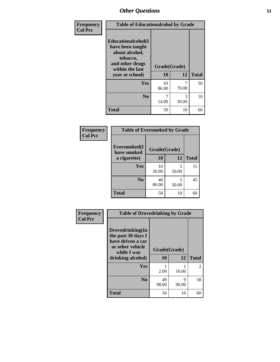| Frequency      | <b>Table of Educationalcohol by Grade</b>                                                                  |              |              |    |
|----------------|------------------------------------------------------------------------------------------------------------|--------------|--------------|----|
| <b>Col Pct</b> | Educationalcohol(I<br>have been taught<br>about alcohol,<br>tobacco,<br>and other drugs<br>within the last | Grade(Grade) |              |    |
|                | year at school)                                                                                            | 10<br>12     | <b>Total</b> |    |
|                | Yes                                                                                                        | 43<br>86.00  | 70.00        | 50 |
|                | N <sub>0</sub>                                                                                             | 7<br>14.00   | 3<br>30.00   | 10 |
|                | <b>Total</b>                                                                                               | 50           | 10           | 60 |

| Frequency      | <b>Table of Eversmoked by Grade</b> |              |            |              |  |
|----------------|-------------------------------------|--------------|------------|--------------|--|
| <b>Col Pct</b> | Eversmoked(I<br>have smoked         | Grade(Grade) |            |              |  |
|                | a cigarette)                        | 10           | 12         | <b>Total</b> |  |
|                | <b>Yes</b>                          | 10<br>20.00  | 5<br>50.00 | 15           |  |
|                | N <sub>0</sub>                      | 40<br>80.00  | 5<br>50.00 | 45           |  |
|                | <b>Total</b>                        | 50           | 10         | 60           |  |

| Frequency      | <b>Table of Drovedrinking by Grade</b>                                                                              |                          |            |                |  |
|----------------|---------------------------------------------------------------------------------------------------------------------|--------------------------|------------|----------------|--|
| <b>Col Pct</b> | Drovedrinking(In<br>the past 30 days I<br>have driven a car<br>or other vehicle<br>while I was<br>drinking alcohol) | Grade(Grade)<br>12<br>10 |            | <b>Total</b>   |  |
|                |                                                                                                                     |                          |            |                |  |
|                | <b>Yes</b>                                                                                                          | 2.00                     | 10.00      | $\overline{2}$ |  |
|                | N <sub>0</sub>                                                                                                      | 49<br>98.00              | 9<br>90.00 | 58             |  |
|                | <b>Total</b>                                                                                                        | 50                       | 10         | 60             |  |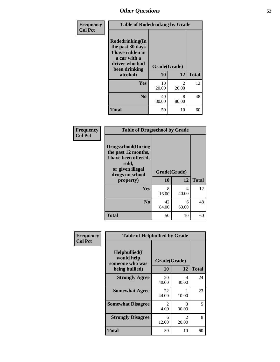| Frequency      | <b>Table of Rodedrinking by Grade</b>                                                                                  |                    |                         |    |  |
|----------------|------------------------------------------------------------------------------------------------------------------------|--------------------|-------------------------|----|--|
| <b>Col Pct</b> | Rodedrinking(In<br>the past 30 days<br>I have ridden in<br>a car with a<br>driver who had<br>been drinking<br>alcohol) | Grade(Grade)<br>10 | <b>Total</b>            |    |  |
|                | <b>Yes</b>                                                                                                             | 10<br>20.00        | $\mathfrak{D}$<br>20.00 | 12 |  |
|                | N <sub>0</sub>                                                                                                         | 40<br>80.00        | 8<br>80.00              | 48 |  |
|                | <b>Total</b>                                                                                                           | 50                 | 10                      | 60 |  |

#### **Frequency Col Pct**

Г

|                                                                                                                           | <b>Table of Drugsschool by Grade</b> |       |              |  |  |
|---------------------------------------------------------------------------------------------------------------------------|--------------------------------------|-------|--------------|--|--|
| <b>Drugsschool</b> (During<br>the past 12 months,<br>I have been offered,<br>sold,<br>or given illegal<br>drugs on school | Grade(Grade)                         |       |              |  |  |
| property)                                                                                                                 | 10                                   | 12    | <b>Total</b> |  |  |
| Yes                                                                                                                       | 8                                    | 4     | 12           |  |  |
|                                                                                                                           | 16.00                                | 40.00 |              |  |  |
| N <sub>0</sub>                                                                                                            | 42                                   | 6     | 48           |  |  |
|                                                                                                                           | 84.00                                | 60.00 |              |  |  |
| <b>Total</b>                                                                                                              | 50                                   | 10    |              |  |  |

| Frequency      | <b>Table of Helpbullied by Grade</b>                 |                        |                                      |              |  |  |
|----------------|------------------------------------------------------|------------------------|--------------------------------------|--------------|--|--|
| <b>Col Pct</b> | $Helpb$ ullied $(I$<br>would help<br>someone who was | Grade(Grade)           |                                      |              |  |  |
|                | being bullied)                                       | 10                     | 12                                   | <b>Total</b> |  |  |
|                | <b>Strongly Agree</b>                                | 20<br>40.00            | 4<br>40.00                           | 24           |  |  |
|                | <b>Somewhat Agree</b>                                | 22<br>44.00            | 1<br>10.00                           | 23           |  |  |
|                | <b>Somewhat Disagree</b>                             | $\mathfrak{D}$<br>4.00 | 3<br>30.00                           | 5            |  |  |
|                | <b>Strongly Disagree</b>                             | 6<br>12.00             | $\mathcal{D}_{\mathcal{L}}$<br>20.00 | 8            |  |  |
|                | <b>Total</b>                                         | 50                     | 10                                   | 60           |  |  |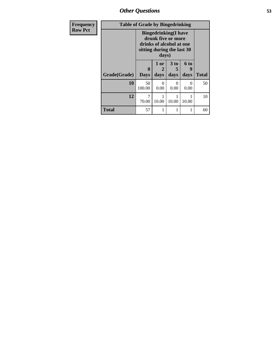*Other Questions* **53**

| Frequency<br><b>Row Pct</b> | <b>Table of Grade by Bingedrinking</b> |                                                                                                                       |              |                              |                              |              |
|-----------------------------|----------------------------------------|-----------------------------------------------------------------------------------------------------------------------|--------------|------------------------------|------------------------------|--------------|
|                             |                                        | <b>Bingedrinking</b> (I have<br>drunk five or more<br>drinks of alcohol at one<br>sitting during the last 30<br>days) |              |                              |                              |              |
|                             | Grade(Grade)                           | 0<br><b>Days</b>                                                                                                      | 1 or<br>days | 3 <sub>to</sub><br>5<br>days | 6 <sub>to</sub><br>9<br>days | <b>Total</b> |
|                             | 10                                     | 50<br>100.00                                                                                                          | 0.00         | $\Omega$<br>0.00             | 0<br>0.00                    | 50           |
|                             | 12                                     | 7<br>70.00                                                                                                            | 10.00        | 10.00                        | 10.00                        | 10           |
|                             | <b>Total</b>                           | 57                                                                                                                    |              |                              | 1                            | 60           |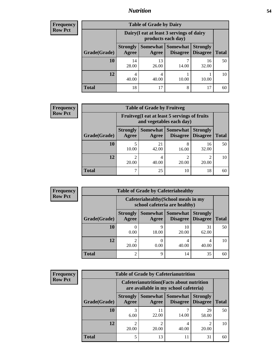#### *Nutrition* **54**

| <b>Frequency</b> | <b>Table of Grade by Dairy</b> |                                                                 |                   |                                    |                                    |              |  |
|------------------|--------------------------------|-----------------------------------------------------------------|-------------------|------------------------------------|------------------------------------|--------------|--|
| <b>Row Pct</b>   |                                | Dairy (I eat at least 3 servings of dairy<br>products each day) |                   |                                    |                                    |              |  |
|                  | Grade(Grade)                   | <b>Strongly</b><br>Agree                                        | Somewhat<br>Agree | <b>Somewhat</b><br><b>Disagree</b> | <b>Strongly</b><br><b>Disagree</b> | <b>Total</b> |  |
|                  | 10                             | 14<br>28.00                                                     | 13<br>26.00       | 14.00                              | 16<br>32.00                        | 50           |  |
|                  | 12                             | 4<br>40.00                                                      | 4<br>40.00        | 10.00                              | 10.00                              | 10           |  |
|                  | Total                          | 18                                                              | 17                | 8                                  | 17                                 | 60           |  |

| Frequency      | <b>Table of Grade by Fruitveg</b> |                          |                                                                          |                                        |                                    |              |  |
|----------------|-----------------------------------|--------------------------|--------------------------------------------------------------------------|----------------------------------------|------------------------------------|--------------|--|
| <b>Row Pct</b> |                                   |                          | Fruitveg(I eat at least 5 servings of fruits<br>and vegetables each day) |                                        |                                    |              |  |
|                | Grade(Grade)                      | <b>Strongly</b><br>Agree | Agree                                                                    | Somewhat   Somewhat<br><b>Disagree</b> | <b>Strongly</b><br><b>Disagree</b> | <b>Total</b> |  |
|                | 10                                | 10.00                    | 21<br>42.00                                                              | 8<br>16.00                             | 16<br>32.00                        | 50           |  |
|                | 12                                | ↑<br>20.00               | 4<br>40.00                                                               | ∍<br>20.00                             | ∍<br>20.00                         | 10           |  |
|                | <b>Total</b>                      | ⇁                        | 25                                                                       | 10                                     | 18                                 | 60           |  |

| <b>Frequency</b> | <b>Table of Grade by Cafeteriahealthy</b> |                          |                                                                       |                                      |                                    |              |  |
|------------------|-------------------------------------------|--------------------------|-----------------------------------------------------------------------|--------------------------------------|------------------------------------|--------------|--|
| <b>Row Pct</b>   |                                           |                          | Cafeteriahealthy (School meals in my<br>school cafeteria are healthy) |                                      |                                    |              |  |
|                  | Grade(Grade)                              | <b>Strongly</b><br>Agree | Agree                                                                 | Somewhat Somewhat<br><b>Disagree</b> | <b>Strongly</b><br><b>Disagree</b> | <b>Total</b> |  |
|                  | 10                                        | 0.00                     | 9<br>18.00                                                            | 10<br>20.00                          | 31<br>62.00                        | 50           |  |
|                  | 12                                        | 20.00                    | 0<br>0.00                                                             | 40.00                                | 40.00                              | 10           |  |
|                  | <b>Total</b>                              |                          | 9                                                                     | 14                                   | 35                                 | 60           |  |

| quency           | <b>Table of Grade by Cafeterianutrition</b> |                          |                                                                                           |                      |                                    |              |  |  |
|------------------|---------------------------------------------|--------------------------|-------------------------------------------------------------------------------------------|----------------------|------------------------------------|--------------|--|--|
| Pct <sup>7</sup> |                                             |                          | <b>Cafeterianutrition</b> (Facts about nutrition<br>are available in my school cafeteria) |                      |                                    |              |  |  |
|                  | Grade(Grade)                                | <b>Strongly</b><br>Agree | Somewhat<br>Agree                                                                         | Somewhat<br>Disagree | <b>Strongly</b><br><b>Disagree</b> | <b>Total</b> |  |  |
|                  | 10                                          | 6.00                     | 11<br>22.00                                                                               | 14.00                | 29<br>58.00                        | 50           |  |  |
|                  | 12                                          | 20.00                    | 20.00                                                                                     | 4<br>40.00           | 2<br>20.00                         | 10           |  |  |
|                  | Total                                       |                          | 13                                                                                        | 11                   | 31                                 | 60           |  |  |

**Frequency Row Pct**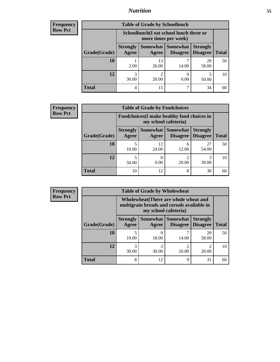### *Nutrition* **55**

| Frequency      | <b>Table of Grade by Schoollunch</b> |                                                                 |             |                                             |               |  |  |  |
|----------------|--------------------------------------|-----------------------------------------------------------------|-------------|---------------------------------------------|---------------|--|--|--|
| <b>Row Pct</b> |                                      | Schoollunch(I eat school lunch three or<br>more times per week) |             |                                             |               |  |  |  |
|                | Grade(Grade)                         | <b>Strongly</b><br>Agree                                        | Agree       | Somewhat   Somewhat  <br>Disagree   Disagre | <b>Strong</b> |  |  |  |
|                | 10                                   | 2.00                                                            | 13<br>26.00 | 14.00                                       | 58.           |  |  |  |

| 10           | 2.00                  | 13<br>26.00 | −<br>14.00 | 29<br>58.00 | 50 |
|--------------|-----------------------|-------------|------------|-------------|----|
| 12           | $\mathbf{c}$<br>30.00 | 20.00       | 0.00       | 50.00       | 10 |
| <b>Total</b> | 4                     | 15          |            | 34          | 60 |

**Total Disagree**

**Strongly**

| <b>Frequency</b> | <b>Table of Grade by Foodchoices</b> |                                                                     |                     |                      |                                    |              |
|------------------|--------------------------------------|---------------------------------------------------------------------|---------------------|----------------------|------------------------------------|--------------|
| <b>Row Pct</b>   |                                      | Foodchoices (I make healthy food choices in<br>my school cafeteria) |                     |                      |                                    |              |
|                  | Grade(Grade)                         | <b>Strongly</b><br>Agree                                            | Somewhat  <br>Agree | Somewhat<br>Disagree | <b>Strongly</b><br><b>Disagree</b> | <b>Total</b> |
|                  | 10                                   | 10.00                                                               | 12<br>24.00         | 6<br>12.00           | 27<br>54.00                        | 50           |
|                  | 12                                   | 50.00                                                               | 0<br>0.00           | 20.00                | 3<br>30.00                         | 10           |
|                  | <b>Total</b>                         | 10                                                                  | 12                  | 8                    | 30                                 | 60           |

| <b>Frequency</b> | <b>Table of Grade by Wholewheat</b> |                                                                                                                   |            |            |             |    |  |  |
|------------------|-------------------------------------|-------------------------------------------------------------------------------------------------------------------|------------|------------|-------------|----|--|--|
| <b>Row Pct</b>   |                                     | Wholewheat (There are whole wheat and<br>multigrain breads and cereals available in<br>my school cafeteria)       |            |            |             |    |  |  |
|                  | Grade(Grade)                        | Somewhat   Somewhat<br><b>Strongly</b><br><b>Strongly</b><br><b>Disagree</b><br>Agree<br><b>Disagree</b><br>Agree |            |            |             |    |  |  |
|                  | 10                                  | 10.00                                                                                                             | 9<br>18.00 | 14.00      | 29<br>58.00 | 50 |  |  |
|                  | 12                                  | 3<br>30.00                                                                                                        | 3<br>30.00 | ി<br>20.00 | 2<br>20.00  | 10 |  |  |
|                  | Total                               | 8                                                                                                                 | 12         | 9          | 31          | 60 |  |  |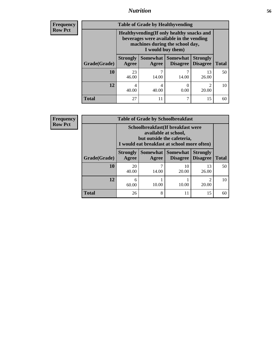### *Nutrition* **56**

**Frequency Row Pct**

| <b>Table of Grade by Healthyvending</b> |                                                                                                                                               |                                                                                                       |            |             |    |  |  |  |
|-----------------------------------------|-----------------------------------------------------------------------------------------------------------------------------------------------|-------------------------------------------------------------------------------------------------------|------------|-------------|----|--|--|--|
|                                         | Healthyvending (If only healthy snacks and<br>beverages were available in the vending<br>machines during the school day,<br>I would buy them) |                                                                                                       |            |             |    |  |  |  |
| Grade(Grade)                            | <b>Strongly</b><br>Agree                                                                                                                      | Somewhat   Somewhat<br><b>Strongly</b><br><b>Disagree</b><br><b>Disagree</b><br><b>Total</b><br>Agree |            |             |    |  |  |  |
| 10                                      | 23<br>46.00                                                                                                                                   | 14.00                                                                                                 | 7<br>14.00 | 13<br>26.00 | 50 |  |  |  |
| 12                                      | $\mathcal{D}$<br>4<br>0<br>4<br>0.00<br>20.00<br>40.00<br>40.00                                                                               |                                                                                                       |            |             |    |  |  |  |
| <b>Total</b>                            | 27                                                                                                                                            | 11                                                                                                    | 7          | 15          | 60 |  |  |  |

**Frequency Row Pct**

| <b>Table of Grade by Schoolbreakfast</b> |                                                                                                                                         |                                                                                                |    |    |    |  |  |  |
|------------------------------------------|-----------------------------------------------------------------------------------------------------------------------------------------|------------------------------------------------------------------------------------------------|----|----|----|--|--|--|
|                                          | Schoolbreakfast (If breakfast were<br>available at school,<br>but outside the cafeteria,<br>I would eat breakfast at school more often) |                                                                                                |    |    |    |  |  |  |
| Grade(Grade)                             | <b>Strongly</b><br>Agree                                                                                                                | Somewhat   Somewhat<br><b>Strongly</b><br><b>Disagree</b><br><b>Total</b><br>Disagree<br>Agree |    |    |    |  |  |  |
| 10                                       | 20<br>40.00                                                                                                                             | 10<br>13<br>20.00<br>14.00<br>26.00                                                            |    |    |    |  |  |  |
| 12                                       | 2<br>6<br>10.00<br>10.00<br>60.00<br>20.00                                                                                              |                                                                                                |    |    |    |  |  |  |
| <b>Total</b>                             | 26                                                                                                                                      | 8                                                                                              | 11 | 15 | 60 |  |  |  |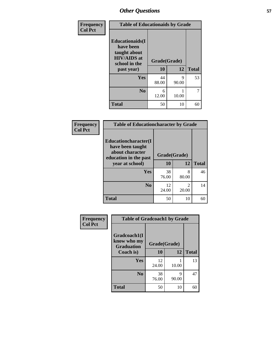| Frequency      | <b>Table of Educationaids by Grade</b>                                                                    |                           |            |              |  |  |  |
|----------------|-----------------------------------------------------------------------------------------------------------|---------------------------|------------|--------------|--|--|--|
| <b>Col Pct</b> | <b>Educationaids</b> (I<br>have been<br>taught about<br><b>HIV/AIDS</b> at<br>school in the<br>past year) | Grade(Grade)<br><b>10</b> | 12         | <b>Total</b> |  |  |  |
|                | Yes                                                                                                       | 44<br>88.00               | 9<br>90.00 | 53           |  |  |  |
|                | N <sub>0</sub>                                                                                            | 6<br>12.00                | 10.00      | 7            |  |  |  |
|                | <b>Total</b>                                                                                              | 50                        | 10         | 60           |  |  |  |

| Frequency      | <b>Table of Educationcharacter by Grade</b>                         |              |                         |              |  |  |  |  |
|----------------|---------------------------------------------------------------------|--------------|-------------------------|--------------|--|--|--|--|
| <b>Col Pct</b> | <b>Educationcharacter(I)</b><br>have been taught<br>about character |              |                         |              |  |  |  |  |
|                | education in the past                                               | Grade(Grade) |                         |              |  |  |  |  |
|                | year at school)                                                     | 10           | 12                      | <b>Total</b> |  |  |  |  |
|                | <b>Yes</b>                                                          | 38<br>76.00  | 8<br>80.00              | 46           |  |  |  |  |
|                | N <sub>0</sub>                                                      | 12<br>24.00  | $\mathfrak{D}$<br>20.00 | 14           |  |  |  |  |
|                | <b>Total</b>                                                        | 50           | 10                      | 60           |  |  |  |  |

| Frequency      |                                | <b>Table of Gradcoach1 by Grade</b> |            |              |
|----------------|--------------------------------|-------------------------------------|------------|--------------|
| <b>Col Pct</b> | Gradcoach1(I<br>know who my    | Grade(Grade)                        |            |              |
|                | <b>Graduation</b><br>Coach is) | 10                                  | 12         | <b>Total</b> |
|                | Yes                            | 12<br>24.00                         | 10.00      | 13           |
|                | N <sub>0</sub>                 | 38<br>76.00                         | 9<br>90.00 | 47           |
|                | <b>Total</b>                   | 50                                  | 10         | 60           |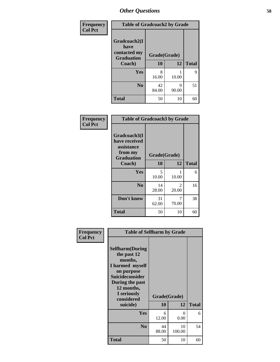| Frequency      | <b>Table of Gradcoach2 by Grade</b> |              |            |              |  |  |
|----------------|-------------------------------------|--------------|------------|--------------|--|--|
| <b>Col Pct</b> |                                     |              |            |              |  |  |
|                | Gradcoach2(I<br>have                |              |            |              |  |  |
|                | contacted my<br><b>Graduation</b>   | Grade(Grade) |            |              |  |  |
|                | Coach)                              | 10           | 12         | <b>Total</b> |  |  |
|                | Yes                                 | 8<br>16.00   | 10.00      | 9            |  |  |
|                | N <sub>0</sub>                      | 42<br>84.00  | 9<br>90.00 | 51           |  |  |
|                | <b>Total</b>                        | 50           | 10         | 60           |  |  |

| Frequency<br><b>Col Pct</b> | <b>Table of Gradcoach3 by Grade</b>                                         |              |                         |              |
|-----------------------------|-----------------------------------------------------------------------------|--------------|-------------------------|--------------|
|                             | Gradcoach3(I<br>have received<br>assistance<br>from my<br><b>Graduation</b> | Grade(Grade) |                         |              |
|                             | Coach)                                                                      | 10           | 12                      | <b>Total</b> |
|                             | Yes                                                                         | 5<br>10.00   | 1<br>10.00              | 6            |
|                             | N <sub>0</sub>                                                              | 14<br>28.00  | $\overline{2}$<br>20.00 | 16           |
|                             | Don't know                                                                  | 31<br>62.00  | 7<br>70.00              | 38           |
|                             | <b>Total</b>                                                                | 50           | 10                      | 60           |

| Frequency<br><b>Col Pct</b> | <b>Table of Selfharm by Grade</b>                                                                                                                                                      |             |                    |              |
|-----------------------------|----------------------------------------------------------------------------------------------------------------------------------------------------------------------------------------|-------------|--------------------|--------------|
|                             | <b>Selfharm</b> (During<br>the past 12<br>months,<br>I harmed myself<br>on purpose<br><b>Suicideconsider</b><br>During the past<br>12 months,<br>I seriously<br>considered<br>suicide) | 10          | Grade(Grade)<br>12 | <b>Total</b> |
|                             |                                                                                                                                                                                        |             |                    |              |
|                             | Yes                                                                                                                                                                                    | 6<br>12.00  | 0<br>0.00          | 6            |
|                             | N <sub>0</sub>                                                                                                                                                                         | 44<br>88.00 | 10<br>100.00       | 54           |
|                             | Total                                                                                                                                                                                  | 50          | 10                 | 60           |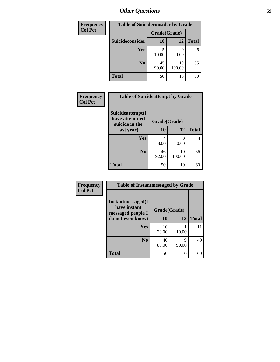| <b>Frequency</b> | <b>Table of Suicideconsider by Grade</b> |              |              |              |
|------------------|------------------------------------------|--------------|--------------|--------------|
| <b>Col Pct</b>   |                                          | Grade(Grade) |              |              |
|                  | Suicideconsider                          | <b>10</b>    | 12           | <b>Total</b> |
|                  | <b>Yes</b>                               | 10.00        | 0.00         | 5            |
|                  | N <sub>0</sub>                           | 45<br>90.00  | 10<br>100.00 | 55           |
|                  | <b>Total</b>                             | 50           | 10           | 60           |

| Frequency      | <b>Table of Suicideattempt by Grade</b>              |              |              |              |
|----------------|------------------------------------------------------|--------------|--------------|--------------|
| <b>Col Pct</b> | Suicideattempt(I<br>have attempted<br>suicide in the | Grade(Grade) |              |              |
|                | last year)                                           | 10           | 12           | <b>Total</b> |
|                | Yes                                                  | 4<br>8.00    | 0<br>0.00    | 4            |
|                | N <sub>0</sub>                                       | 46<br>92.00  | 10<br>100.00 | 56           |
|                | <b>Total</b>                                         | 50           | 10           | 60           |

| Frequency      | <b>Table of Instantmessaged by Grade</b>               |              |            |              |  |  |  |
|----------------|--------------------------------------------------------|--------------|------------|--------------|--|--|--|
| <b>Col Pct</b> | Instantmessaged(I<br>have instant<br>messaged people I | Grade(Grade) |            |              |  |  |  |
|                | do not even know)                                      | 10           | 12         | <b>Total</b> |  |  |  |
|                | Yes                                                    | 10<br>20.00  | 10.00      | 11           |  |  |  |
|                | N <sub>0</sub>                                         | 40<br>80.00  | 9<br>90.00 | 49           |  |  |  |
|                | <b>Total</b>                                           | 50           | 10         | 60           |  |  |  |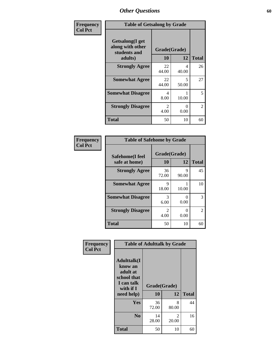| Frequency      | <b>Table of Getsalong by Grade</b>                          |                        |            |                |  |  |
|----------------|-------------------------------------------------------------|------------------------|------------|----------------|--|--|
| <b>Col Pct</b> | <b>Getsalong</b> (I get<br>along with other<br>students and | Grade(Grade)           |            |                |  |  |
|                | adults)                                                     | 10                     | 12         | <b>Total</b>   |  |  |
|                | <b>Strongly Agree</b>                                       | 22<br>44.00            | 4<br>40.00 | 26             |  |  |
|                | <b>Somewhat Agree</b>                                       | 22<br>44.00            | 5<br>50.00 | 27             |  |  |
|                | <b>Somewhat Disagree</b>                                    | 4<br>8.00              | 10.00      | 5              |  |  |
|                | <b>Strongly Disagree</b>                                    | $\mathfrak{D}$<br>4.00 | 0<br>0.00  | $\mathfrak{D}$ |  |  |
|                | Total                                                       | 50                     | 10         | 60             |  |  |

| Frequency      | <b>Table of Safehome by Grade</b> |             |                    |                |  |  |  |
|----------------|-----------------------------------|-------------|--------------------|----------------|--|--|--|
| <b>Col Pct</b> | Safehome(I feel<br>safe at home)  | 10          | Grade(Grade)<br>12 | <b>Total</b>   |  |  |  |
|                | <b>Strongly Agree</b>             | 36<br>72.00 | 9<br>90.00         | 45             |  |  |  |
|                | <b>Somewhat Agree</b>             | 9<br>18.00  | 10.00              | 10             |  |  |  |
|                | <b>Somewhat Disagree</b>          | 3<br>6.00   | 0.00               | 3              |  |  |  |
|                | <b>Strongly Disagree</b>          | 2<br>4.00   | 0.00               | $\overline{2}$ |  |  |  |
|                | <b>Total</b>                      | 50          | 10                 | 60             |  |  |  |

| Frequency<br><b>Col Pct</b> | <b>Table of Adulttalk by Grade</b>                                                                 |                    |            |              |  |  |
|-----------------------------|----------------------------------------------------------------------------------------------------|--------------------|------------|--------------|--|--|
|                             | <b>Adulttalk</b> (I<br>know an<br>adult at<br>school that<br>I can talk<br>with if I<br>need help) | Grade(Grade)<br>10 | 12         | <b>Total</b> |  |  |
|                             | Yes                                                                                                | 36<br>72.00        | 8<br>80.00 | 44           |  |  |
|                             | N <sub>0</sub>                                                                                     | 14<br>28.00        | 2<br>20.00 | 16           |  |  |
|                             | <b>Total</b>                                                                                       | 50                 | 10         | 60           |  |  |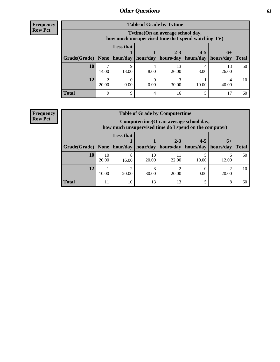**Frequency Row Pct**

| <b>Table of Grade by Tytime</b> |            |                                                                                         |          |             |           |             |              |
|---------------------------------|------------|-----------------------------------------------------------------------------------------|----------|-------------|-----------|-------------|--------------|
|                                 |            | Tvtime (On an average school day,<br>how much unsupervised time do I spend watching TV) |          |             |           |             |              |
|                                 |            | <b>Less that</b>                                                                        |          | $2 - 3$     | $4 - 5$   | $6+$        |              |
| Grade(Grade)   None             |            | hour/day                                                                                | hour/day | hours/day   | hours/day | hours/day   | <b>Total</b> |
| 10                              | 14.00      | 9<br>18.00                                                                              | 8.00     | 13<br>26.00 | 8.00      | 13<br>26.00 | 50           |
| 12                              | ി<br>20.00 | 0.00                                                                                    | 0.00     | 30.00       | 10.00     | 40.00       | 10           |
| <b>Total</b>                    | 9          | 9                                                                                       |          | 16          |           |             | 60           |

**Frequency Row Pct**

| <b>Table of Grade by Computertime</b> |             |                                                                                                   |             |                      |                      |                   |              |
|---------------------------------------|-------------|---------------------------------------------------------------------------------------------------|-------------|----------------------|----------------------|-------------------|--------------|
|                                       |             | Computertime (On an average school day,<br>how much unsupervised time do I spend on the computer) |             |                      |                      |                   |              |
| Grade(Grade)                          | None        | <b>Less that</b><br>hour/day                                                                      | hour/day    | $2 - 3$<br>hours/day | $4 - 5$<br>hours/day | $6+$<br>hours/day | <b>Total</b> |
| 10                                    | 10<br>20.00 | 8<br>16.00                                                                                        | 10<br>20.00 | 22.00                | 10.00                | 6<br>12.00        | 50           |
| 12                                    | 10.00       | 20.00                                                                                             | ⌒<br>30.00  | 20.00                | 0.00                 | 20.00             | 10           |
| <b>Total</b>                          | 11          | 10                                                                                                | 13          | 13                   |                      | 8                 | 60           |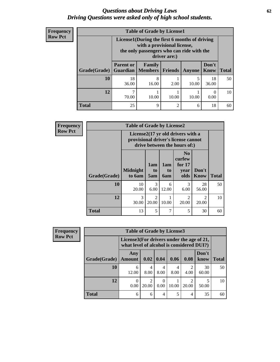#### *Questions about Driving Laws* **62** *Driving Questions were asked only of high school students.*

| <b>Frequency</b> |
|------------------|
| <b>Row Pct</b>   |

| <b>Table of Grade by License1</b> |                                     |                                                                                                                                           |                |            |               |              |  |  |
|-----------------------------------|-------------------------------------|-------------------------------------------------------------------------------------------------------------------------------------------|----------------|------------|---------------|--------------|--|--|
|                                   |                                     | License1(During the first 6 months of driving<br>with a provisional license,<br>the only passengers who can ride with the<br>driver are:) |                |            |               |              |  |  |
| Grade(Grade)                      | <b>Parent or</b><br><b>Guardian</b> | Family<br><b>Members</b>                                                                                                                  | <b>Friends</b> | Anyone     | Don't<br>Know | <b>Total</b> |  |  |
| 10                                | 18<br>36.00                         | 8<br>16.00                                                                                                                                | 2.00           | 5<br>10.00 | 18<br>36.00   | 50           |  |  |
| 12                                | 70.00                               | 10.00                                                                                                                                     | 10.00          | 10.00      | 0.00          | 10           |  |  |
| Total                             | 25                                  | 9                                                                                                                                         | $\overline{c}$ | 6          | 18            |              |  |  |

| <b>Frequency</b> | <b>Table of Grade by License2</b>                                                                        |                           |                         |                              |                                                      |                         |              |
|------------------|----------------------------------------------------------------------------------------------------------|---------------------------|-------------------------|------------------------------|------------------------------------------------------|-------------------------|--------------|
| <b>Row Pct</b>   | License2(17 yr old drivers with a<br>provisional driver's license cannot<br>drive between the hours of:) |                           |                         |                              |                                                      |                         |              |
|                  | Grade(Grade)                                                                                             | <b>Midnight</b><br>to 6am | 1am<br>to<br>5am        | 1am<br>t <sub>0</sub><br>6am | N <sub>0</sub><br>curfew<br>for $17$<br>year<br>olds | Don't<br><b>Know</b>    | <b>Total</b> |
|                  | 10                                                                                                       | 10<br>20.00               | 3<br>6.00               | 6<br>12.00                   | 3<br>6.00                                            | 28<br>56.00             | 50           |
|                  | 12                                                                                                       | $\mathcal{R}$<br>30.00    | $\overline{c}$<br>20.00 | 10.00                        | $\mathfrak{D}$<br>20.00                              | $\mathfrak{D}$<br>20.00 | 10           |
|                  | <b>Total</b>                                                                                             | 13                        | 5                       | $\overline{7}$               | 5                                                    | 30                      | 60           |

| Frequency      | <b>Table of Grade by License3</b> |                      |                                                                                        |      |       |            |               |              |
|----------------|-----------------------------------|----------------------|----------------------------------------------------------------------------------------|------|-------|------------|---------------|--------------|
| <b>Row Pct</b> |                                   |                      | License3(For drivers under the age of 21,<br>what level of alcohol is considered DUI?) |      |       |            |               |              |
|                | Grade(Grade)                      | Any<br><b>Amount</b> | 0.02                                                                                   | 0.04 | 0.06  | 0.08       | Don't<br>know | <b>Total</b> |
|                | <b>10</b>                         | 6<br>12.00           | 4<br>8.00                                                                              | 8.00 | 8.00  | ↑<br>4.00  | 30<br>60.00   | 50           |
|                | 12                                | 0<br>0.00            | 20.00                                                                                  | 0.00 | 10.00 | ∍<br>20.00 | 50.00         | 10           |
|                | <b>Total</b>                      | 6                    | 6                                                                                      | 4    |       | 4          | 35            | 60           |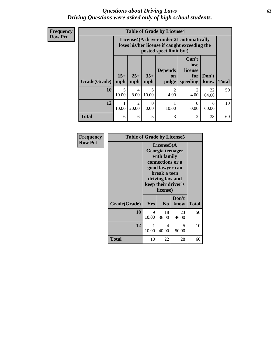#### *Questions about Driving Laws* **63** *Driving Questions were asked only of high school students.*

**Frequency Row Pct**

| <b>Table of Grade by License4</b> |              |                                                                                                                      |              |                               |                                             |               |              |  |
|-----------------------------------|--------------|----------------------------------------------------------------------------------------------------------------------|--------------|-------------------------------|---------------------------------------------|---------------|--------------|--|
|                                   |              | License4(A driver under 21 automatically<br>loses his/her license if caught exceeding the<br>posted speet limit by:) |              |                               |                                             |               |              |  |
| Grade(Grade)                      | $15+$<br>mph | $25+$<br>mph                                                                                                         | $35+$<br>mph | <b>Depends</b><br>on<br>judge | Can't<br>lose<br>license<br>for<br>speeding | Don't<br>know | <b>Total</b> |  |
| 10                                | 5<br>10.00   | 4<br>8.00                                                                                                            | 5<br>10.00   | $\mathfrak{D}$<br>4.00        | $\mathcal{D}_{\mathcal{L}}$<br>4.00         | 32<br>64.00   | 50           |  |
| 12                                | 1<br>10.00   | $\mathfrak{D}$<br>20.00                                                                                              | 0<br>0.00    | 10.00                         | 0<br>0.00                                   | 6<br>60.00    | 10           |  |
| <b>Total</b>                      | 6            | 6                                                                                                                    | 5            | 3                             | 2                                           | 38            | 60           |  |

| Frequency      | <b>Table of Grade by License5</b> |                                                                                                                                                             |                |               |              |  |
|----------------|-----------------------------------|-------------------------------------------------------------------------------------------------------------------------------------------------------------|----------------|---------------|--------------|--|
| <b>Row Pct</b> |                                   | License5(A)<br>Georgia teenager<br>with family<br>connections or a<br>good lawyer can<br>break a teen<br>driving law and<br>keep their driver's<br>license) |                |               |              |  |
|                | Grade(Grade)                      | Yes                                                                                                                                                         | N <sub>0</sub> | Don't<br>know | <b>Total</b> |  |
|                | 10                                | 9<br>18.00                                                                                                                                                  | 18<br>36.00    | 23<br>46.00   | 50           |  |
|                | 12                                | 1<br>10.00                                                                                                                                                  | 4<br>40.00     | 5<br>50.00    | 10           |  |
|                | Total                             | 10                                                                                                                                                          | 22             | 28            | 60           |  |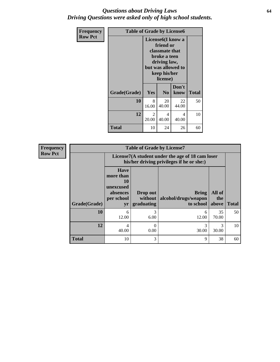#### *Questions about Driving Laws* **64** *Driving Questions were asked only of high school students.*

| <b>Frequency</b> | <b>Table of Grade by License6</b> |                                                                                                                                                 |                |               |              |
|------------------|-----------------------------------|-------------------------------------------------------------------------------------------------------------------------------------------------|----------------|---------------|--------------|
| <b>Row Pct</b>   |                                   | License <sub>6</sub> (I know a<br>friend or<br>classmate that<br>broke a teen<br>driving law,<br>but was allowed to<br>keep his/her<br>license) |                |               |              |
|                  | Grade(Grade)                      | Yes                                                                                                                                             | N <sub>0</sub> | Don't<br>know | <b>Total</b> |
|                  | 10                                | 8<br>16.00                                                                                                                                      | 20<br>40.00    | 22<br>44.00   | 50           |
|                  | 12                                | 2<br>20.00                                                                                                                                      | 4<br>40.00     | 4<br>40.00    | 10           |
|                  | Total                             | 10                                                                                                                                              | 24             | 26            | 60           |

| <b>Frequency</b> | <b>Table of Grade by License7</b> |                                                                                                                                                                                                   |           |            |             |    |  |  |  |  |
|------------------|-----------------------------------|---------------------------------------------------------------------------------------------------------------------------------------------------------------------------------------------------|-----------|------------|-------------|----|--|--|--|--|
| <b>Row Pct</b>   |                                   | License7(A student under the age of 18 cam loser                                                                                                                                                  |           |            |             |    |  |  |  |  |
|                  | Grade(Grade)                      | <b>Have</b><br>more than<br>10<br>unexcused<br>All of<br><b>Bring</b><br>Drop out<br>absences<br>alcohol/drugs/weapon<br>per school<br>without  <br>the<br>graduating<br>to school<br>above<br>yr |           |            |             |    |  |  |  |  |
|                  | 10                                | 6<br>12.00                                                                                                                                                                                        | 3<br>6.00 | 6<br>12.00 | 35<br>70.00 | 50 |  |  |  |  |
|                  | 12                                | 4<br>40.00                                                                                                                                                                                        | 0<br>0.00 | 3<br>30.00 | 3<br>30.00  | 10 |  |  |  |  |
|                  | <b>Total</b>                      | 10                                                                                                                                                                                                | 3         | 9          | 38          | 60 |  |  |  |  |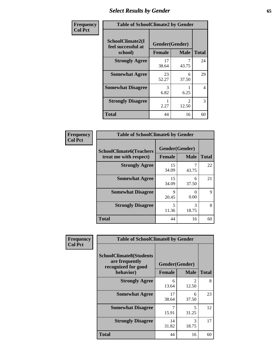# *Select Results by Gender* **65**

| Frequency      | <b>Table of SchoolClimate2 by Gender</b> |                                 |                                      |                |  |
|----------------|------------------------------------------|---------------------------------|--------------------------------------|----------------|--|
| <b>Col Pct</b> | SchoolClimate2(I<br>feel successful at   | Gender(Gender)<br><b>Female</b> | <b>Male</b>                          | <b>Total</b>   |  |
|                | school)<br><b>Strongly Agree</b>         | 17<br>38.64                     | 43.75                                | 24             |  |
|                | <b>Somewhat Agree</b>                    | 23<br>52.27                     | 6<br>37.50                           | 29             |  |
|                | <b>Somewhat Disagree</b>                 | 3<br>6.82                       | 6.25                                 | $\overline{4}$ |  |
|                | <b>Strongly Disagree</b>                 | 2.27                            | $\mathcal{D}_{\mathcal{L}}$<br>12.50 | 3              |  |
|                | <b>Total</b>                             | 44                              | 16                                   | 60             |  |

| <b>Frequency</b> | <b>Table of SchoolClimate6 by Gender</b>                 |                                   |                           |              |
|------------------|----------------------------------------------------------|-----------------------------------|---------------------------|--------------|
| <b>Col Pct</b>   | <b>SchoolClimate6(Teachers</b><br>treat me with respect) | Gender(Gender)                    |                           |              |
|                  |                                                          | Female                            | <b>Male</b>               | <b>Total</b> |
|                  | <b>Strongly Agree</b>                                    | 15<br>34.09                       | 43.75                     | 22           |
|                  | <b>Somewhat Agree</b>                                    | 15<br>34.09                       | 6<br>37.50                | 21           |
|                  | <b>Somewhat Disagree</b>                                 | 9<br>20.45                        | $\mathbf{\Omega}$<br>0.00 | 9            |
|                  | <b>Strongly Disagree</b>                                 | $\overline{\phantom{0}}$<br>11.36 | 3<br>18.75                | 8            |
|                  | <b>Total</b>                                             | 44                                | 16                        | 60           |

| <b>Frequency</b> | <b>Table of SchoolClimate8 by Gender</b>                                             |                                 |                         |    |
|------------------|--------------------------------------------------------------------------------------|---------------------------------|-------------------------|----|
| <b>Col Pct</b>   | <b>SchoolClimate8(Students</b><br>are frequently<br>recognized for good<br>behavior) | Gender(Gender)<br><b>Female</b> | <b>Total</b>            |    |
|                  | <b>Strongly Agree</b>                                                                | 6<br>13.64                      | $\mathfrak{D}$<br>12.50 | 8  |
|                  | <b>Somewhat Agree</b>                                                                | 17<br>38.64                     | 6<br>37.50              | 23 |
|                  | <b>Somewhat Disagree</b>                                                             | 7<br>15.91                      | 5<br>31.25              | 12 |
|                  | <b>Strongly Disagree</b>                                                             | 14<br>31.82                     | 3<br>18.75              | 17 |
|                  | Total                                                                                | 44                              | 16                      | 60 |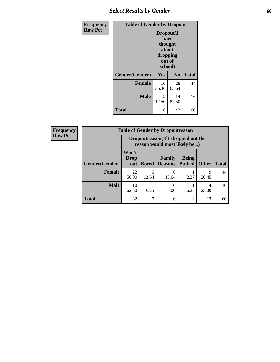## *Select Results by Gender* **66**

| Frequency      | <b>Table of Gender by Dropout</b> |                                                                        |                |              |  |
|----------------|-----------------------------------|------------------------------------------------------------------------|----------------|--------------|--|
| <b>Row Pct</b> |                                   | Dropout(I<br>have<br>thought<br>about<br>dropping<br>out of<br>school) |                |              |  |
|                | Gender(Gender)                    | Yes                                                                    | N <sub>0</sub> | <b>Total</b> |  |
|                | <b>Female</b>                     | 16<br>36.36                                                            | 28<br>63.64    | 44           |  |
|                | <b>Male</b>                       | 2<br>12.50                                                             | 14<br>87.50    | 16           |  |
|                | <b>Total</b>                      | 18                                                                     | 42             | 60           |  |

| <b>Frequency</b> | <b>Table of Gender by Dropoutreason</b> |                             |                                                                     |                          |                                |                      |              |
|------------------|-----------------------------------------|-----------------------------|---------------------------------------------------------------------|--------------------------|--------------------------------|----------------------|--------------|
| <b>Row Pct</b>   |                                         |                             | Dropoutreason (If I dropped out the<br>reason would most likely be) |                          |                                |                      |              |
|                  | <b>Gender</b> (Gender)                  | Won't<br><b>Drop</b><br>out | <b>Bored</b>                                                        | Family<br><b>Reasons</b> | <b>Being</b><br><b>Bullied</b> | <b>Other</b>         | <b>Total</b> |
|                  | <b>Female</b>                           | 22<br>50.00                 | 6<br>13.64                                                          | 6<br>13.64               | 2.27                           | $\mathbf Q$<br>20.45 | 44           |
|                  | <b>Male</b>                             | 10<br>62.50                 | 6.25                                                                | 0<br>0.00                | 6.25                           | 4<br>25.00           | 16           |
|                  | <b>Total</b>                            | 32                          | 7                                                                   | 6                        | $\mathfrak{D}$                 | 13                   | 60           |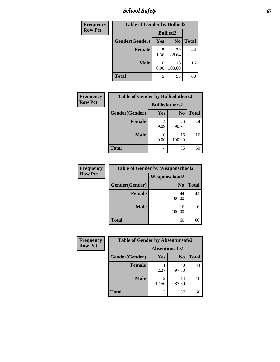*School Safety* **67**

| Frequency      | <b>Table of Gender by Bullied2</b> |                 |                |              |
|----------------|------------------------------------|-----------------|----------------|--------------|
| <b>Row Pct</b> |                                    | <b>Bullied2</b> |                |              |
|                | Gender(Gender)                     | Yes             | N <sub>0</sub> | <b>Total</b> |
|                | <b>Female</b>                      | 5<br>11.36      | 39<br>88.64    | 44           |
|                | <b>Male</b>                        | 0.00            | 16<br>100.00   | 16           |
|                | <b>Total</b>                       | 5               | 55             | 60           |

| <b>Frequency</b> | <b>Table of Gender by Bulliedothers2</b> |                       |                |              |
|------------------|------------------------------------------|-----------------------|----------------|--------------|
| <b>Row Pct</b>   |                                          | <b>Bulliedothers2</b> |                |              |
|                  | Gender(Gender)                           | <b>Yes</b>            | N <sub>0</sub> | <b>Total</b> |
|                  | <b>Female</b>                            | 9.09                  | 40<br>90.91    | 44           |
|                  | <b>Male</b>                              | 0.00                  | 16<br>100.00   | 16           |
|                  | <b>Total</b>                             | 4                     | 56             | 60           |

| Frequency      | <b>Table of Gender by Weaponschool2</b> |                      |              |  |
|----------------|-----------------------------------------|----------------------|--------------|--|
| <b>Row Pct</b> |                                         | <b>Weaponschool2</b> |              |  |
|                | Gender(Gender)                          | N <sub>0</sub>       | <b>Total</b> |  |
|                | <b>Female</b>                           | 44<br>100.00         | 44           |  |
|                | <b>Male</b>                             | 16<br>100.00         | 16           |  |
|                | <b>Total</b>                            | 60                   | 60           |  |

| Frequency      | <b>Table of Gender by Absentunsafe2</b> |               |                |              |
|----------------|-----------------------------------------|---------------|----------------|--------------|
| <b>Row Pct</b> |                                         | Absentunsafe2 |                |              |
|                | Gender(Gender)                          | Yes           | N <sub>0</sub> | <b>Total</b> |
|                | <b>Female</b>                           | 2.27          | 43<br>97.73    | 44           |
|                | <b>Male</b>                             | 12.50         | 14<br>87.50    | 16           |
|                | <b>Total</b>                            | 3             | 57             | 60           |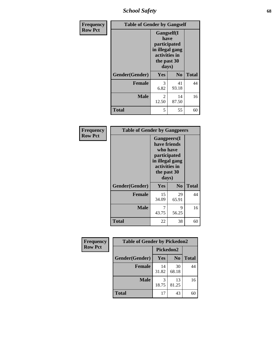*School Safety* **68**

| Frequency      | <b>Table of Gender by Gangself</b> |                                                                                                |                |              |
|----------------|------------------------------------|------------------------------------------------------------------------------------------------|----------------|--------------|
| <b>Row Pct</b> |                                    | Gangself(I<br>have<br>participated<br>in illegal gang<br>activities in<br>the past 30<br>days) |                |              |
|                | Gender(Gender)                     | Yes                                                                                            | N <sub>0</sub> | <b>Total</b> |
|                | <b>Female</b>                      | 3<br>6.82                                                                                      | 41<br>93.18    | 44           |
|                | <b>Male</b>                        | 2<br>12.50                                                                                     | 14<br>87.50    | 16           |
|                | <b>Total</b>                       | 5                                                                                              | 55             | 60           |

| Frequency      | <b>Table of Gender by Gangpeers</b> |                                                                                                                             |                |              |
|----------------|-------------------------------------|-----------------------------------------------------------------------------------------------------------------------------|----------------|--------------|
| <b>Row Pct</b> |                                     | <b>Gangpeers</b> (I<br>have friends<br>who have<br>participated<br>in illegal gang<br>activities in<br>the past 30<br>days) |                |              |
|                | Gender(Gender)                      | <b>Yes</b>                                                                                                                  | N <sub>0</sub> | <b>Total</b> |
|                | <b>Female</b>                       | 15<br>34.09                                                                                                                 | 29<br>65.91    | 44           |
|                | <b>Male</b>                         | 7<br>43.75                                                                                                                  | 9<br>56.25     | 16           |
|                | Total                               | 22                                                                                                                          | 38             | 60           |

| Frequency      | <b>Table of Gender by Pickedon2</b> |                  |                |              |
|----------------|-------------------------------------|------------------|----------------|--------------|
| <b>Row Pct</b> |                                     | <b>Pickedon2</b> |                |              |
|                | Gender(Gender)                      | <b>Yes</b>       | N <sub>0</sub> | <b>Total</b> |
|                | <b>Female</b>                       | 14<br>31.82      | 30<br>68.18    | 44           |
|                | <b>Male</b>                         | 3<br>18.75       | 13<br>81.25    | 16           |
|                | <b>Total</b>                        | 17               | 43             | 60           |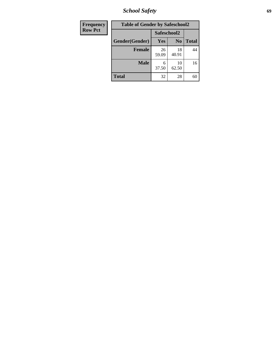*School Safety* **69**

| <b>Frequency</b> | <b>Table of Gender by Safeschool2</b> |             |                |              |  |
|------------------|---------------------------------------|-------------|----------------|--------------|--|
| <b>Row Pct</b>   |                                       | Safeschool2 |                |              |  |
|                  | Gender(Gender)                        | <b>Yes</b>  | N <sub>0</sub> | <b>Total</b> |  |
|                  | <b>Female</b>                         | 26<br>59.09 | 18<br>40.91    | 44           |  |
|                  | <b>Male</b>                           | 6<br>37.50  | 10<br>62.50    | 16           |  |
|                  | <b>Total</b>                          | 32          | 28             | 60           |  |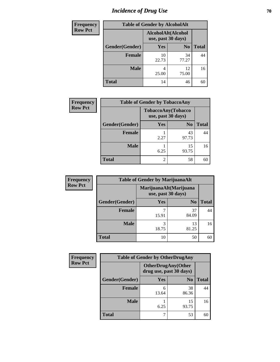# *Incidence of Drug Use* **70**

| <b>Frequency</b> | <b>Table of Gender by AlcoholAlt</b> |                                          |                |              |
|------------------|--------------------------------------|------------------------------------------|----------------|--------------|
| <b>Row Pct</b>   |                                      | AlcoholAlt(Alcohol<br>use, past 30 days) |                |              |
|                  | Gender(Gender)                       | <b>Yes</b>                               | N <sub>0</sub> | <b>Total</b> |
|                  | <b>Female</b>                        | 10<br>22.73                              | 34<br>77.27    | 44           |
|                  | <b>Male</b>                          | 4<br>25.00                               | 12<br>75.00    | 16           |
|                  | <b>Total</b>                         | 14                                       | 46             | 60           |

| <b>Frequency</b> | <b>Table of Gender by TobaccoAny</b> |                                          |                |              |  |
|------------------|--------------------------------------|------------------------------------------|----------------|--------------|--|
| <b>Row Pct</b>   |                                      | TobaccoAny(Tobacco<br>use, past 30 days) |                |              |  |
|                  | Gender(Gender)                       | Yes                                      | N <sub>0</sub> | <b>Total</b> |  |
|                  | Female                               | 2.27                                     | 43<br>97.73    | 44           |  |
|                  | <b>Male</b>                          | 6.25                                     | 15<br>93.75    | 16           |  |
|                  | <b>Total</b>                         | $\overline{2}$                           | 58             | 60           |  |

| <b>Frequency</b> | <b>Table of Gender by MarijuanaAlt</b> |                                              |                |              |
|------------------|----------------------------------------|----------------------------------------------|----------------|--------------|
| <b>Row Pct</b>   |                                        | MarijuanaAlt(Marijuana<br>use, past 30 days) |                |              |
|                  | Gender(Gender)                         | <b>Yes</b>                                   | N <sub>0</sub> | <b>Total</b> |
|                  | <b>Female</b>                          | ¬<br>15.91                                   | 37<br>84.09    | 44           |
|                  | <b>Male</b>                            | 3<br>18.75                                   | 13<br>81.25    | 16           |
|                  | <b>Total</b>                           | 10                                           | 50             | 60           |

| <b>Frequency</b> |                | <b>Table of Gender by OtherDrugAny</b>               |                |              |
|------------------|----------------|------------------------------------------------------|----------------|--------------|
| <b>Row Pct</b>   |                | <b>OtherDrugAny(Other</b><br>drug use, past 30 days) |                |              |
|                  | Gender(Gender) | <b>Yes</b>                                           | N <sub>0</sub> | <b>Total</b> |
|                  | <b>Female</b>  | 6<br>13.64                                           | 38<br>86.36    | 44           |
|                  | <b>Male</b>    | 6.25                                                 | 15<br>93.75    | 16           |
|                  | <b>Total</b>   | 7                                                    | 53             | 60           |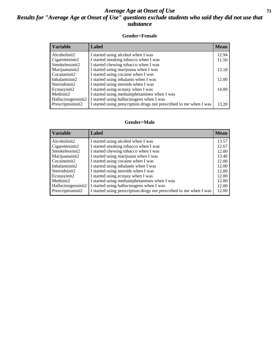### *Average Age at Onset of Use* **71** *Results for "Average Age at Onset of Use" questions exclude students who said they did not use that substance*

#### **Gender=Female**

| Variable           | Label                                                              | <b>Mean</b> |
|--------------------|--------------------------------------------------------------------|-------------|
| Alcoholinit2       | I started using alcohol when I was                                 | 12.94       |
| Cigarettesinit2    | I started smoking tobacco when I was                               | 11.50       |
| Smokelessinit2     | I started chewing tobacco when I was                               |             |
| Marijuanainit2     | I started using marijuana when I was                               | 13.18       |
| Cocaineinit2       | I started using cocaine when I was                                 |             |
| Inhalantsinit2     | I started using inhalants when I was                               | 12.00       |
| Steroidsinit2      | I started using steroids when I was                                |             |
| Ecstasyinit2       | I started using ecstasy when I was                                 | 14.00       |
| Methinit2          | I started using methamphetamines when I was                        |             |
| Hallucinogensinit2 | I started using hallucinogens when I was                           |             |
| Prescription in t2 | I started using prescription drugs not prescribed to me when I was | 13.20       |

#### **Gender=Male**

| <b>Variable</b>    | Label                                                              | <b>Mean</b> |
|--------------------|--------------------------------------------------------------------|-------------|
| Alcoholinit2       | I started using alcohol when I was                                 | 13.57       |
| Cigarettesinit2    | I started smoking tobacco when I was                               | 12.67       |
| Smokelessinit2     | I started chewing tobacco when I was                               | 12.00       |
| Marijuanainit2     | I started using marijuana when I was                               | 13.40       |
| Cocaineinit2       | I started using cocaine when I was                                 | 12.00       |
| Inhalantsinit2     | I started using inhalants when I was                               | 12.00       |
| Steroidsinit2      | I started using steroids when I was                                | 12.00       |
| Ecstasyinit2       | I started using ecstasy when I was                                 | 12.00       |
| Methinit2          | I started using methamphetamines when I was                        | 12.00       |
| Hallucinogensinit2 | I started using hallucinogens when I was                           | 12.00       |
| Prescriptioninit2  | I started using prescription drugs not prescribed to me when I was | 12.00       |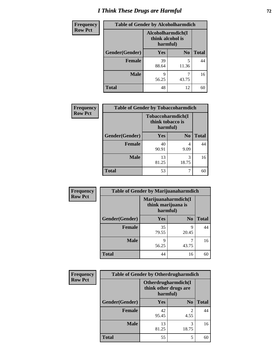# *I Think These Drugs are Harmful* **72**

| <b>Frequency</b> | <b>Table of Gender by Alcoholharmdich</b> |                                                   |                |              |
|------------------|-------------------------------------------|---------------------------------------------------|----------------|--------------|
| <b>Row Pct</b>   |                                           | Alcoholharmdich(I<br>think alcohol is<br>harmful) |                |              |
|                  | Gender(Gender)                            | <b>Yes</b>                                        | N <sub>0</sub> | <b>Total</b> |
|                  | <b>Female</b>                             | 39<br>88.64                                       | 5<br>11.36     | 44           |
|                  | <b>Male</b>                               | 9<br>56.25                                        | 43.75          | 16           |
|                  | <b>Total</b>                              | 48                                                | 12             | 60           |

| Frequency      | <b>Table of Gender by Tobaccoharmdich</b> |                                                   |                |              |
|----------------|-------------------------------------------|---------------------------------------------------|----------------|--------------|
| <b>Row Pct</b> |                                           | Tobaccoharmdich(I<br>think tobacco is<br>harmful) |                |              |
|                | Gender(Gender)                            | <b>Yes</b>                                        | N <sub>0</sub> | <b>Total</b> |
|                | <b>Female</b>                             | 40<br>90.91                                       | 4<br>9.09      | 44           |
|                | <b>Male</b>                               | 13<br>81.25                                       | 3<br>18.75     | 16           |
|                | <b>Total</b>                              | 53                                                |                | 60           |

| Frequency      | <b>Table of Gender by Marijuanaharmdich</b> |                                                       |                |              |
|----------------|---------------------------------------------|-------------------------------------------------------|----------------|--------------|
| <b>Row Pct</b> |                                             | Marijuanaharmdich(I<br>think marijuana is<br>harmful) |                |              |
|                | Gender(Gender)                              | <b>Yes</b>                                            | N <sub>0</sub> | <b>Total</b> |
|                | <b>Female</b>                               | 35<br>79.55                                           | 9<br>20.45     | 44           |
|                | <b>Male</b>                                 | 9<br>56.25                                            | 43.75          | 16           |
|                | <b>Total</b>                                | 44                                                    | 16             | 60           |

| Frequency      | <b>Table of Gender by Otherdrugharmdich</b> |                                                          |                |              |
|----------------|---------------------------------------------|----------------------------------------------------------|----------------|--------------|
| <b>Row Pct</b> |                                             | Otherdrugharmdich(I<br>think other drugs are<br>harmful) |                |              |
|                | Gender(Gender)                              | <b>Yes</b>                                               | N <sub>0</sub> | <b>Total</b> |
|                | Female                                      | 42<br>95.45                                              | 2<br>4.55      | 44           |
|                | <b>Male</b>                                 | 13<br>81.25                                              | 3<br>18.75     | 16           |
|                | <b>Total</b>                                | 55                                                       | 5              | 60           |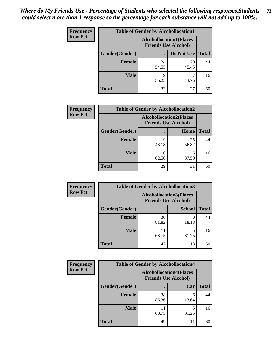| <b>Frequency</b> | <b>Table of Gender by Alcohollocation1</b> |                                                               |             |              |
|------------------|--------------------------------------------|---------------------------------------------------------------|-------------|--------------|
| <b>Row Pct</b>   |                                            | <b>Alcohollocation1(Places</b><br><b>Friends Use Alcohol)</b> |             |              |
|                  | Gender(Gender)                             |                                                               | Do Not Use  | <b>Total</b> |
|                  | <b>Female</b>                              | 24<br>54.55                                                   | 20<br>45.45 | 44           |
|                  | <b>Male</b>                                | Q<br>56.25                                                    | 43.75       | 16           |
|                  | <b>Total</b>                               | 33                                                            | 27          | 60           |

| <b>Frequency</b> | <b>Table of Gender by Alcohollocation2</b> |                                                               |             |              |
|------------------|--------------------------------------------|---------------------------------------------------------------|-------------|--------------|
| <b>Row Pct</b>   |                                            | <b>Alcohollocation2(Places</b><br><b>Friends Use Alcohol)</b> |             |              |
|                  | Gender(Gender)                             |                                                               | Home        | <b>Total</b> |
|                  | <b>Female</b>                              | 19<br>43.18                                                   | 25<br>56.82 | 44           |
|                  | <b>Male</b>                                | 10<br>62.50                                                   | 6<br>37.50  | 16           |
|                  | <b>Total</b>                               | 29                                                            | 31          | 60           |

| Frequency      | <b>Table of Gender by Alcohollocation3</b> |                                                               |               |              |
|----------------|--------------------------------------------|---------------------------------------------------------------|---------------|--------------|
| <b>Row Pct</b> |                                            | <b>Alcohollocation3(Places</b><br><b>Friends Use Alcohol)</b> |               |              |
|                | Gender(Gender)                             |                                                               | <b>School</b> | <b>Total</b> |
|                | <b>Female</b>                              | 36<br>81.82                                                   | 8<br>18.18    | 44           |
|                | <b>Male</b>                                | 11<br>68.75                                                   | 31.25         | 16           |
|                | <b>Total</b>                               | 47                                                            | 13            | 60           |

| Frequency      |                | <b>Table of Gender by Alcohollocation4</b>                    |            |              |
|----------------|----------------|---------------------------------------------------------------|------------|--------------|
| <b>Row Pct</b> |                | <b>Alcohollocation4(Places</b><br><b>Friends Use Alcohol)</b> |            |              |
|                | Gender(Gender) |                                                               | Car        | <b>Total</b> |
|                | <b>Female</b>  | 38<br>86.36                                                   | 6<br>13.64 | 44           |
|                | <b>Male</b>    | 11<br>68.75                                                   | 5<br>31.25 | 16           |
|                | <b>Total</b>   | 49                                                            | 11         | 60           |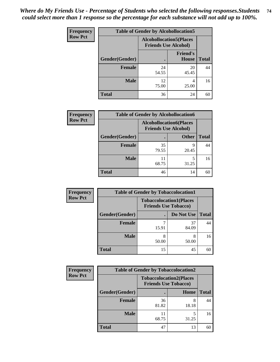| <b>Frequency</b> | <b>Table of Gender by Alcohollocation5</b> |                                                                |                                 |              |
|------------------|--------------------------------------------|----------------------------------------------------------------|---------------------------------|--------------|
| <b>Row Pct</b>   |                                            | <b>Alcohollocation5</b> (Places<br><b>Friends Use Alcohol)</b> |                                 |              |
|                  | Gender(Gender)                             | $\bullet$                                                      | <b>Friend's</b><br><b>House</b> | <b>Total</b> |
|                  | <b>Female</b>                              | 24<br>54.55                                                    | 20<br>45.45                     | 44           |
|                  | <b>Male</b>                                | 12<br>75.00                                                    | 4<br>25.00                      | 16           |
|                  | <b>Total</b>                               | 36                                                             | 24                              | 60           |

| <b>Frequency</b> | <b>Table of Gender by Alcohollocation6</b> |                                                               |              |              |  |
|------------------|--------------------------------------------|---------------------------------------------------------------|--------------|--------------|--|
| <b>Row Pct</b>   |                                            | <b>Alcohollocation6(Places</b><br><b>Friends Use Alcohol)</b> |              |              |  |
|                  | Gender(Gender)                             |                                                               | <b>Other</b> | <b>Total</b> |  |
|                  | <b>Female</b>                              | 35<br>79.55                                                   | q<br>20.45   | 44           |  |
|                  | <b>Male</b>                                | 68.75                                                         | 31.25        | 16           |  |
|                  | <b>Total</b>                               | 46                                                            | 14           | 60           |  |

| Frequency      | <b>Table of Gender by Tobaccolocation1</b> |                                                               |             |              |  |
|----------------|--------------------------------------------|---------------------------------------------------------------|-------------|--------------|--|
| <b>Row Pct</b> |                                            | <b>Tobaccolocation1(Places</b><br><b>Friends Use Tobacco)</b> |             |              |  |
|                | Gender(Gender)                             |                                                               | Do Not Use  | <b>Total</b> |  |
|                | <b>Female</b>                              | 15.91                                                         | 37<br>84.09 | 44           |  |
|                | <b>Male</b>                                | 50.00                                                         | 8<br>50.00  | 16           |  |
|                | <b>Total</b>                               | 15                                                            | 45          | 60           |  |

| <b>Frequency</b> | <b>Table of Gender by Tobaccolocation2</b> |                                                               |            |              |
|------------------|--------------------------------------------|---------------------------------------------------------------|------------|--------------|
| <b>Row Pct</b>   |                                            | <b>Tobaccolocation2(Places</b><br><b>Friends Use Tobacco)</b> |            |              |
|                  | Gender(Gender)                             |                                                               | Home       | <b>Total</b> |
|                  | Female                                     | 36<br>81.82                                                   | 8<br>18.18 | 44           |
|                  | <b>Male</b>                                | 68.75                                                         | 31.25      | 16           |
|                  | <b>Total</b>                               | 47                                                            | 13         | 60           |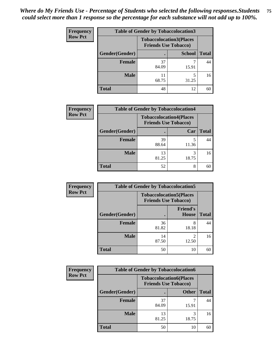| <b>Frequency</b> | <b>Table of Gender by Tobaccolocation3</b> |                                                               |               |              |  |
|------------------|--------------------------------------------|---------------------------------------------------------------|---------------|--------------|--|
| <b>Row Pct</b>   |                                            | <b>Tobaccolocation3(Places</b><br><b>Friends Use Tobacco)</b> |               |              |  |
|                  | Gender(Gender)                             |                                                               | <b>School</b> | <b>Total</b> |  |
|                  | <b>Female</b>                              | 37<br>84.09                                                   | 15.91         | 44           |  |
|                  | <b>Male</b>                                | 68.75                                                         | 31.25         | 16           |  |
|                  | <b>Total</b>                               | 48                                                            | 12            | 60           |  |

| <b>Frequency</b> | <b>Table of Gender by Tobaccolocation4</b> |                             |                                |              |
|------------------|--------------------------------------------|-----------------------------|--------------------------------|--------------|
| <b>Row Pct</b>   |                                            | <b>Friends Use Tobacco)</b> | <b>Tobaccolocation4(Places</b> |              |
|                  | Gender(Gender)                             |                             | Car                            | <b>Total</b> |
|                  | <b>Female</b>                              | 39<br>88.64                 | 11.36                          | 44           |
|                  | <b>Male</b>                                | 13<br>81.25                 | 18.75                          | 16           |
|                  | <b>Total</b>                               | 52                          | 8                              | 60           |

| <b>Frequency</b> | <b>Table of Gender by Tobaccolocation5</b> |                                                               |                                 |              |
|------------------|--------------------------------------------|---------------------------------------------------------------|---------------------------------|--------------|
| <b>Row Pct</b>   |                                            | <b>Tobaccolocation5(Places</b><br><b>Friends Use Tobacco)</b> |                                 |              |
|                  | Gender(Gender)                             |                                                               | <b>Friend's</b><br><b>House</b> | <b>Total</b> |
|                  | Female                                     | 36<br>81.82                                                   | 8<br>18.18                      | 44           |
|                  | <b>Male</b>                                | 14<br>87.50                                                   | 12.50                           | 16           |
|                  | <b>Total</b>                               | 50                                                            | 10                              | 60           |

| <b>Frequency</b> | <b>Table of Gender by Tobaccolocation6</b> |                                                               |              |              |
|------------------|--------------------------------------------|---------------------------------------------------------------|--------------|--------------|
| <b>Row Pct</b>   |                                            | <b>Tobaccolocation6(Places</b><br><b>Friends Use Tobacco)</b> |              |              |
|                  | Gender(Gender)                             |                                                               | <b>Other</b> | <b>Total</b> |
|                  | Female                                     | 37<br>84.09                                                   | 15.91        | 44           |
|                  | <b>Male</b>                                | 13<br>81.25                                                   | 18.75        | 16           |
|                  | <b>Total</b>                               | 50                                                            | 10           | 60           |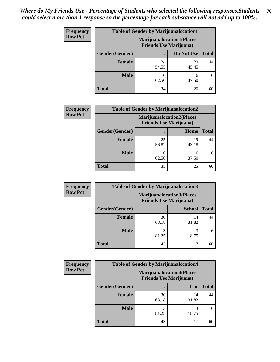| <b>Frequency</b> | <b>Table of Gender by Marijuanalocation1</b> |                                                                    |             |              |
|------------------|----------------------------------------------|--------------------------------------------------------------------|-------------|--------------|
| <b>Row Pct</b>   |                                              | <b>Marijuanalocation1(Places</b><br><b>Friends Use Marijuana</b> ) |             |              |
|                  | Gender(Gender)                               |                                                                    | Do Not Use  | <b>Total</b> |
|                  | <b>Female</b>                                | 24<br>54.55                                                        | 20<br>45.45 | 44           |
|                  | <b>Male</b>                                  | 10<br>62.50                                                        | 6<br>37.50  | 16           |
|                  | <b>Total</b>                                 | 34                                                                 | 26          | 60           |

| <b>Frequency</b> | <b>Table of Gender by Marijuanalocation2</b> |                                                                    |             |              |
|------------------|----------------------------------------------|--------------------------------------------------------------------|-------------|--------------|
| <b>Row Pct</b>   |                                              | <b>Marijuanalocation2(Places</b><br><b>Friends Use Marijuana</b> ) |             |              |
|                  | Gender(Gender)                               |                                                                    | Home        | <b>Total</b> |
|                  | <b>Female</b>                                | 25<br>56.82                                                        | 19<br>43.18 | 44           |
|                  | <b>Male</b>                                  | 10<br>62.50                                                        | 6<br>37.50  | 16           |
|                  | <b>Total</b>                                 | 35                                                                 | 25          | 60           |

| Frequency      | <b>Table of Gender by Marijuanalocation3</b> |                                                                    |               |              |
|----------------|----------------------------------------------|--------------------------------------------------------------------|---------------|--------------|
| <b>Row Pct</b> |                                              | <b>Marijuanalocation3(Places</b><br><b>Friends Use Marijuana</b> ) |               |              |
|                | Gender(Gender)                               |                                                                    | <b>School</b> | <b>Total</b> |
|                | <b>Female</b>                                | 30<br>68.18                                                        | 14<br>31.82   | 44           |
|                | <b>Male</b>                                  | 13<br>81.25                                                        | 3<br>18.75    | 16           |
|                | <b>Total</b>                                 | 43                                                                 | 17            | 60           |

| <b>Frequency</b> | <b>Table of Gender by Marijuanalocation4</b> |                                |                                  |              |
|------------------|----------------------------------------------|--------------------------------|----------------------------------|--------------|
| <b>Row Pct</b>   |                                              | <b>Friends Use Marijuana</b> ) | <b>Marijuanalocation4(Places</b> |              |
|                  | Gender(Gender)                               |                                | Car                              | <b>Total</b> |
|                  | Female                                       | 30<br>68.18                    | 14<br>31.82                      | 44           |
|                  | <b>Male</b>                                  | 13<br>81.25                    | 3<br>18.75                       | 16           |
|                  | <b>Total</b>                                 | 43                             | 17                               | 60           |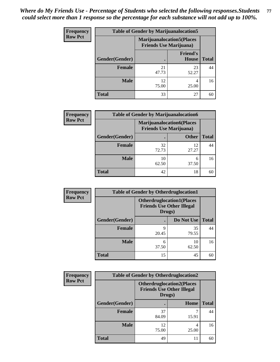| Frequency      | <b>Table of Gender by Marijuanalocation5</b> |                                                                     |                          |              |
|----------------|----------------------------------------------|---------------------------------------------------------------------|--------------------------|--------------|
| <b>Row Pct</b> |                                              | <b>Marijuanalocation5</b> (Places<br><b>Friends Use Marijuana</b> ) |                          |              |
|                | Gender(Gender)                               |                                                                     | <b>Friend's</b><br>House | <b>Total</b> |
|                | Female                                       | 21<br>47.73                                                         | 23<br>52.27              | 44           |
|                | <b>Male</b>                                  | 12<br>75.00                                                         | 25.00                    | 16           |
|                | <b>Total</b>                                 | 33                                                                  | 27                       | 60           |

| <b>Frequency</b> | <b>Table of Gender by Marijuanalocation6</b> |                                                                    |              |              |
|------------------|----------------------------------------------|--------------------------------------------------------------------|--------------|--------------|
| <b>Row Pct</b>   |                                              | <b>Marijuanalocation6(Places</b><br><b>Friends Use Marijuana</b> ) |              |              |
|                  | Gender(Gender)                               |                                                                    | <b>Other</b> | <b>Total</b> |
|                  | Female                                       | 32<br>72.73                                                        | 12<br>27.27  | 44           |
|                  | <b>Male</b>                                  | 10<br>62.50                                                        | 6<br>37.50   | 16           |
|                  | <b>Total</b>                                 | 42                                                                 | 18           | 60           |

| Frequency      | <b>Table of Gender by Otherdruglocation1</b> |                                                                                |             |              |
|----------------|----------------------------------------------|--------------------------------------------------------------------------------|-------------|--------------|
| <b>Row Pct</b> |                                              | <b>Otherdruglocation1(Places</b><br><b>Friends Use Other Illegal</b><br>Drugs) |             |              |
|                | Gender(Gender)                               |                                                                                | Do Not Use  | <b>Total</b> |
|                | <b>Female</b>                                | q<br>20.45                                                                     | 35<br>79.55 | 44           |
|                | <b>Male</b>                                  | 6<br>37.50                                                                     | 10<br>62.50 | 16           |
|                | <b>Total</b>                                 | 15                                                                             | 45          | 60           |

| Frequency      | <b>Table of Gender by Otherdruglocation2</b> |                                                                                |            |              |
|----------------|----------------------------------------------|--------------------------------------------------------------------------------|------------|--------------|
| <b>Row Pct</b> |                                              | <b>Otherdruglocation2(Places</b><br><b>Friends Use Other Illegal</b><br>Drugs) |            |              |
|                | Gender(Gender)                               |                                                                                | Home       | <b>Total</b> |
|                | Female                                       | 37<br>84.09                                                                    | 15.91      | 44           |
|                | <b>Male</b>                                  | 12<br>75.00                                                                    | 4<br>25.00 | 16           |
|                | <b>Total</b>                                 | 49                                                                             | 11         | 60           |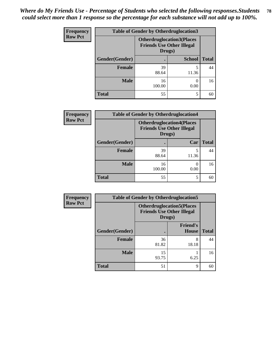| Frequency      | <b>Table of Gender by Otherdruglocation3</b> |                                                                                |               |              |
|----------------|----------------------------------------------|--------------------------------------------------------------------------------|---------------|--------------|
| <b>Row Pct</b> |                                              | <b>Otherdruglocation3(Places</b><br><b>Friends Use Other Illegal</b><br>Drugs) |               |              |
|                | Gender(Gender)                               |                                                                                | <b>School</b> | <b>Total</b> |
|                | Female                                       | 39<br>88.64                                                                    | 11.36         | 44           |
|                | <b>Male</b>                                  | 16<br>100.00                                                                   | 0.00          | 16           |
|                | <b>Total</b>                                 | 55                                                                             | 5             | 60           |

| Frequency      | <b>Table of Gender by Otherdruglocation4</b> |                                                                                |                  |              |
|----------------|----------------------------------------------|--------------------------------------------------------------------------------|------------------|--------------|
| <b>Row Pct</b> |                                              | <b>Otherdruglocation4(Places</b><br><b>Friends Use Other Illegal</b><br>Drugs) |                  |              |
|                | Gender(Gender)                               |                                                                                | Car              | <b>Total</b> |
|                | <b>Female</b>                                | 39<br>88.64                                                                    | 5<br>11.36       | 44           |
|                | <b>Male</b>                                  | 16<br>100.00                                                                   | $\Omega$<br>0.00 | 16           |
|                | <b>Total</b>                                 | 55                                                                             | 5                | 60           |

| Frequency      | <b>Table of Gender by Otherdruglocation5</b> |                                                                                |                                 |              |
|----------------|----------------------------------------------|--------------------------------------------------------------------------------|---------------------------------|--------------|
| <b>Row Pct</b> |                                              | <b>Otherdruglocation5(Places</b><br><b>Friends Use Other Illegal</b><br>Drugs) |                                 |              |
|                | Gender(Gender)                               |                                                                                | <b>Friend's</b><br><b>House</b> | <b>Total</b> |
|                | <b>Female</b>                                | 36<br>81.82                                                                    | 8<br>18.18                      | 44           |
|                | <b>Male</b>                                  | 15<br>93.75                                                                    | 6.25                            | 16           |
|                | <b>Total</b>                                 | 51                                                                             | 9                               | 60           |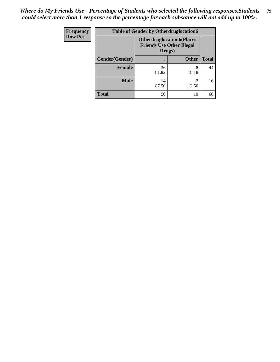| <b>Frequency</b> | <b>Table of Gender by Otherdruglocation6</b> |                                            |                                  |              |
|------------------|----------------------------------------------|--------------------------------------------|----------------------------------|--------------|
| <b>Row Pct</b>   |                                              | <b>Friends Use Other Illegal</b><br>Drugs) | <b>Otherdruglocation6(Places</b> |              |
|                  | Gender(Gender)                               |                                            | <b>Other</b>                     | <b>Total</b> |
|                  | <b>Female</b>                                | 36<br>81.82                                | 8<br>18.18                       | 44           |
|                  | <b>Male</b>                                  | 14<br>87.50                                | 12.50                            | 16           |
|                  | <b>Total</b>                                 | 50                                         | 10                               | 60           |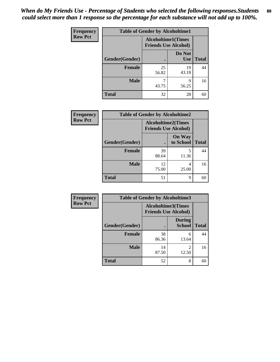| Frequency      | <b>Table of Gender by Alcoholtime1</b> |                                                          |                      |              |
|----------------|----------------------------------------|----------------------------------------------------------|----------------------|--------------|
| <b>Row Pct</b> |                                        | <b>Alcoholtime1(Times</b><br><b>Friends Use Alcohol)</b> |                      |              |
|                | Gender(Gender)                         | ٠                                                        | Do Not<br><b>Use</b> | <b>Total</b> |
|                | <b>Female</b>                          | 25<br>56.82                                              | 19<br>43.18          | 44           |
|                | <b>Male</b>                            | 7<br>43.75                                               | 9<br>56.25           | 16           |
|                | <b>Total</b>                           | 32                                                       | 28                   | 60           |

| Frequency      | <b>Table of Gender by Alcoholtime2</b> |                                                          |                            |              |
|----------------|----------------------------------------|----------------------------------------------------------|----------------------------|--------------|
| <b>Row Pct</b> |                                        | <b>Alcoholtime2(Times</b><br><b>Friends Use Alcohol)</b> |                            |              |
|                | Gender(Gender)                         |                                                          | <b>On Way</b><br>to School | <b>Total</b> |
|                | <b>Female</b>                          | 39<br>88.64                                              | 5<br>11.36                 | 44           |
|                | <b>Male</b>                            | 12<br>75.00                                              | 4<br>25.00                 | 16           |
|                | <b>Total</b>                           | 51                                                       | 9                          | 60           |

| Frequency      | <b>Table of Gender by Alcoholtime3</b> |                                                          |                                      |              |
|----------------|----------------------------------------|----------------------------------------------------------|--------------------------------------|--------------|
| <b>Row Pct</b> |                                        | <b>Alcoholtime3(Times</b><br><b>Friends Use Alcohol)</b> |                                      |              |
|                | Gender(Gender)                         |                                                          | <b>During</b><br><b>School</b>       | <b>Total</b> |
|                | Female                                 | 38<br>86.36                                              | 6<br>13.64                           | 44           |
|                | <b>Male</b>                            | 14<br>87.50                                              | $\mathcal{D}_{\mathcal{A}}$<br>12.50 | 16           |
|                | <b>Total</b>                           | 52                                                       | 8                                    | 60           |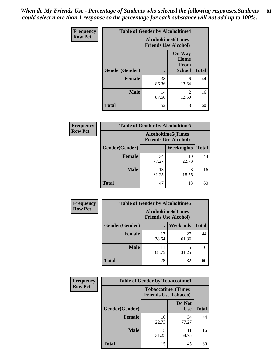*When do My Friends Use - Percentage of Students who selected the following responses.Students could select more than 1 response so the percentage for each substance will not add up to 100%.* **81**

| <b>Frequency</b> | <b>Table of Gender by Alcoholtime4</b> |                                                          |                                                       |              |
|------------------|----------------------------------------|----------------------------------------------------------|-------------------------------------------------------|--------------|
| <b>Row Pct</b>   |                                        | <b>Alcoholtime4(Times</b><br><b>Friends Use Alcohol)</b> |                                                       |              |
|                  | <b>Gender</b> (Gender)                 | $\bullet$                                                | <b>On Way</b><br>Home<br><b>From</b><br><b>School</b> | <b>Total</b> |
|                  | <b>Female</b>                          | 38<br>86.36                                              | 6<br>13.64                                            | 44           |
|                  | <b>Male</b>                            | 14<br>87.50                                              | 2<br>12.50                                            | 16           |
|                  | <b>Total</b>                           | 52                                                       | 8                                                     | 60           |

| <b>Frequency</b> | <b>Table of Gender by Alcoholtime5</b> |                                                   |             |              |
|------------------|----------------------------------------|---------------------------------------------------|-------------|--------------|
| <b>Row Pct</b>   |                                        | Alcoholtime5(Times<br><b>Friends Use Alcohol)</b> |             |              |
|                  | Gender(Gender)                         |                                                   | Weeknights  | <b>Total</b> |
|                  | <b>Female</b>                          | 34<br>77.27                                       | 10<br>22.73 | 44           |
|                  | <b>Male</b>                            | 13<br>81.25                                       | 3<br>18.75  | 16           |
|                  | <b>Total</b>                           | 47                                                | 13          | 60           |

| <b>Frequency</b> | <b>Table of Gender by Alcoholtime6</b> |             |                                                           |              |  |
|------------------|----------------------------------------|-------------|-----------------------------------------------------------|--------------|--|
| <b>Row Pct</b>   |                                        |             | <b>Alcoholtime6</b> (Times<br><b>Friends Use Alcohol)</b> |              |  |
|                  | Gender(Gender)                         |             | <b>Weekends</b>                                           | <b>Total</b> |  |
|                  | <b>Female</b>                          | 17<br>38.64 | 27<br>61.36                                               | 44           |  |
|                  | <b>Male</b>                            | 11<br>68.75 | 5<br>31.25                                                | 16           |  |
|                  | <b>Total</b>                           | 28          | 32                                                        | 60           |  |

| <b>Frequency</b> | <b>Table of Gender by Tobaccotime1</b> |                                                          |                      |              |
|------------------|----------------------------------------|----------------------------------------------------------|----------------------|--------------|
| <b>Row Pct</b>   |                                        | <b>Tobaccotime1(Times</b><br><b>Friends Use Tobacco)</b> |                      |              |
|                  | Gender(Gender)                         |                                                          | Do Not<br><b>Use</b> | <b>Total</b> |
|                  | Female                                 | 10<br>22.73                                              | 34<br>77.27          | 44           |
|                  | <b>Male</b>                            | 5<br>31.25                                               | 68.75                | 16           |
|                  | <b>Total</b>                           | 15                                                       | 45                   | 60           |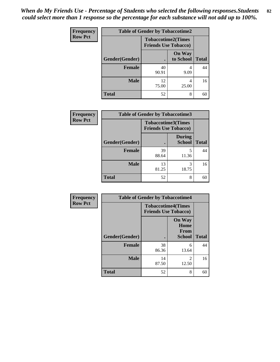| <b>Frequency</b> | <b>Table of Gender by Tobaccotime2</b> |                                                          |                            |              |
|------------------|----------------------------------------|----------------------------------------------------------|----------------------------|--------------|
| <b>Row Pct</b>   |                                        | <b>Tobaccotime2(Times</b><br><b>Friends Use Tobacco)</b> |                            |              |
|                  | Gender(Gender)                         | $\bullet$                                                | <b>On Way</b><br>to School | <b>Total</b> |
|                  | Female                                 | 40<br>90.91                                              | 4<br>9.09                  | 44           |
|                  | <b>Male</b>                            | 12<br>75.00                                              | 4<br>25.00                 | 16           |
|                  | <b>Total</b>                           | 52                                                       | 8                          | 60           |

| <b>Frequency</b> | <b>Table of Gender by Tobaccotime3</b> |                                                          |                                |              |
|------------------|----------------------------------------|----------------------------------------------------------|--------------------------------|--------------|
| <b>Row Pct</b>   |                                        | <b>Tobaccotime3(Times</b><br><b>Friends Use Tobacco)</b> |                                |              |
|                  | Gender(Gender)                         |                                                          | <b>During</b><br><b>School</b> | <b>Total</b> |
|                  | <b>Female</b>                          | 39<br>88.64                                              | 5<br>11.36                     | 44           |
|                  | <b>Male</b>                            | 13<br>81.25                                              | 3<br>18.75                     | 16           |
|                  | <b>Total</b>                           | 52                                                       | 8                              | 60           |

| Frequency      | <b>Table of Gender by Tobaccotime4</b> |                                                          |                                                |              |
|----------------|----------------------------------------|----------------------------------------------------------|------------------------------------------------|--------------|
| <b>Row Pct</b> |                                        | <b>Tobaccotime4(Times</b><br><b>Friends Use Tobacco)</b> |                                                |              |
|                | Gender(Gender)                         |                                                          | <b>On Way</b><br>Home<br>From<br><b>School</b> | <b>Total</b> |
|                | <b>Female</b>                          | 38<br>86.36                                              | 6<br>13.64                                     | 44           |
|                | <b>Male</b>                            | 14<br>87.50                                              | $\mathfrak{D}$<br>12.50                        | 16           |
|                | <b>Total</b>                           | 52                                                       | 8                                              | 60           |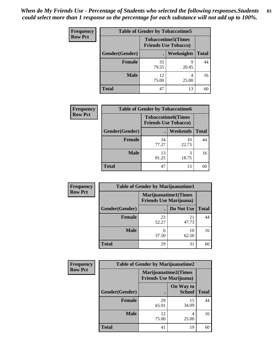| <b>Frequency</b> | <b>Table of Gender by Tobaccotime5</b> |             |                                                           |              |
|------------------|----------------------------------------|-------------|-----------------------------------------------------------|--------------|
| <b>Row Pct</b>   |                                        |             | <b>Tobaccotime5</b> (Times<br><b>Friends Use Tobacco)</b> |              |
|                  | Gender(Gender)                         |             | <b>Weeknights</b>                                         | <b>Total</b> |
|                  | <b>Female</b>                          | 35<br>79.55 | q<br>20.45                                                | 44           |
|                  | <b>Male</b>                            | 12<br>75.00 | 4<br>25.00                                                | 16           |
|                  | <b>Total</b>                           | 47          | 13                                                        | 60           |

| <b>Frequency</b> | <b>Table of Gender by Tobaccotime6</b> |                             |                           |              |
|------------------|----------------------------------------|-----------------------------|---------------------------|--------------|
| <b>Row Pct</b>   |                                        | <b>Friends Use Tobacco)</b> | <b>Tobaccotime6(Times</b> |              |
|                  | Gender(Gender)                         |                             | <b>Weekends</b>           | <b>Total</b> |
|                  | Female                                 | 34<br>77.27                 | 10<br>22.73               | 44           |
|                  | <b>Male</b>                            | 13<br>81.25                 | 3<br>18.75                | 16           |
|                  | <b>Total</b>                           | 47                          | 13                        | 60           |

| Frequency      | <b>Table of Gender by Marijuanatime1</b> |                                                               |             |              |  |
|----------------|------------------------------------------|---------------------------------------------------------------|-------------|--------------|--|
| <b>Row Pct</b> |                                          | <b>Marijuanatime1(Times</b><br><b>Friends Use Marijuana</b> ) |             |              |  |
|                | Gender(Gender)                           |                                                               | Do Not Use  | <b>Total</b> |  |
|                | <b>Female</b>                            | 23<br>52.27                                                   | 21<br>47.73 | 44           |  |
|                | <b>Male</b>                              | 6<br>37.50                                                    | 10<br>62.50 | 16           |  |
|                | <b>Total</b>                             | 29                                                            | 31          | 60           |  |

| <b>Frequency</b> | <b>Table of Gender by Marijuanatime2</b> |                             |                                |              |  |
|------------------|------------------------------------------|-----------------------------|--------------------------------|--------------|--|
| <b>Row Pct</b>   |                                          | <b>Marijuanatime2(Times</b> | <b>Friends Use Marijuana</b> ) |              |  |
|                  | Gender(Gender)                           |                             | On Way to<br><b>School</b>     | <b>Total</b> |  |
|                  | <b>Female</b>                            | 29<br>65.91                 | 15<br>34.09                    | 44           |  |
|                  | <b>Male</b>                              | 12<br>75.00                 | 4<br>25.00                     | 16           |  |
|                  | <b>Total</b>                             | 41                          | 19                             | 60           |  |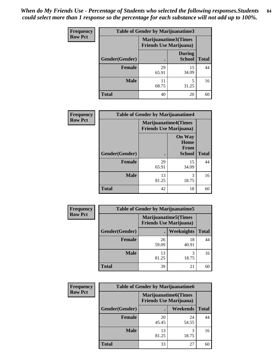| <b>Frequency</b> | <b>Table of Gender by Marijuanatime3</b> |                                |                         |              |
|------------------|------------------------------------------|--------------------------------|-------------------------|--------------|
| <b>Row Pct</b>   |                                          | <b>Friends Use Marijuana</b> ) | Marijuanatime3(Times    |              |
|                  | Gender(Gender)                           |                                | During<br><b>School</b> | <b>Total</b> |
|                  | <b>Female</b>                            | 29<br>65.91                    | 15<br>34.09             | 44           |
|                  | <b>Male</b>                              | 11<br>68.75                    | 5<br>31.25              | 16           |
|                  | <b>Total</b>                             | 40                             | 20                      | 60           |

| Frequency      | <b>Table of Gender by Marijuanatime4</b> |                                |                                                       |              |
|----------------|------------------------------------------|--------------------------------|-------------------------------------------------------|--------------|
| <b>Row Pct</b> |                                          | <b>Friends Use Marijuana</b> ) | <b>Marijuanatime4</b> (Times                          |              |
|                | Gender(Gender)                           |                                | <b>On Way</b><br>Home<br><b>From</b><br><b>School</b> | <b>Total</b> |
|                | <b>Female</b>                            | 29<br>65.91                    | 15<br>34.09                                           | 44           |
|                | <b>Male</b>                              | 13<br>81.25                    | 3<br>18.75                                            | 16           |
|                | <b>Total</b>                             | 42                             | 18                                                    | 60           |

| Frequency      | <b>Table of Gender by Marijuanatime5</b> |                                                                |             |              |  |
|----------------|------------------------------------------|----------------------------------------------------------------|-------------|--------------|--|
| <b>Row Pct</b> |                                          | <b>Marijuanatime5</b> (Times<br><b>Friends Use Marijuana</b> ) |             |              |  |
|                | Gender(Gender)                           |                                                                | Weeknights  | <b>Total</b> |  |
|                | <b>Female</b>                            | 26<br>59.09                                                    | 18<br>40.91 | 44           |  |
|                | <b>Male</b>                              | 13<br>81.25                                                    | 3<br>18.75  | 16           |  |
|                | <b>Total</b>                             | 39                                                             | 21          | 60           |  |

| <b>Frequency</b> | <b>Table of Gender by Marijuanatime6</b> |                                                               |                 |              |  |
|------------------|------------------------------------------|---------------------------------------------------------------|-----------------|--------------|--|
| <b>Row Pct</b>   |                                          | <b>Marijuanatime6(Times</b><br><b>Friends Use Marijuana</b> ) |                 |              |  |
|                  | Gender(Gender)                           |                                                               | <b>Weekends</b> | <b>Total</b> |  |
|                  | <b>Female</b>                            | 20<br>45.45                                                   | 24<br>54.55     | 44           |  |
|                  | <b>Male</b>                              | 13<br>81.25                                                   | 3<br>18.75      | 16           |  |
|                  | <b>Total</b>                             | 33                                                            | 27              | 60           |  |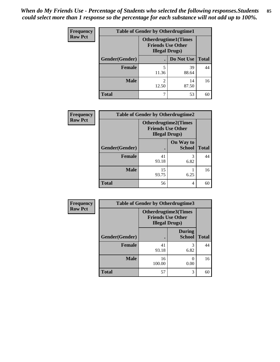| <b>Frequency</b> | <b>Table of Gender by Otherdrugtime1</b> |                                                                                    |                    |    |  |
|------------------|------------------------------------------|------------------------------------------------------------------------------------|--------------------|----|--|
| <b>Row Pct</b>   |                                          | <b>Otherdrugtime1</b> (Times<br><b>Friends Use Other</b><br><b>Illegal Drugs</b> ) |                    |    |  |
|                  | Gender(Gender)                           |                                                                                    | Do Not Use   Total |    |  |
|                  | <b>Female</b>                            | 5<br>11.36                                                                         | 39<br>88.64        | 44 |  |
|                  | Male                                     | 2<br>12.50                                                                         | 14<br>87.50        | 16 |  |
|                  | <b>Total</b>                             | 7                                                                                  | 53                 | 60 |  |

| Frequency      | <b>Table of Gender by Otherdrugtime2</b> |                                                                                   |                            |              |
|----------------|------------------------------------------|-----------------------------------------------------------------------------------|----------------------------|--------------|
| <b>Row Pct</b> |                                          | <b>Otherdrugtime2(Times</b><br><b>Friends Use Other</b><br><b>Illegal Drugs</b> ) |                            |              |
|                | Gender(Gender)                           |                                                                                   | On Way to<br><b>School</b> | <b>Total</b> |
|                | <b>Female</b>                            | 41<br>93.18                                                                       | 3<br>6.82                  | 44           |
|                | <b>Male</b>                              | 15<br>93.75                                                                       | 6.25                       | 16           |
|                | <b>Total</b>                             | 56                                                                                | 4                          | 60           |

| Frequency      | <b>Table of Gender by Otherdrugtime3</b> |                        |                                                  |              |
|----------------|------------------------------------------|------------------------|--------------------------------------------------|--------------|
| <b>Row Pct</b> |                                          | <b>Illegal Drugs</b> ) | Otherdrugtime3(Times<br><b>Friends Use Other</b> |              |
|                | Gender(Gender)                           |                        | <b>During</b><br><b>School</b>                   | <b>Total</b> |
|                | <b>Female</b>                            | 41<br>93.18            | 3<br>6.82                                        | 44           |
|                | <b>Male</b>                              | 16<br>100.00           | 0.00                                             | 16           |
|                | <b>Total</b>                             | 57                     | 3                                                | 60           |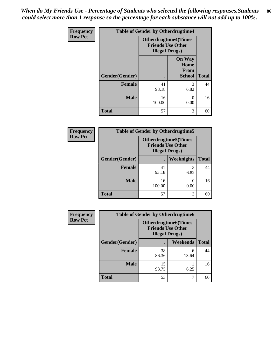*When do My Friends Use - Percentage of Students who selected the following responses.Students could select more than 1 response so the percentage for each substance will not add up to 100%.* **86**

| <b>Frequency</b> | <b>Table of Gender by Otherdrugtime4</b> |                        |                                                         |              |
|------------------|------------------------------------------|------------------------|---------------------------------------------------------|--------------|
| <b>Row Pct</b>   |                                          | <b>Illegal Drugs</b> ) | <b>Otherdrugtime4(Times</b><br><b>Friends Use Other</b> |              |
|                  | Gender(Gender)                           |                        | <b>On Way</b><br>Home<br><b>From</b><br><b>School</b>   | <b>Total</b> |
|                  | <b>Female</b>                            | 41<br>93.18            | 3<br>6.82                                               | 44           |
|                  | <b>Male</b>                              | 16<br>100.00           | 0.00                                                    | 16           |
|                  | <b>Total</b>                             | 57                     | 3                                                       | 60           |

| <b>Frequency</b> | <b>Table of Gender by Otherdrugtime5</b> |              |                                                                                   |              |
|------------------|------------------------------------------|--------------|-----------------------------------------------------------------------------------|--------------|
| <b>Row Pct</b>   |                                          |              | <b>Otherdrugtime5</b> (Times<br><b>Friends Use Other</b><br><b>Illegal Drugs)</b> |              |
|                  | Gender(Gender)                           |              | Weeknights                                                                        | <b>Total</b> |
|                  | <b>Female</b>                            | 41<br>93.18  | 3<br>6.82                                                                         | 44           |
|                  | <b>Male</b>                              | 16<br>100.00 | 0.00                                                                              | 16           |
|                  | <b>Total</b>                             | 57           | 3                                                                                 | 60           |

| <b>Frequency</b> | <b>Table of Gender by Otherdrugtime6</b> |                                                                                   |            |              |
|------------------|------------------------------------------|-----------------------------------------------------------------------------------|------------|--------------|
| <b>Row Pct</b>   |                                          | <b>Otherdrugtime6(Times</b><br><b>Friends Use Other</b><br><b>Illegal Drugs</b> ) |            |              |
|                  | Gender(Gender)                           |                                                                                   | Weekends   | <b>Total</b> |
|                  | <b>Female</b>                            | 38<br>86.36                                                                       | 6<br>13.64 | 44           |
|                  | <b>Male</b>                              | 15<br>93.75                                                                       | 6.25       | 16           |
|                  | <b>Total</b>                             | 53                                                                                | 7          | 60           |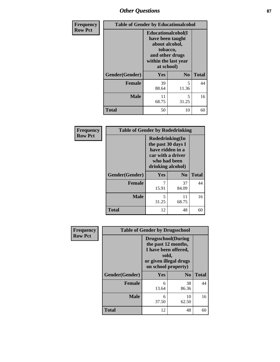# *Other Questions* **87**

| Frequency      | <b>Table of Gender by Educationalcohol</b> |                                                                                                                               |                |              |
|----------------|--------------------------------------------|-------------------------------------------------------------------------------------------------------------------------------|----------------|--------------|
| <b>Row Pct</b> |                                            | Educationalcohol(I<br>have been taught<br>about alcohol,<br>tobacco,<br>and other drugs<br>within the last year<br>at school) |                |              |
|                | Gender(Gender)                             | Yes                                                                                                                           | N <sub>0</sub> | <b>Total</b> |
|                | <b>Female</b>                              | 39<br>88.64                                                                                                                   | 5<br>11.36     | 44           |
|                | <b>Male</b>                                | 11<br>68.75                                                                                                                   | 5<br>31.25     | 16           |
|                | <b>Total</b>                               | 50                                                                                                                            | 10             | 60           |

| Frequency      | <b>Table of Gender by Rodedrinking</b> |                                                                                                                     |                |              |
|----------------|----------------------------------------|---------------------------------------------------------------------------------------------------------------------|----------------|--------------|
| <b>Row Pct</b> |                                        | Rodedrinking(In<br>the past 30 days I<br>have ridden in a<br>car with a driver<br>who had been<br>drinking alcohol) |                |              |
|                | Gender(Gender)                         | Yes                                                                                                                 | N <sub>0</sub> | <b>Total</b> |
|                | <b>Female</b>                          | 15.91                                                                                                               | 37<br>84.09    | 44           |
|                | <b>Male</b>                            | 5<br>31.25                                                                                                          | 11<br>68.75    | 16           |
|                | <b>Total</b>                           | 12                                                                                                                  | 48             | 60           |

| Frequency      | <b>Table of Gender by Drugsschool</b> |                                                                                                                                     |                |              |
|----------------|---------------------------------------|-------------------------------------------------------------------------------------------------------------------------------------|----------------|--------------|
| <b>Row Pct</b> |                                       | <b>Drugsschool</b> (During<br>the past 12 months,<br>I have been offered,<br>sold,<br>or given illegal drugs<br>on school property) |                |              |
|                | Gender(Gender)                        | Yes                                                                                                                                 | N <sub>0</sub> | <b>Total</b> |
|                | <b>Female</b>                         | 6<br>13.64                                                                                                                          | 38<br>86.36    | 44           |
|                | <b>Male</b>                           | 6<br>37.50                                                                                                                          | 10<br>62.50    | 16           |
|                | <b>Total</b>                          | 12                                                                                                                                  | 48             | 60           |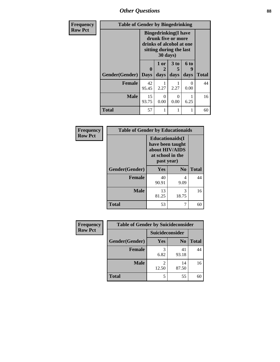*Other Questions* **88**

| Frequency      | <b>Table of Gender by Bingedrinking</b> |                                                                                                                                |              |                         |                   |              |
|----------------|-----------------------------------------|--------------------------------------------------------------------------------------------------------------------------------|--------------|-------------------------|-------------------|--------------|
| <b>Row Pct</b> |                                         | <b>Bingedrinking</b> (I have<br>drunk five or more<br>drinks of alcohol at one<br>sitting during the last<br>$30 \text{ days}$ |              |                         |                   |              |
|                | <b>Gender</b> (Gender)   Days           | $\mathbf{0}$                                                                                                                   | 1 or<br>days | 3 <sub>to</sub><br>days | 6 to<br>q<br>days | <b>Total</b> |
|                | <b>Female</b>                           | 42<br>95.45                                                                                                                    | 2.27         | 2.27                    | $\Omega$<br>0.00  | 44           |
|                | <b>Male</b>                             | 15<br>93.75                                                                                                                    | 0<br>0.00    | 0<br>0.00               | 6.25              | 16           |
|                | <b>Total</b>                            | 57                                                                                                                             | 1            |                         |                   | 60           |

| Frequency      | <b>Table of Gender by Educationaids</b> |                                                                                                 |            |              |  |
|----------------|-----------------------------------------|-------------------------------------------------------------------------------------------------|------------|--------------|--|
| <b>Row Pct</b> |                                         | <b>Educationaids</b> (I<br>have been taught<br>about HIV/AIDS<br>at school in the<br>past year) |            |              |  |
|                | Gender(Gender)                          | Yes                                                                                             | $\bf N_0$  | <b>Total</b> |  |
|                | <b>Female</b>                           | 40<br>90.91                                                                                     | 4<br>9.09  | 44           |  |
|                | <b>Male</b>                             | 13<br>81.25                                                                                     | 3<br>18.75 | 16           |  |
|                | <b>Total</b>                            | 53                                                                                              | 7          | 60           |  |

| <b>Frequency</b> | <b>Table of Gender by Suicideconsider</b> |                 |                |              |
|------------------|-------------------------------------------|-----------------|----------------|--------------|
| <b>Row Pct</b>   |                                           | Suicideconsider |                |              |
|                  | Gender(Gender)                            | Yes             | N <sub>0</sub> | <b>Total</b> |
|                  | <b>Female</b>                             | 6.82            | 41<br>93.18    | 44           |
|                  | <b>Male</b>                               | 12.50           | 14<br>87.50    | 16           |
|                  | <b>Total</b>                              |                 | 55             | 60           |